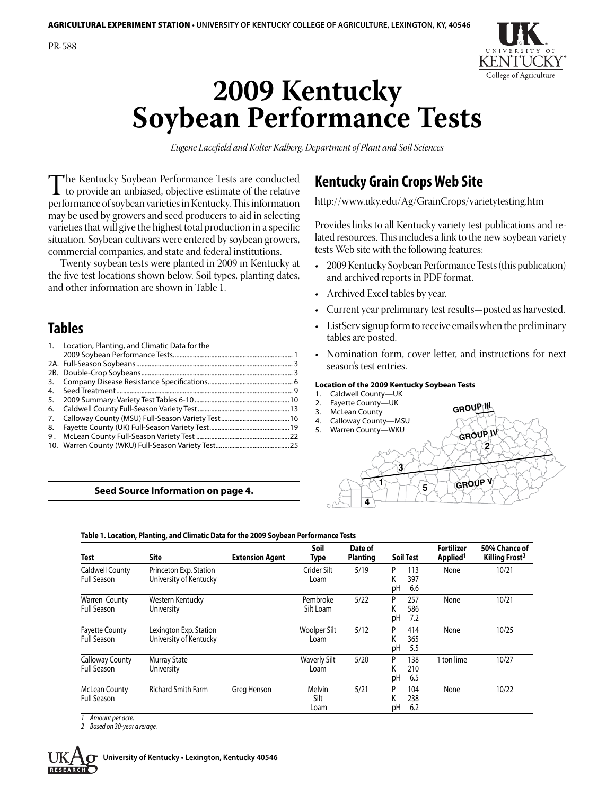

# **2009 Kentucky Soybean Performance Tests**

*Eugene Lacefield and Kolter Kalberg, Department of Plant and Soil Sciences*

The Kentucky Soybean Performance Tests are conducted<br>to provide an unbiased, objective estimate of the relative<br>performance of soybean varieties in Kentucky This information performance of soybean varieties in Kentucky. This information may be used by growers and seed producers to aid in selecting varieties that will give the highest total production in a specific situation. Soybean cultivars were entered by soybean growers, commercial companies, and state and federal institutions.

Twenty soybean tests were planted in 2009 in Kentucky at the five test locations shown below. Soil types, planting dates, and other information are shown in Table 1.

# **Tables**

| $\mathbf{1}$ . | Location, Planting, and Climatic Data for the |  |
|----------------|-----------------------------------------------|--|
|                |                                               |  |
|                |                                               |  |
|                |                                               |  |
| 3.             |                                               |  |
| 4.             |                                               |  |
| 5.             |                                               |  |
| 6.             |                                               |  |
| 7.             |                                               |  |
| 8.             |                                               |  |
| 9.             |                                               |  |
|                |                                               |  |

# **Seed Source Information on page 4.**

# **Kentucky Grain Crops Web Site**

http://www.uky.edu/Ag/GrainCrops/varietytesting.htm

Provides links to all Kentucky variety test publications and related resources. This includes a link to the new soybean variety tests Web site with the following features:

- 2009 Kentucky Soybean Performance Tests (this publication) and archived reports in PDF format.
- Archived Excel tables by year.
- Current year preliminary test results—posted as harvested.
- ListServ signup form to receive emails when the preliminary tables are posted.
- Nomination form, cover letter, and instructions for next season's test entries.

# **Location of the 2009 Kentucky Soybean Tests**

- 1. Caldwell County-UK
- 2. Fayette County—UK
- 3. McLean County 4. Calloway County-MSU
- 5. Warren County-WKU

5/20 P 138<br>K 210

5/21 P 104

K 210<br>pH 6.5 6.5

K 238<br>pH 6.2  $6.2$ 



**Fertilizer**

1 ton lime 10/27

None 10/22

**GROUP III** 

| <b>Test</b>                                 | Site                                             | <b>Extension Agent</b> | Soil<br>Type          | Date of<br><b>Planting</b> | <b>Soil Test</b>                    | Fertilizer<br>Applied <sup>1</sup> | 50% Chance of<br>Killing Frost <sup>2</sup> |
|---------------------------------------------|--------------------------------------------------|------------------------|-----------------------|----------------------------|-------------------------------------|------------------------------------|---------------------------------------------|
| Caldwell County<br>Full Season              | Princeton Exp. Station<br>University of Kentucky |                        | Crider Silt<br>Loam   | 5/19                       | 113<br>D<br>397<br>K<br>pH<br>6.6   | None                               | 10/21                                       |
| Warren County<br><b>Full Season</b>         | Western Kentucky<br>University                   |                        | Pembroke<br>Silt Loam | 5/22                       | 257<br>D<br>Κ<br>586<br>рH<br>7.2   | None                               | 10/21                                       |
| <b>Fayette County</b><br><b>Full Season</b> | Lexington Exp. Station<br>University of Kentucky |                        | Woolper Silt<br>Loam  | 5/12                       | P<br>414<br>365<br>K<br>рH<br>- 5.5 | None                               | 10/25                                       |

**Soil** 

Waverly Silt Loam

> Silt Loam

## **Table 1. Location, Planting, and Climatic Data for the 2009 Soybean Performance Tests**

Richard Smith Farm Greg Henson Melvin

*1 Amount per acre.*

Murray State **University** 

*2 Based on 30-year average.*

Calloway County Full Season

McLean County Full Season

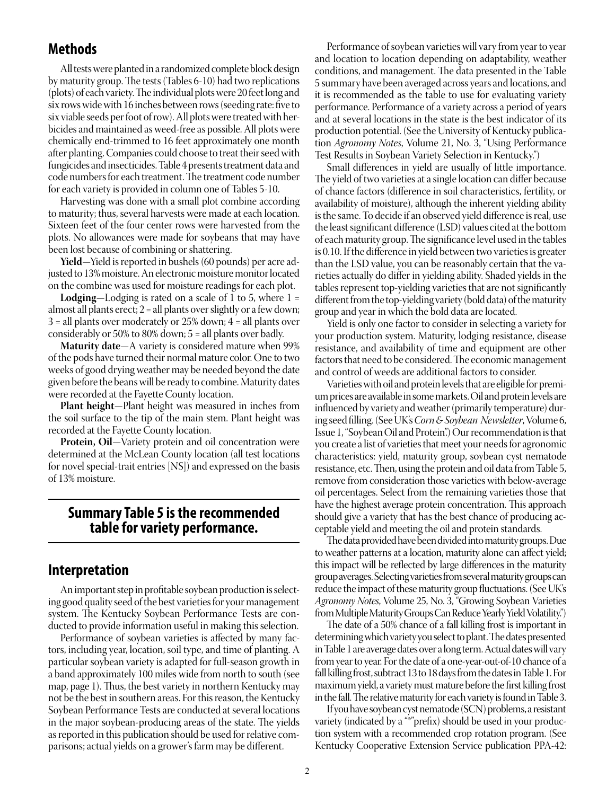# **Methods**

All tests were planted in a randomized complete block design by maturity group. The tests (Tables 6-10) had two replications (plots) of each variety. The individual plots were 20 feet long and six rows wide with 16 inches between rows (seeding rate: five to six viable seeds per foot of row). All plots were treated with herbicides and maintained as weed-free as possible. All plots were chemically end-trimmed to 16 feet approximately one month after planting. Companies could choose to treat their seed with fungicides and insecticides. Table 4 presents treatment data and code numbers for each treatment. The treatment code number for each variety is provided in column one of Tables 5-10.

Harvesting was done with a small plot combine according to maturity; thus, several harvests were made at each location. Sixteen feet of the four center rows were harvested from the plots. No allowances were made for soybeans that may have been lost because of combining or shattering.

**Yield**—Yield is reported in bushels (60 pounds) per acre adjusted to 13% moisture. An electronic moisture monitor located on the combine was used for moisture readings for each plot.

**Lodging**—Lodging is rated on a scale of 1 to 5, where 1 = almost all plants erect; 2 = all plants over slightly or a few down;  $3$  = all plants over moderately or 25% down;  $4$  = all plants over considerably or 50% to 80% down; 5 = all plants over badly.

**Maturity date**—A variety is considered mature when 99% of the pods have turned their normal mature color. One to two weeks of good drying weather may be needed beyond the date given before the beans will be ready to combine. Maturity dates were recorded at the Fayette County location.

**Plant height**—Plant height was measured in inches from the soil surface to the tip of the main stem. Plant height was recorded at the Fayette County location.

**Protein, Oil**—Variety protein and oil concentration were determined at the McLean County location (all test locations for novel special-trait entries [NS]) and expressed on the basis of 13% moisture.

# **Summary Table 5 is the recommended table for variety performance.**

# **Interpretation**

An important step in profitable soybean production is selecting good quality seed of the best varieties for your management system. The Kentucky Soybean Performance Tests are conducted to provide information useful in making this selection.

Performance of soybean varieties is affected by many factors, including year, location, soil type, and time of planting. A particular soybean variety is adapted for full-season growth in a band approximately 100 miles wide from north to south (see map, page 1). Thus, the best variety in northern Kentucky may not be the best in southern areas. For this reason, the Kentucky Soybean Performance Tests are conducted at several locations in the major soybean-producing areas of the state. The yields as reported in this publication should be used for relative comparisons; actual yields on a grower's farm may be different.

Performance of soybean varieties will vary from year to year and location to location depending on adaptability, weather conditions, and management. The data presented in the Table 5 summary have been averaged across years and locations, and it is recommended as the table to use for evaluating variety performance. Performance of a variety across a period of years and at several locations in the state is the best indicator of its production potential. (See the University of Kentucky publication *Agronomy Notes*, Volume 21, No. 3, "Using Performance Test Results in Soybean Variety Selection in Kentucky.")

Small differences in yield are usually of little importance. The yield of two varieties at a single location can differ because of chance factors (difference in soil characteristics, fertility, or availability of moisture), although the inherent yielding ability is the same. To decide if an observed yield difference is real, use the least significant difference (LSD) values cited at the bottom of each maturity group. The significance level used in the tables is 0.10. If the difference in yield between two varieties is greater than the LSD value, you can be reasonably certain that the varieties actually do differ in yielding ability. Shaded yields in the tables represent top-yielding varieties that are not significantly different from the top-yielding variety (bold data) of the maturity group and year in which the bold data are located.

Yield is only one factor to consider in selecting a variety for your production system. Maturity, lodging resistance, disease resistance, and availability of time and equipment are other factors that need to be considered. The economic management and control of weeds are additional factors to consider.

Varieties with oil and protein levels that are eligible for premium prices are available in some markets. Oil and protein levels are influenced by variety and weather (primarily temperature) during seed filling. (See UK's *Corn & Soybean Newsletter*, Volume 6, Issue 1, "Soybean Oil and Protein".) Our recommendation is that you create a list of varieties that meet your needs for agronomic characteristics: yield, maturity group, soybean cyst nematode resistance, etc. Then, using the protein and oil data from Table 5, remove from consideration those varieties with below-average oil percentages. Select from the remaining varieties those that have the highest average protein concentration. This approach should give a variety that has the best chance of producing acceptable yield and meeting the oil and protein standards.

The data provided have been divided into maturity groups. Due to weather patterns at a location, maturity alone can affect yield; this impact will be reflected by large differences in the maturity group averages. Selecting varieties from several maturity groups can reduce the impact of these maturity group fluctuations. (See UK's *Agronomy Notes*, Volume 25, No. 3, "Growing Soybean Varieties from Multiple Maturity Groups Can Reduce Yearly Yield Volatility.")

The date of a 50% chance of a fall killing frost is important in determining which variety you select to plant. The dates presented in Table 1 are average dates over a long term. Actual dates will vary from year to year. For the date of a one-year-out-of-10 chance of a fall killing frost, subtract 13 to 18 days from the dates in Table 1. For maximum yield, a variety must mature before the first killing frost in the fall. The relative maturity for each variety is found in Table 3.

If you have soybean cyst nematode (SCN) problems, a resistant variety (indicated by a "\*"prefix) should be used in your production system with a recommended crop rotation program. (See Kentucky Cooperative Extension Service publication PPA-42: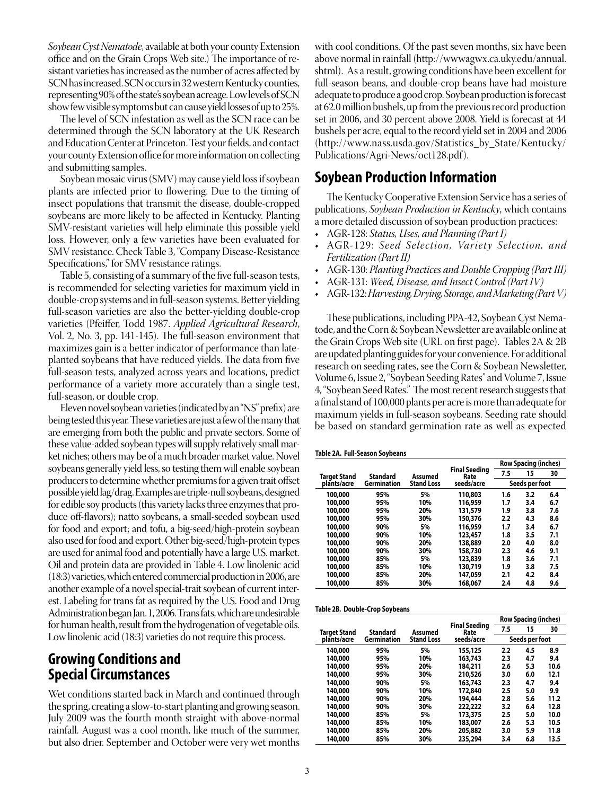*Soybean Cyst Nematode*, available at both your county Extension office and on the Grain Crops Web site.) The importance of resistant varieties has increased as the number of acres affected by SCN has increased. SCN occurs in 32 western Kentucky counties, representing 90% of the state's soybean acreage. Low levels of SCN show few visible symptoms but can cause yield losses of up to 25%.

The level of SCN infestation as well as the SCN race can be determined through the SCN laboratory at the UK Research and Education Center at Princeton. Test your fields, and contact your county Extension office for more information on collecting and submitting samples.

Soybean mosaic virus (SMV) may cause yield loss if soybean plants are infected prior to flowering. Due to the timing of insect populations that transmit the disease, double-cropped soybeans are more likely to be affected in Kentucky. Planting SMV-resistant varieties will help eliminate this possible yield loss. However, only a few varieties have been evaluated for SMV resistance. Check Table 3, "Company Disease-Resistance Specifications," for SMV resistance ratings.

Table 5, consisting of a summary of the five full-season tests, is recommended for selecting varieties for maximum yield in double-crop systems and in full-season systems. Better yielding full-season varieties are also the better-yielding double-crop varieties (Pfeiffer, Todd 1987. *Applied Agricultural Research*, Vol. 2, No. 3, pp. 141-145). The full-season environment that maximizes gain is a better indicator of performance than lateplanted soybeans that have reduced yields. The data from five full-season tests, analyzed across years and locations, predict performance of a variety more accurately than a single test, full-season, or double crop.

Eleven novel soybean varieties (indicated by an "NS" prefix) are being tested this year. These varieties are just a few of the many that are emerging from both the public and private sectors. Some of these value-added soybean types will supply relatively small market niches; others may be of a much broader market value. Novel soybeans generally yield less, so testing them will enable soybean producers to determine whether premiums for a given trait offset possible yield lag/drag. Examples are triple-null soybeans, designed for edible soy products (this variety lacks three enzymes that produce off-flavors); natto soybeans, a small-seeded soybean used for food and export; and tofu, a big-seed/high-protein soybean also used for food and export. Other big-seed/high-protein types are used for animal food and potentially have a large U.S. market. Oil and protein data are provided in Table 4. Low linolenic acid (18:3) varieties, which entered commercial production in 2006, are another example of a novel special-trait soybean of current interest. Labeling for trans fat as required by the U.S. Food and Drug Administration began Jan. 1, 2006. Trans fats, which are undesirable for human health, result from the hydrogenation of vegetable oils. Low linolenic acid (18:3) varieties do not require this process.

# **Growing Conditions and Special Circumstances**

Wet conditions started back in March and continued through the spring, creating a slow-to-start planting and growing season. July 2009 was the fourth month straight with above-normal rainfall. August was a cool month, like much of the summer, but also drier. September and October were very wet months

with cool conditions. Of the past seven months, six have been above normal in rainfall (http://wwwagwx.ca.uky.edu/annual. shtml). As a result, growing conditions have been excellent for full-season beans, and double-crop beans have had moisture adequate to produce a good crop. Soybean production is forecast at 62.0 million bushels, up from the previous record production set in 2006, and 30 percent above 2008. Yield is forecast at 44 bushels per acre, equal to the record yield set in 2004 and 2006 (http://www.nass.usda.gov/Statistics\_by\_State/Kentucky/ Publications/Agri-News/oct128.pdf).

# **Soybean Production Information**

The Kentucky Cooperative Extension Service has a series of publications, *Soybean Production in Kentucky*, which contains a more detailed discussion of soybean production practices:

- AGR-128: *Status, Uses, and Planning (Part I)*
- AGR-129: Seed Selection, Variety Selection, and *Fertilization (Part II)*
- AGR-130: *Planting Practices and Double Cropping (Part III)*
- AGR-131: *Weed, Disease, and Insect Control (Part IV)*
- AGR-132: *Harvesting, Drying, Storage, and Marketing (Part V)*

These publications, including PPA-42, Soybean Cyst Nematode, and the Corn & Soybean Newsletter are available online at the Grain Crops Web site (URL on first page). Tables 2A & 2B are updated planting guides for your convenience. For additional research on seeding rates, see the Corn & Soybean Newsletter, Volume 6, Issue 2, "Soybean Seeding Rates" and Volume 7, Issue 4, "Soybean Seed Rates." The most recent research suggests that a final stand of 100,000 plants per acre is more than adequate for maximum yields in full-season soybeans. Seeding rate should be based on standard germination rate as well as expected

| Table 2A. Full-Season Soybeans |  |
|--------------------------------|--|
|--------------------------------|--|

|                     |             |                   |                              |     | <b>Row Spacing (inches)</b> |     |
|---------------------|-------------|-------------------|------------------------------|-----|-----------------------------|-----|
| <b>Target Stand</b> | Standard    | Assumed           | <b>Final Seeding</b><br>Rate | 7.5 | 15                          | 30  |
| plants/acre         | Germination | <b>Stand Loss</b> | seeds/acre                   |     | Seeds per foot              |     |
| 100,000             | 95%         | 5%                | 110,803                      | 1.6 | 3.2                         | 6.4 |
| 100,000             | 95%         | 10%               | 116,959                      | 1.7 | 3.4                         | 6.7 |
| 100,000             | 95%         | 20%               | 131,579                      | 1.9 | 3.8                         | 7.6 |
| 100,000             | 95%         | 30%               | 150,376                      | 2.2 | 4.3                         | 8.6 |
| 100.000             | 90%         | 5%                | 116,959                      | 1.7 | 3.4                         | 6.7 |
| 100,000             | 90%         | 10%               | 123,457                      | 1.8 | 3.5                         | 7.1 |
| 100,000             | 90%         | 20%               | 138,889                      | 2.0 | 4.0                         | 8.0 |
| 100,000             | 90%         | 30%               | 158,730                      | 2.3 | 4.6                         | 9.1 |
| 100,000             | 85%         | 5%                | 123,839                      | 1.8 | 3.6                         | 7.1 |
| 100,000             | 85%         | 10%               | 130,719                      | 1.9 | 3.8                         | 7.5 |
| 100,000             | 85%         | 20%               | 147,059                      | 2.1 | 4.2                         | 8.4 |
| 100,000             | 85%         | 30%               | 168,067                      | 2.4 | 4.8                         | 9.6 |
|                     |             |                   |                              |     |                             |     |

|  | Table 2B. Double-Crop Soybeans |  |
|--|--------------------------------|--|
|--|--------------------------------|--|

|              |                    |                   |                              |         | <b>Row Spacing (inches)</b> |      |
|--------------|--------------------|-------------------|------------------------------|---------|-----------------------------|------|
| Target Stand | Standard           | Assumed           | <b>Final Seeding</b><br>Rate | 7.5     | 15                          | 30   |
| plants/acre  | <b>Germination</b> | <b>Stand Loss</b> | seeds/acre                   |         | Seeds per foot              |      |
| 140,000      | 95%                | 5%                | 155,125                      | 2.2     | 4.5                         | 8.9  |
| 140,000      | 95%                | 10%               | 163,743                      | 2.3     | 4.7                         | 9.4  |
| 140,000      | 95%                | 20%               | 184,211                      | 2.6     | 5.3                         | 10.6 |
| 140,000      | 95%                | 30%               | 210,526                      | 3.0     | 6.0                         | 12.1 |
| 140,000      | 90%                | 5%                | 163,743                      | 2.3     | 4.7                         | 9.4  |
| 140,000      | 90%                | 10%               | 172,840                      | $2.5\,$ | 5.0                         | 9.9  |
| 140,000      | 90%                | 20%               | 194,444                      | 2.8     | 5.6                         | 11.2 |
| 140,000      | 90%                | 30%               | 222,222                      | 3.2     | 6.4                         | 12.8 |
| 140,000      | 85%                | 5%                | 173,375                      | 2.5     | 5.0                         | 10.0 |
| 140,000      | 85%                | 10%               | 183,007                      | 2.6     | 5.3                         | 10.5 |
| 140,000      | 85%                | 20%               | 205,882                      | 3.0     | 5.9                         | 11.8 |
| 140,000      | 85%                | 30%               | 235,294                      | 3.4     | 6.8                         | 13.5 |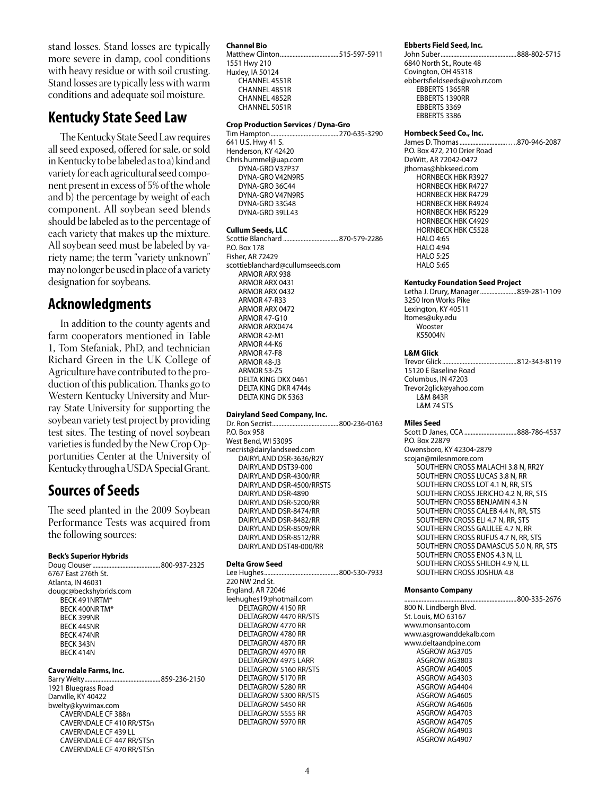stand losses. Stand losses are typically more severe in damp, cool conditions with heavy residue or with soil crusting. Stand losses are typically less with warm conditions and adequate soil moisture.

# **Kentucky State Seed Law**

The Kentucky State Seed Law requires all seed exposed, offered for sale, or sold in Kentucky to be labeled as to a) kind and variety for each agricultural seed component present in excess of 5% of the whole and b) the percentage by weight of each component. All soybean seed blends should be labeled as to the percentage of each variety that makes up the mixture. All soybean seed must be labeled by variety name; the term "variety unknown" may no longer be used in place of a variety designation for soybeans.

# **Acknowledgments**

In addition to the county agents and farm cooperators mentioned in Table 1, Tom Stefaniak, PhD, and technician Richard Green in the UK College of Agriculture have contributed to the production of this publication. Thanks go to Western Kentucky University and Murray State University for supporting the soybean variety test project by providing test sites. The testing of novel soybean varieties is funded by the New Crop Opportunities Center at the University of Kentucky through a USDA Special Grant.

# **Sources of Seeds**

The seed planted in the 2009 Soybean Performance Tests was acquired from the following sources:

# **Beck's Superior Hybrids**

| 6767 East 276th St.    |  |
|------------------------|--|
| Atlanta, IN 46031      |  |
| dougc@beckshybrids.com |  |
| <b>RFCK 491NRTM*</b>   |  |
| <b>BECK 400NR TM*</b>  |  |
| <b>RFCK 399NR</b>      |  |
| <b>BFCK 445NR</b>      |  |
| <b>RFCK 474NR</b>      |  |
| <b>BFCK 343N</b>       |  |
| <b>BFCK 414N</b>       |  |
| Caverndale Farms, Inc. |  |

Barry Welty................................................859-236-2150 1921 Bluegrass Road Danville, KY 40422 bwelty@kywimax.com CAVERNDALE CF 388n CAVERNDALE CF 410 RR/STSn CAVERNDALE CF 439 LL CAVERNDALE CF 447 RR/STSn CAVERNDALE CF 470 RR/STSn

#### **Channel Bio** Matthew Clinton.....................................515-597-5911 1551 Hwy 210 Huxley, IA 50124 CHANNEL 4551R CHANNEL 4851R CHANNEL 4852R CHANNEL 5051R

#### **Crop Production Services / Dyna-Gro**

Tim Hampton...........................................270-635-3290 641 U.S. Hwy 41 S. Henderson, KY 42420 Chris.hummel@uap.com DYNA-GRO V37P37 DYNA-GRO V42N9RS DYNA-GRO 36C44 DYNA-GRO V47N9RS DYNA-GRO 33G48 DYNA-GRO 39LL43

## **Cullum Seeds, LLC**

Scottie Blanchard ...................................870-579-2286 P.O. Box 178 Fisher, AR 72429 scottieblanchard@cullumseeds.com ARMOR ARX 938 ARMOR ARX 0431 ARMOR ARX 0432 ARMOR 47-R33 ARMOR ARX 0472 ARMOR 47-G10 ARMOR ARX0474 ARMOR 42-M1 ARMOR 44-K6 ARMOR 47-F8 ARMOR 48-J3 ARMOR 53-Z5 DELTA KING DKX 0461 DELTA KING DKR 4744s DELTA KING DK 5363

#### **Dairyland Seed Company, Inc.**

Dr. Ron Secrist..........................................800-236-0163 P.O. Box 958 West Bend, WI 53095 rsecrist@dairylandseed.com DAIRYLAND DSR-3636/R2Y DAIRYLAND DST39-000 DAIRYLAND DSR-4300/RR DAIRYLAND DSR-4500/RRSTS DAIRYLAND DSR-4890 DAIRYLAND DSR-5200/RR DAIRYLAND DSR-8474/RR DAIRYLAND DSR-8482/RR DAIRYLAND DSR-8509/RR DAIRYLAND DSR-8512/RR DAIRYLAND DST48-000/RR

#### **Delta Grow Seed**

Lee Hughes...............................................800-530-7933 220 NW 2nd St. England, AR 72046 leehughes19@hotmail.com DELTAGROW 4150 RR DELTAGROW 4470 RR/STS DELTAGROW 4770 RR DELTAGROW 4780 RR DELTAGROW 4870 RR DELTAGROW 4970 RR DELTAGROW 4975 LARR DELTAGROW 5160 RR/STS DELTAGROW 5170 RR DELTAGROW 5280 RR DELTAGROW 5300 RR/STS DELTAGROW 5450 RR DELTAGROW 5555 RR DELTAGROW 5970 RR

#### **Ebberts Field Seed, Inc.**

John Suber................................................888-802-5715 6840 North St., Route 48 Covington, OH 45318 ebbertsfieldseeds@woh.rr.com EBBERTS 1365RR EBBERTS 1390RR EBBERTS 3369 EBBERTS 3386

### **Hornbeck Seed Co., Inc.**

James D. Thomas..............................….870-946-2087 P.O. Box 472, 210 Drier Road DeWitt, AR 72042-0472 jthomas@hbkseed.com HORNBECK HBK R3927 HORNBECK HBK R4727 HORNBECK HBK R4729 HORNBECK HBK R4924 HORNBECK HBK R5229 HORNBECK HBK C4929 HORNBECK HBK C5528 HALO 4:65 HALO 4:94 HALO 5:25 HALO 5:65

#### **Kentucky Foundation Seed Project**

Letha J. Drury, Manager.......................859-281-1109 3250 Iron Works Pike Lexington, KY 40511 ltomes@uky.edu **Wooster** KS5004N

# **L&M Glick**

Trevor Glick...............................................812-343-8119 15120 E Baseline Road Columbus, IN 47203 Trevor2glick@yahoo.com L&M 843R L&M 74 STS

#### **Miles Seed**

Scott D Janes, CCA .................................888-786-4537 P.O. Box 22879 Owensboro, KY 42304-2879 scojan@milesnmore.com SOUTHERN CROSS MALACHI 3.8 N, RR2Y SOUTHERN CROSS LUCAS 3.8 N, RR SOUTHERN CROSS LOT 4.1 N, RR, STS SOUTHERN CROSS JERICHO 4.2 N, RR, STS SOUTHERN CROSS BENJAMIN 4.3 N SOUTHERN CROSS CALEB 4.4 N, RR, STS SOUTHERN CROSS ELI 4.7 N, RR, STS SOUTHERN CROSS GALILEE 4.7 N, RR SOUTHERN CROSS RUFUS 4.7 N, RR, STS SOUTHERN CROSS DAMASCUS 5.0 N, RR, STS SOUTHERN CROSS ENOS 4.3 N, LL SOUTHERN CROSS SHILOH 4.9 N, LL SOUTHERN CROSS JOSHUA 4.8

..800-335-2676

#### **Monsanto Company**

800 N. Lindbergh Blvd. St. Louis, MO 63167 www.monsanto.com www.asgrowanddekalb.com www.deltaandpine.com ASGROW AG3705 ASGROW AG3803 ASGROW AG4005 ASGROW AG4303 ASGROW AG4404 ASGROW AG4605 ASGROW AG4606 ASGROW AG4703 ASGROW AG4705 ASGROW AG4903 ASGROW AG4907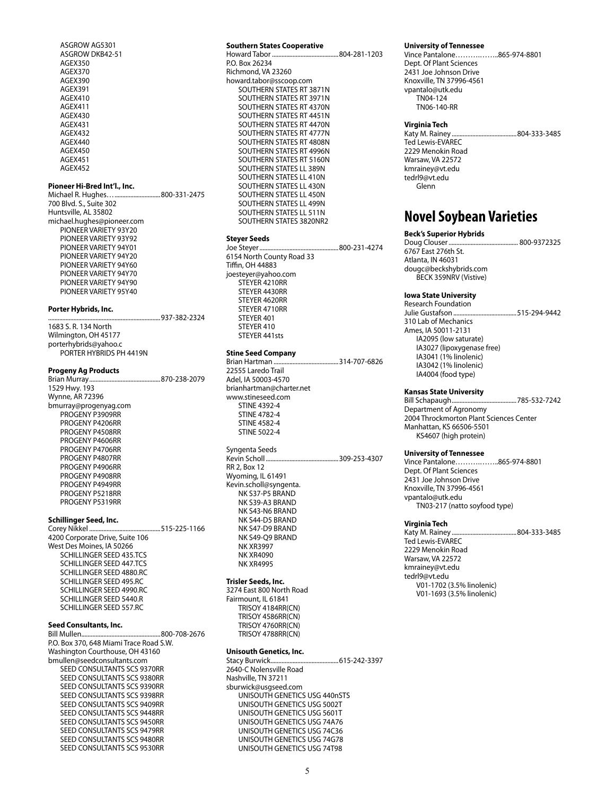ASGROW AG5301 ASGROW DKB42-51 AGEX350 AGEX370 AGEX390 AGEX391 AGEX410 AGEX411 AGEX430 AGEX431 AGEX432 AGEX440 AGEX450 AGEX451 AGEX452

#### **Pioneer Hi-Bred Int'l., Inc.**

Michael R. Hughes….............................800-331-2475 700 Blvd. S., Suite 302 Huntsville, AL 35802 michael.hughes@pioneer.com PIONEER VARIETY 93Y20 PIONEER VARIETY 93Y92 PIONEER VARIETY 94Y01 PIONEER VARIETY 94Y20 PIONEER VARIETY 94Y60 PIONEER VARIETY 94Y70 PIONEER VARIETY 94Y90 PIONEER VARIETY 95Y40

#### **Porter Hybrids, Inc.**

| 1683 S. R. 134 North    |  |
|-------------------------|--|
| Wilmington, OH 45177    |  |
| porterhybrids@yahoo.c   |  |
| PORTER HYBRIDS PH 4419N |  |

#### **Progeny Ag Products**

Brian Murray.............................................870-238-2079 1529 Hwy. 193 Wynne, AR 72396 bmurray@progenyag.com PROGENY P3909RR PROGENY P4206RR PROGENY P4508RR PROGENY P4606RR PROGENY P4706RR PROGENY P4807RR PROGENY P4906RR PROGENY P4908RR PROGENY P4949RR PROGENY P5218RR PROGENY P5319RR

# **Schillinger Seed, Inc.**

Corey Nikkel .............................................515-225-1166 4200 Corporate Drive, Suite 106 West Des Moines, IA 50266 SCHILLINGER SEED 435.TCS SCHILLINGER SEED 447.TCS SCHILLINGER SEED 4880.RC SCHILLINGER SEED 495.RC SCHILLINGER SEED 4990.RC SCHILLINGER SEED 5440.R SCHILLINGER SEED 557.RC

# **Seed Consultants, Inc.**

800-708-2676 P.O. Box 370, 648 Miami Trace Road S.W. Washington Courthouse, OH 43160 bmullen@seedconsultants.com SEED CONSULTANTS SCS 9370RR SEED CONSULTANTS SCS 9380RR SEED CONSULTANTS SCS 9390RR SEED CONSULTANTS SCS 9398RR SEED CONSULTANTS SCS 9409RR SEED CONSULTANTS SCS 9448RR SEED CONSULTANTS SCS 9450RR SEED CONSULTANTS SCS 9479RR SEED CONSULTANTS SCS 9480RR SEED CONSULTANTS SCS 9530RR

#### **Southern States Cooperative**

Howard Tabor ..........................................804-281-1203 P.O. Box 26234 Richmond, VA 23260 howard.tabor@sscoop.com SOUTHERN STATES RT 3871N SOUTHERN STATES RT 3971N SOUTHERN STATES RT 4370N SOUTHERN STATES RT 4451N SOUTHERN STATES RT 4470N SOUTHERN STATES RT 4777N SOUTHERN STATES RT 4808N SOUTHERN STATES RT 4996N SOUTHERN STATES RT 5160N SOUTHERN STATES LL 389N SOUTHERN STATES LL 410N SOUTHERN STATES LL 430N SOUTHERN STATES LL 450N SOUTHERN STATES LL 499N SOUTHERN STATES LL 511N SOUTHERN STATES 3820NR2

## **Steyer Seeds**

Joe Steyer..................................................800-231-4274 6154 North County Road 33 Tiffin, OH 44883 joesteyer@yahoo.com STEYER 4210RR STEYER 4430RR STEYER 4620RR STEYER 4710RR STEYER 401 STEYER 410 STEYER 441sts

## **Stine Seed Company**

Brian Hartman .........................................314-707-6826 22555 Laredo Trail Adel, IA 50003-4570 brianhartman@charter.net www.stineseed.com STINE 4392-4 STINE 4782-4 STINE 4582-4 STINE 5022-4

Syngenta Seeds<br>Kevin Scholl........ Rev. 309-253-4307 RR 2, Box 12 Wyoming, IL 61491 Kevin.scholl@syngenta. NK S37-P5 BRAND NK S39-A3 BRAND NK S43-N6 BRAND NK S44-D5 BRAND NK S47-D9 BRAND NK S49-Q9 BRAND NK XR3997 NK XR4090 NK XR4995

## **Trisler Seeds, Inc.**

3274 East 800 North Road Fairmount, IL 61841 TRISOY 4184RR(CN) TRISOY 4586RR(CN) TRISOY 4760RR(CN) TRISOY 4788RR(CN)

## **Unisouth Genetics, Inc.**

Stacy Burwick...........................................615-242-3397 2640-C Nolensville Road Nashville, TN 37211 sburwick@usgseed.com UNISOUTH GENETICS USG 440nSTS UNISOUTH GENETICS USG 5002T UNISOUTH GENETICS USG 5601T UNISOUTH GENETICS USG 74A76 UNISOUTH GENETICS USG 74C36 UNISOUTH GENETICS USG 74G78 UNISOUTH GENETICS USG 74T98

#### **University of Tennessee**

Vince Pantalone……….……..865-974-8801 Dept. Of Plant Sciences 2431 Joe Johnson Drive Knoxville, TN 37996-4561 vpantalo@utk.edu TN04-124 TN06-140-RR

### **Virginia Tech**

Katy M. Rainey .........................................804-333-3485 Ted Lewis-EVAREC 2229 Menokin Road Warsaw, VA 22572 kmrainey@vt.edu tedrl9@vt.edu Glenn

# **Novel Soybean Varieties**

## **Beck's Superior Hybrids**

Doug Clouser............................................ 800-9372325 6767 East 276th St. Atlanta, IN 46031 dougc@beckshybrids.com BECK 359NRV (Vistive)

#### **Iowa State University**

Research Foundation<br>Julie Gustafson............. ..515-294-9442 310 Lab of Mechanics Ames, IA 50011-2131 IA2095 (low saturate) IA3027 (lipoxygenase free) IA3041 (1% linolenic) IA3042 (1% linolenic) IA4004 (food type)

#### **Kansas State University**

Bill Schapaugh.........................................785-532-7242 Department of Agronomy 2004 Throckmorton Plant Sciences Center Manhattan, KS 66506-5501 KS4607 (high protein)

#### **University of Tennessee**

Vince Pantalone……….……..865-974-8801 Dept. Of Plant Sciences 2431 Joe Johnson Drive Knoxville, TN 37996-4561 vpantalo@utk.edu TN03-217 (natto soyfood type)

#### **Virginia Tech**

Katy M. Rainey .........................................804-333-3485 Ted Lewis-EVAREC 2229 Menokin Road Warsaw, VA 22572 kmrainey@vt.edu tedrl9@vt.edu V01-1702 (3.5% linolenic) V01-1693 (3.5% linolenic)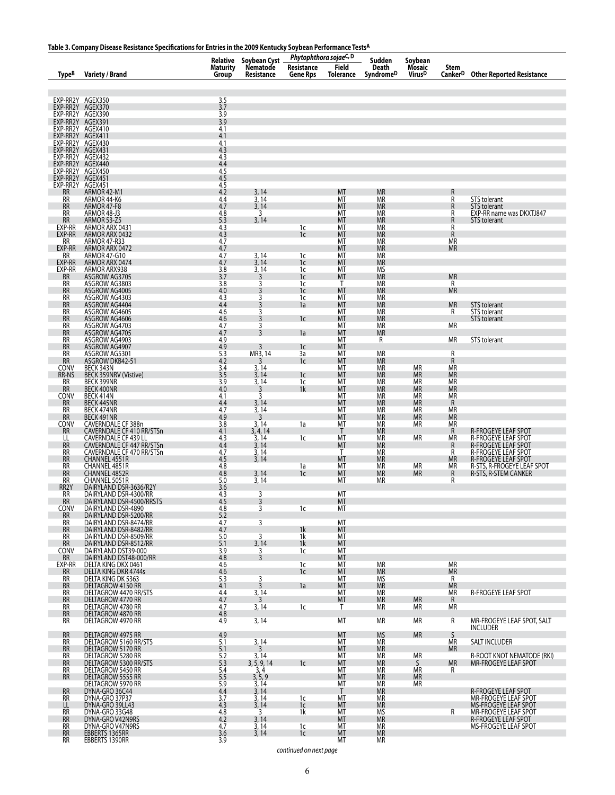# **Table 3. Company Disease Resistance Specifications for Entries in the 2009 Kentucky Soybean Performance TestsA**

|                                      | rable 5. Company Disease Resistance Specifications for Entries in the 2009 Rentucky Soybean Performance 1ests/                                                                                                                              |                          |                                                            | Phytophthora sojaeC, D        |                             |                               |                                         |                             |                                                                                                                                                                             |
|--------------------------------------|---------------------------------------------------------------------------------------------------------------------------------------------------------------------------------------------------------------------------------------------|--------------------------|------------------------------------------------------------|-------------------------------|-----------------------------|-------------------------------|-----------------------------------------|-----------------------------|-----------------------------------------------------------------------------------------------------------------------------------------------------------------------------|
| Type <sup>B</sup>                    | <b>Variety / Brand</b>                                                                                                                                                                                                                      | <b>Maturity</b><br>Group | Relative Soybean Cyst _<br>Maturity Nematode<br>Resistance | Resistance<br><b>Gene Rps</b> | <b>Field</b><br>Tolerance   | Sudden<br>Death<br>SyndromeD  | Soybean<br>Mosaic<br>Virus <sup>D</sup> | Stem<br>Canker <sup>D</sup> | <b>Other Reported Resistance</b>                                                                                                                                            |
| EXP-RR2Y AGEX350                     |                                                                                                                                                                                                                                             | 3.5                      |                                                            |                               |                             |                               |                                         |                             |                                                                                                                                                                             |
| EXP-RR2Y AGEX370                     |                                                                                                                                                                                                                                             | 3.7                      |                                                            |                               |                             |                               |                                         |                             |                                                                                                                                                                             |
| EXP-RR2Y AGEX390                     |                                                                                                                                                                                                                                             | 3.9                      |                                                            |                               |                             |                               |                                         |                             |                                                                                                                                                                             |
| EXP-RR2Y AGEX391<br>EXP-RR2Y AGEX410 |                                                                                                                                                                                                                                             | 3.9<br>4.1               |                                                            |                               |                             |                               |                                         |                             |                                                                                                                                                                             |
| EXP-RR2Y AGEX411                     |                                                                                                                                                                                                                                             | 4.1                      |                                                            |                               |                             |                               |                                         |                             |                                                                                                                                                                             |
| EXP-RR2Y AGEX430<br>EXP-RR2Y AGEX431 |                                                                                                                                                                                                                                             | 4.1<br>4.3               |                                                            |                               |                             |                               |                                         |                             |                                                                                                                                                                             |
|                                      | EXP-RR2Y AGEX432<br>EXP-RR2Y AGEX440                                                                                                                                                                                                        | 4.3                      |                                                            |                               |                             |                               |                                         |                             |                                                                                                                                                                             |
| EXP-RR2Y AGEX450                     |                                                                                                                                                                                                                                             | 4.4<br>4.5               |                                                            |                               |                             |                               |                                         |                             |                                                                                                                                                                             |
| EXP-RR2Y AGEX451                     |                                                                                                                                                                                                                                             | 4.5                      |                                                            |                               |                             |                               |                                         |                             |                                                                                                                                                                             |
| EXP-RR2Y AGEX451<br><b>RR</b>        | ARMOR 42-M1                                                                                                                                                                                                                                 | 4.5<br>4.2               | 3,14                                                       |                               | <b>MT</b>                   | <b>MR</b>                     |                                         | R                           |                                                                                                                                                                             |
| <b>RR</b><br><b>RR</b>               |                                                                                                                                                                                                                                             | $\frac{4.4}{4.7}$        | 3, 14<br>3,14                                              |                               | M <sub>T</sub><br><b>MT</b> | <b>MR</b><br><b>MR</b>        |                                         | R<br>R                      | STS tolerant<br>STS tolerant                                                                                                                                                |
| <b>RR</b>                            | ARMOR 44-K6<br>ARMOR 44-K6<br>ARMOR 48-J3<br>ARMOR 53-Z5<br>ARMOR 53-Z5                                                                                                                                                                     | 4.8                      | 3                                                          |                               | MT                          | <b>MR</b>                     |                                         | R                           | EXP-RR name was DKXTJ847                                                                                                                                                    |
| RR<br>EXP-RR                         |                                                                                                                                                                                                                                             | 5.3<br>4.3               | 3, 14                                                      | 1c                            | <b>MT</b><br>МT             | <b>MR</b><br><b>MR</b>        |                                         | R<br>R                      | <b>STS</b> tolerant                                                                                                                                                         |
| EXP-RR                               | ARMOR ARX 0431<br>ARMOR ARX 0432                                                                                                                                                                                                            | 4.3                      |                                                            | 1c                            | <b>MT</b>                   | <b>MR</b>                     |                                         | ${\sf R}$                   |                                                                                                                                                                             |
| <b>RR</b><br>EXP-RR                  | ARMOR 47-R33<br>ARMOR ARX 0472<br>ARMOR 47-G10                                                                                                                                                                                              | 4.7<br>4.7               |                                                            |                               | M <sub>T</sub><br><b>MT</b> | MR<br>MR                      |                                         | ΜR<br>MR                    |                                                                                                                                                                             |
| <b>RR</b>                            |                                                                                                                                                                                                                                             | 4.7                      | 3,14                                                       | 1c                            | МT                          | <b>MR</b>                     |                                         |                             |                                                                                                                                                                             |
| EXP-RR<br>EXP-RR                     | ARMOR ARX 0474                                                                                                                                                                                                                              | 4.7<br>3.8               | 3, 14                                                      | 1c<br>1c                      | <b>MT</b><br>МT             | <b>MR</b><br>MS               |                                         |                             |                                                                                                                                                                             |
| $\overline{RR}$                      |                                                                                                                                                                                                                                             | 3.7                      | $\frac{3}{3}$ , 14                                         | 1c                            | <b>MT</b>                   | <b>MR</b>                     |                                         | <b>MR</b>                   |                                                                                                                                                                             |
| RR<br><b>RR</b>                      |                                                                                                                                                                                                                                             | 3.8<br>4.0               | 3                                                          | 1c<br>1c                      | $\mathsf{T}$<br><b>MT</b>   | <b>MR</b><br>MR               |                                         | $\frac{R}{MR}$              |                                                                                                                                                                             |
| <b>RR</b>                            | ANNOR ARX 938<br>ASGROW AG3705<br>ASGROW AG3803<br>ASGROW AG4005<br>ASGROW AG4303                                                                                                                                                           | 4.3                      | 3                                                          | 1c                            | МT                          | <b>MR</b>                     |                                         |                             |                                                                                                                                                                             |
| <b>RR</b><br>RR                      | ASGROW AG4404                                                                                                                                                                                                                               | 4.4<br>4.6               | 3<br>3                                                     | 1a                            | MT<br>МT                    | <b>MR</b><br>MR               |                                         | <b>MR</b><br>R              | STS tolerant<br>STS tolerant                                                                                                                                                |
| <b>RR</b>                            | ASGROW AG4605<br>ASGROW AG4606                                                                                                                                                                                                              | 4.6                      | $\overline{3}$                                             | 1c                            | <b>MT</b>                   | <b>MR</b>                     |                                         |                             | <b>STS</b> tolerant                                                                                                                                                         |
| <b>RR</b><br><b>RR</b>               |                                                                                                                                                                                                                                             | 4.7<br>4.7               | 3<br>3                                                     | 1a                            | MT<br><b>MT</b>             | MR<br>MR                      |                                         | MR                          |                                                                                                                                                                             |
| RR                                   | ASGROW AG4703<br>ASGROW AG4705<br>ASGROW AG4903                                                                                                                                                                                             | 4.9                      |                                                            |                               | MT                          | R                             |                                         | МR                          | STS tolerant                                                                                                                                                                |
| <b>RR</b><br>RR                      | ASGROW AG4907                                                                                                                                                                                                                               | 4.9<br>5.3               | $\overline{3}$<br>MR3, 14                                  | 1 <sup>c</sup><br>3a          | <b>MT</b><br>МT             | <b>MR</b>                     |                                         | R                           |                                                                                                                                                                             |
| <b>RR</b>                            | ASGROW AG5301<br>ASGROW DKB42-51                                                                                                                                                                                                            | 4.2                      | 3                                                          | 1c                            | <b>MT</b>                   | <b>MR</b>                     |                                         | R                           |                                                                                                                                                                             |
| CONV<br>RR-NS                        | BECK 343N<br>BECK 359NRV (Vistive)                                                                                                                                                                                                          | $\frac{3.4}{3.5}$        | 3,14<br>3,14                                               | 1c                            | MT<br><b>MT</b>             | $\frac{\text{MR}}{\text{MR}}$ | <b>MR</b><br><b>MR</b>                  | ΜR<br>МR                    |                                                                                                                                                                             |
| <b>RR</b>                            | BECK 399NR                                                                                                                                                                                                                                  | 3.9                      | $\frac{3}{3}$ , 14                                         | 1c                            | МT                          | <b>MR</b>                     | <b>MR</b>                               | ΜR                          |                                                                                                                                                                             |
| RR<br>CONV                           | BECK 400NR                                                                                                                                                                                                                                  | 4.0<br>4.1               | 3                                                          | 1k                            | MT<br>МT                    | <b>MR</b><br>MR               | <b>MR</b><br><b>MR</b>                  | <b>MR</b><br>МR             |                                                                                                                                                                             |
| <b>RR</b>                            | BECK 414N<br>BECK 445NR                                                                                                                                                                                                                     | 4.4                      | 3, 14                                                      |                               | <b>MT</b><br>MT             | <b>MR</b>                     | <b>MR</b>                               | ${\sf R}$<br><b>MR</b>      |                                                                                                                                                                             |
| $\frac{RR}{RR}$                      | BECK 443NR<br>BECK 443NR<br>CAVERNDALE CF 388n<br>CAVERNDALE CF 388n<br>CAVERNDALE CF 410 RR/STSn<br>CAVERNDALE CF 439 LL<br>CAVERNDALE CF 470 RR/STSn<br>CHANNEL 4551R<br>CHANNEL 4851R<br>CHANNEL 4851R<br>CHANNEL 4851R<br>CHANNEL 4852R | 4.7<br>4.9               | $\frac{3}{3}$ , 14                                         |                               | <b>MT</b>                   | $\frac{\text{MR}}{\text{MR}}$ | <b>MR</b><br><b>MR</b>                  | МR                          |                                                                                                                                                                             |
| CONV<br><b>RR</b>                    |                                                                                                                                                                                                                                             | 3.8<br>4.1               | 3, 14<br>3, 4, 14                                          | 1a                            | MT<br>$\mathsf{T}$          | <b>MR</b><br><b>MR</b>        | МR                                      | МR<br>R                     |                                                                                                                                                                             |
| LL                                   |                                                                                                                                                                                                                                             | 4.3                      | 3,14                                                       | 1c                            | MT                          | MR                            | <b>MR</b>                               | МR                          |                                                                                                                                                                             |
| <b>RR</b><br><b>RR</b>               |                                                                                                                                                                                                                                             | 4.4<br>4.7               | 3, 14                                                      |                               | <b>MT</b><br>T              | <b>MR</b>                     |                                         | R<br>R                      |                                                                                                                                                                             |
| <b>RR</b>                            |                                                                                                                                                                                                                                             | 4.5                      | $\frac{3}{3}$ , 14                                         |                               | <b>MT</b>                   | $\frac{\text{MR}}{\text{MR}}$ |                                         | <b>MR</b>                   | R-FROGEYE LEAF SPOT<br>R-FROGEYE LEAF SPOT<br>R-FROGEYE LEAF SPOT<br>R-FROGEYE LEAF SPOT<br>R-FROGEYE LEAF SPOT<br>R-STS, R-FROGEYE LEAF SPOT<br>R-STS, R-FROGEYE LEAF SPOT |
| <b>RR</b><br><b>RR</b>               |                                                                                                                                                                                                                                             | 4.8<br>4.8               | 3, 14                                                      | 1a<br>1c                      | MT<br>MT                    | <b>MR</b><br><b>MR</b>        | МR<br><b>MR</b>                         | МR<br>R                     | R-STS, R-STEM CANKER                                                                                                                                                        |
| RR                                   | CHANNEL 5051R                                                                                                                                                                                                                               | 5.0                      | 3,14                                                       |                               | МT                          | ΜR                            |                                         | R                           |                                                                                                                                                                             |
| RR2Y<br>RR                           | DAIRYLAND DSR-3636/R2Y<br>DAIRYLAND DSR-4300/RR                                                                                                                                                                                             | 3.6<br>4.3               | 3                                                          |                               | MT                          |                               |                                         |                             |                                                                                                                                                                             |
| <b>RR</b>                            | DAIRYLAND DSR-4500/RRSTS                                                                                                                                                                                                                    | 4.5                      | 3                                                          |                               | MT                          |                               |                                         |                             |                                                                                                                                                                             |
| <b>CONV</b><br><b>RR</b>             | DAIRYLAND DSR-4890<br>DAIRYLAND DSR-5200/RR                                                                                                                                                                                                 | 4.8<br>5.2               | 3                                                          | 1c                            | МT                          |                               |                                         |                             |                                                                                                                                                                             |
| <b>RR</b><br><b>RR</b>               | DAIRYLAND DSR-8474/RR<br>DAIRYLAND DSR-8482/RR                                                                                                                                                                                              | 4.7<br>4.7               | 3                                                          |                               | МT<br><b>MT</b>             |                               |                                         |                             |                                                                                                                                                                             |
| <b>RR</b>                            | DAIRYLAND DSR-8509/RR                                                                                                                                                                                                                       | 5.0                      | 3                                                          | 1k<br>1k                      | MT                          |                               |                                         |                             |                                                                                                                                                                             |
| <b>RR</b><br><b>CONV</b>             | DAIRYLAND DSR-8512/RR<br>DAIRYLAND DST39-000                                                                                                                                                                                                | 5.1<br>3.9               | 3, 14<br>3                                                 | 1k<br>1c                      | <b>MT</b><br>МT             |                               |                                         |                             |                                                                                                                                                                             |
| <b>RR</b>                            | DAIRYLAND DST48-000/RR                                                                                                                                                                                                                      | 4.8                      | 3                                                          |                               | <b>MT</b>                   |                               |                                         |                             |                                                                                                                                                                             |
| EXP-RR<br><b>RR</b>                  | DELTA KING DKX 0461<br>DELTA KING DKR 4744s                                                                                                                                                                                                 | 4.6<br>4.6               |                                                            | 1c<br>1c                      | МT<br>MT                    | <b>MR</b><br><b>MR</b>        |                                         | <b>MR</b><br><b>MR</b>      |                                                                                                                                                                             |
| <b>RR</b>                            | DELTA KING DK 5363                                                                                                                                                                                                                          | 5.3                      | 3                                                          |                               | MT                          | MS                            |                                         | R                           |                                                                                                                                                                             |
| <b>RR</b><br>RR                      | DELTAGROW 4150 RR<br>DELTAGROW 4470 RR/STS                                                                                                                                                                                                  | 4.1<br>4.4               | 3<br>3, 14                                                 | 1a                            | <b>MT</b><br>МT             | <b>MR</b><br><b>MR</b>        |                                         | <b>MR</b><br>МR             | <b>R-FROGEYE LEAF SPOT</b>                                                                                                                                                  |
| <b>RR</b>                            | DELTAGROW 4770 RR                                                                                                                                                                                                                           | 4.7                      | 3                                                          |                               | MT                          | <b>MR</b>                     | <b>MR</b>                               | $\mathsf{R}$                |                                                                                                                                                                             |
| <b>RR</b><br><b>RR</b>               | DELTAGROW 4780 RR<br>DELTAGROW 4870 RR                                                                                                                                                                                                      | 4.7<br>4.8               | 3, 14                                                      | 1c                            | Τ                           | МR                            | <b>MR</b>                               | МR                          |                                                                                                                                                                             |
| <b>RR</b>                            | DELTAGROW 4970 RR                                                                                                                                                                                                                           | 4.9                      | 3, 14                                                      |                               | МT                          | МR                            | <b>MR</b>                               | R                           | MR-FROGEYE LEAF SPOT, SALT                                                                                                                                                  |
| <b>RR</b>                            | DELTAGROW 4975 RR                                                                                                                                                                                                                           | 4.9                      |                                                            |                               | <b>MT</b>                   | <b>MS</b>                     | <b>MR</b>                               | S                           | <b>INCLUDER</b>                                                                                                                                                             |
| <b>RR</b>                            | DELTAGROW 5160 RR/STS                                                                                                                                                                                                                       | 5.1                      | 3,14                                                       |                               | MT                          | <b>MR</b>                     |                                         | <b>MR</b>                   | SALT INCLUDER                                                                                                                                                               |
| <b>RR</b><br>RR                      | DELTAGROW 5170 RR<br>DELTAGROW 5280 RR                                                                                                                                                                                                      | 5.1<br>5.2               | 3<br>3, 14                                                 |                               | MT<br>МT                    | <b>MR</b><br>ΜR               | ΜR                                      | <b>MR</b>                   | R-ROOT KNOT NEMATODE (RKI)                                                                                                                                                  |
| <b>RR</b><br><b>RR</b>               | DELTAGROW 5300 RR/STS<br>DELTAGROW 5450 RR                                                                                                                                                                                                  | 5.3<br>5.4               | 3, 5, 9, 14<br>3,4                                         | 1c                            | <b>MT</b><br>МT             | <b>MR</b><br>ΜR               | S.<br>МR                                | <b>MR</b><br>R              | MR-FROGEYE LEAF SPOT                                                                                                                                                        |
| <b>RR</b>                            | DELTAGROW 5555 RR                                                                                                                                                                                                                           | 5.5                      | 3, 5, 9                                                    |                               | МT                          | <b>MR</b>                     | <b>MR</b>                               |                             |                                                                                                                                                                             |
| <b>RR</b>                            | DELTAGROW 5970 RR<br>DYNA-GRO 36C44                                                                                                                                                                                                         | 5.9<br>4.4               | 3,14<br>3,14                                               |                               | MT<br>$\mathsf{T}$          | <b>MR</b><br><b>MR</b>        | <b>MR</b>                               |                             | R-FROGEYE LEAF SPOT                                                                                                                                                         |
| RR                                   | DYNA-GRO 37P37                                                                                                                                                                                                                              | 3.7                      | 3, 14                                                      | 1c                            | МT                          | <b>MR</b>                     |                                         |                             | MR-FROGEYE LEAF SPOT                                                                                                                                                        |
| LL<br><b>RR</b>                      | DYNA-GRO 39LL43<br>DYNA-GRO 33G48                                                                                                                                                                                                           | 4.3<br>4.8               | 3, 14<br>3                                                 | 1c<br>1k                      | МT<br>МT                    | <b>MR</b><br>ΜS               |                                         | R                           | <b>MS-FROGEYE LEAF SPOT</b><br>MR-FROGEYE LEAF SPOT                                                                                                                         |
| <b>RR</b>                            | DYNA-GRO V42N9RS                                                                                                                                                                                                                            | 4.2                      | 3, 14                                                      |                               | МT                          | <b>MR</b>                     |                                         |                             | R-FROGEYE LEAF SPOT                                                                                                                                                         |
| <b>RR</b><br><b>RR</b>               | DYNA-GRO V47N9RS<br>EBBERTS 1365RR                                                                                                                                                                                                          | 4.7<br>3.6               | 3, 14<br>3,14                                              | 1c<br>1c                      | МT<br>МT                    | <b>MR</b><br><b>MR</b>        |                                         |                             | MS-FROGEYE LEAF SPOT                                                                                                                                                        |
| RR                                   | EBBERTS 1390RR                                                                                                                                                                                                                              | 3.9                      |                                                            |                               | МT                          | ΜR                            |                                         |                             |                                                                                                                                                                             |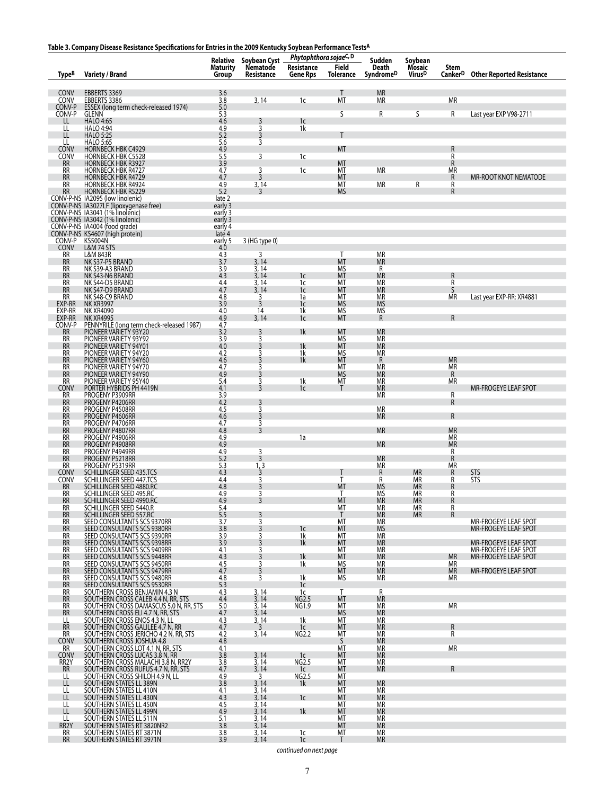# **Table 3. Company Disease Resistance Specifications for Entries in the 2009 Kentucky Soybean Performance TestsA**

|                                | rable 5. Company Disease Resistance Specifications for Entries in the 2009 Nentucky Soybean Performance Tests                                                                                                                                |                                             |                                        | Phytophthora sojaeC, D |                           |                                             |                                         |                             |                                              |
|--------------------------------|----------------------------------------------------------------------------------------------------------------------------------------------------------------------------------------------------------------------------------------------|---------------------------------------------|----------------------------------------|------------------------|---------------------------|---------------------------------------------|-----------------------------------------|-----------------------------|----------------------------------------------|
| <b>TypeB</b>                   | <b>Variety / Brand</b>                                                                                                                                                                                                                       | Relative<br><b>Maturity</b><br><b>Group</b> | Soybean Cyst<br>Nematode<br>Resistance | Resistance<br>Gene Rps | <b>Field</b><br>Tolerance | Sudden<br><b>Death</b><br><b>SyndromeD</b>  | Soybean<br>Mosaic<br>Virus <sup>D</sup> | Stem<br>Canker <sup>D</sup> | <b>Other Reported Resistance</b>             |
|                                |                                                                                                                                                                                                                                              |                                             |                                        |                        |                           |                                             |                                         |                             |                                              |
| CONV<br>CONV                   | EBBERTS 3369<br>EBBERTS 3386                                                                                                                                                                                                                 | 3.6<br>3.8                                  | 3,14                                   | 1c                     | Τ<br><b>MT</b>            | <b>MR</b><br>МR                             |                                         | <b>MR</b>                   |                                              |
| CONV-P<br>CONV-P               | ESSEX (long term check-released 1974)<br>GLENN                                                                                                                                                                                               | 5.0<br>5.3                                  |                                        |                        | S                         | R                                           | S                                       | R                           | Last year EXP V98-2711                       |
| $\mathsf{H}$<br>LL             | HALO 4:65<br>HALO 4:94                                                                                                                                                                                                                       | 4.6<br>4.9                                  | 3<br>3                                 | 1c<br>1k               |                           |                                             |                                         |                             |                                              |
| LL<br>LL                       | <b>HALO 5:25</b><br>HALO 5:65                                                                                                                                                                                                                | 5.2<br>5.6                                  | 3<br>3                                 |                        | T                         |                                             |                                         |                             |                                              |
| CONV                           | <b>HORNBECK HBK C4929</b>                                                                                                                                                                                                                    | 4.9                                         |                                        |                        | MT                        |                                             |                                         | R                           |                                              |
| CONV<br><b>RR</b>              | <b>HORNBECK HBK C5528</b><br><b>HORNBECK HBK R3927</b>                                                                                                                                                                                       | 5.5<br>3.9                                  | 3                                      | 1c                     | MT                        |                                             |                                         | R<br>$\ddot{R}$             |                                              |
| <b>RR</b><br><b>RR</b>         | HORNBECK HBK R4727<br><b>HORNBECK HBK R4729</b>                                                                                                                                                                                              | 4.7<br>4.7                                  | 3<br>3                                 | 1c                     | MT<br>MT                  | <b>MR</b>                                   |                                         | ΜR<br>R                     | MR-ROOT KNOT NEMATODE                        |
|                                | RR HORNBECK HBK R4924<br>RR HORNBECK HBK R4924<br>RR HORNBECK HBK R5229<br>CONV-P-NS 1A3095 (low linolenic)<br>CONV-P-NS 1A3027LF (lipoxygenase free)<br>CONV-P-NS 1A3041 (1% linolenic)<br>CONV-P-NS 1A4004 (food grade)<br>CONV-P-NS 1A400 | $4.9$<br>5.2                                | 3, 14<br>3                             |                        | МT<br><b>MS</b>           | <b>MR</b>                                   | R                                       | R<br>R                      |                                              |
|                                |                                                                                                                                                                                                                                              | late 2                                      |                                        |                        |                           |                                             |                                         |                             |                                              |
|                                |                                                                                                                                                                                                                                              | early 3<br>early 3                          |                                        |                        |                           |                                             |                                         |                             |                                              |
|                                |                                                                                                                                                                                                                                              | early 3<br>early 4                          |                                        |                        |                           |                                             |                                         |                             |                                              |
|                                |                                                                                                                                                                                                                                              | late 4<br>early 5                           | 3 (HG type 0)                          |                        |                           |                                             |                                         |                             |                                              |
| CONV-P<br>CONV                 | KS5004N<br>L&M 74 STS                                                                                                                                                                                                                        | 4.0                                         |                                        |                        |                           |                                             |                                         |                             |                                              |
| <b>RR</b><br><b>RR</b>         | L&M 843R<br>NK S37-P5 BRAND                                                                                                                                                                                                                  | 4.3<br>3.7                                  | 3<br>3, 14                             |                        | Τ<br><b>MT</b>            | <b>MR</b><br><b>MR</b>                      |                                         |                             |                                              |
| RR<br><b>RR</b>                | NK S39-A3 BRAND                                                                                                                                                                                                                              | 3.9<br>4.3                                  | 3, 14<br>3,14                          | 1 <sub>c</sub>         | ΜS<br>MT                  | R<br><b>MR</b>                              |                                         | $\mathsf R$                 |                                              |
| $\frac{RR}{RR}$                | NK S43-N6 BRAND<br>NK S44-D5 BRAND<br>NK S47-D9 BRAND                                                                                                                                                                                        | $4.4$<br>$4.7$                              | $\frac{3}{3}$ , 14<br>3, 14            | 1c<br>1c               | MT<br>MT                  | ΜR<br><b>MR</b>                             |                                         | $\frac{R}{S}$               |                                              |
| <b>RR</b>                      | NK S48-C9 BRAND                                                                                                                                                                                                                              | 4.8<br>3.9                                  | 3<br>3                                 | 1a                     | МT<br><b>MS</b>           | <b>MR</b>                                   |                                         | ΜR                          | Last year EXP-RR: XR4881                     |
| EXP-RR<br>EXP-RR               | NK XR3997<br>NK XR4090                                                                                                                                                                                                                       | 4.0                                         | 14                                     | 1 <sub>c</sub><br>1k   | ΜS                        | <b>MS</b><br>MS                             |                                         |                             |                                              |
| EXP-RR<br>CONV-P<br>RR         | <b>NK XR4995</b><br>PENNYRILE (long term check-released 1987)                                                                                                                                                                                | 4.9<br>4.7                                  | 3, 14                                  | 1 <sub>c</sub>         | MT                        | R                                           |                                         | ${\sf R}$                   |                                              |
| <b>RR</b>                      | PIONEER VARIETY 93Y20<br>PIONEER VARIETY 93Y92                                                                                                                                                                                               | 3.2<br>3.9                                  | 3<br>3                                 | 1k                     | MT<br>MS                  | <b>MR</b><br><b>MR</b>                      |                                         |                             |                                              |
| <b>RR</b>                      | PIONEER VARIETY 94Y01                                                                                                                                                                                                                        | 4.0                                         | 3                                      | $\frac{1}{1}$          | MT                        | <b>MR</b><br>ΜR                             |                                         |                             |                                              |
| RR<br><b>RR</b>                | PIONEER VARIETY 94Y20<br>PIONEER VARIETY 94Y60                                                                                                                                                                                               | 4.2<br>4.6                                  | 3<br>$\overline{3}$                    | 1k                     | ΜS<br><b>MT</b>           | R                                           |                                         | <b>MR</b>                   |                                              |
| <b>RR</b><br><b>RR</b>         | PIONEER VARIETY 94Y70<br>PIONEER VARIETY 94Y90                                                                                                                                                                                               | 4.7<br>4.9                                  | 3<br>3                                 |                        | МT<br><b>MS</b>           | ΜR<br>ΜR                                    |                                         | <b>MR</b><br>R              |                                              |
| <b>RR</b><br>Conv              | PIONEER VARIETY 95Y40<br>PORTER HYBRIDS PH 4419N                                                                                                                                                                                             | 5.4<br>4.1                                  | 3<br>$\overline{3}$                    | 1k<br>1c               | MT<br>Т                   | <b>MR</b><br><b>MR</b>                      |                                         | ΜR                          | MR-FROGEYE LEAF SPOT                         |
| RR                             | PROGENY P3909RR                                                                                                                                                                                                                              | 3.9                                         |                                        |                        |                           | ΜR                                          |                                         | ${\sf R}$                   |                                              |
| <b>RR</b><br><b>RR</b>         | PROGENY P4206RR<br>PROGENY P4508RR                                                                                                                                                                                                           | 4.2<br>$\frac{4.5}{4.6}$                    | 3<br>3                                 |                        |                           | MR                                          |                                         | R                           |                                              |
| <b>RR</b><br><b>RR</b>         | PROGENY P4606RR<br>PROGENY P4706RR                                                                                                                                                                                                           | 4.7                                         | $\overline{3}$<br>3                    |                        |                           | ΜR                                          |                                         | $\mathsf R$                 |                                              |
| <b>RR</b><br>RR                | PROGENY P4807RR<br>PROGENY P4906RR                                                                                                                                                                                                           | 4.8<br>4.9                                  | $\overline{3}$                         | 1a                     |                           | <b>MR</b>                                   |                                         | <b>MR</b><br>МR             |                                              |
| <b>RR</b>                      | PROGENY P4908RR                                                                                                                                                                                                                              | 4.9                                         |                                        |                        |                           | <b>MR</b>                                   |                                         | <b>MR</b>                   |                                              |
| RR<br><b>RR</b>                | PROGENY P4949RR<br>PROGENY P5218RR                                                                                                                                                                                                           | $4.9$<br>5.2                                | 3<br>$\overline{3}$                    |                        |                           | <b>MR</b>                                   |                                         | $\frac{R}{R}$               |                                              |
| <b>RR</b>                      | PROGENY P5319RR<br>SCHILLINGER SEED 435.TCS                                                                                                                                                                                                  | 5.3<br>4.3                                  | 1, 3<br>3                              |                        |                           | <b>MR</b>                                   | <b>MR</b>                               | ΜR<br>$\mathsf{R}$          | STS                                          |
| CONV<br>CONV<br><b>RR</b>      | SCHILLINGER SEED 447.TCS<br>SCHILLINGER SEED 4880.RC                                                                                                                                                                                         | 4.4<br>4.8                                  | 3<br>$\overline{3}$                    |                        | T<br>T<br>MT              | $\mathop{R}\limits^{\text{R}}$<br><b>MS</b> | ΜR<br><b>MR</b>                         | R<br>R                      | <b>STS</b>                                   |
| RR                             | SCHILLINGER SEED 495.RC                                                                                                                                                                                                                      | 4.9                                         | 3                                      |                        | Τ                         | ΜS                                          | ΜR                                      | R                           |                                              |
| <b>RR</b><br>RR                | SCHILLINGER SEED 4990.RC<br>SCHILLINGER SEED 5440.R                                                                                                                                                                                          | 4.9<br>5.4                                  |                                        |                        | МT<br>МT                  | MR.<br>МR                                   | MR.<br>МR                               | K<br>R                      |                                              |
| <b>RR</b><br>RR                | SCHILLINGER SEED 557.RC<br>SEED CONSULTANTS SCS 9370RR                                                                                                                                                                                       | 5.5<br>3.7                                  | 3<br>3                                 |                        | T<br>МT                   | <b>MR</b><br>МR                             | <b>MR</b>                               | R                           | MR-FROGEYE LEAF SPOT                         |
| <b>RR</b><br><b>RR</b>         | SEED CONSULTANTS SCS 9380RR<br>SEED CONSULTANTS SCS 9390RR                                                                                                                                                                                   | 3.8<br>3.9                                  | 3<br>3                                 | 1c<br>1k               | <b>MT</b><br>MT           | <b>MS</b><br><b>MR</b>                      |                                         |                             | <b>MR-FROGEYE LEAF SPOT</b>                  |
| <b>RR</b><br><b>RR</b>         | SEED CONSULTANTS SCS 9398RR<br>SEED CONSULTANTS SCS 9409RR                                                                                                                                                                                   | 3.9<br>4.1                                  | 3<br>3                                 | 1k                     | МT<br>MT                  | МR<br><b>MR</b>                             |                                         |                             | MR-FROGEYE LEAF SPOT<br>MR-FROGEYE LEAF SPOT |
| <b>RR</b>                      | SEED CONSULTANTS SCS 9448RR                                                                                                                                                                                                                  | 4.3                                         | 3                                      | 1k                     | MT                        | <b>MR</b>                                   |                                         | <b>MR</b>                   | MR-FROGEYE LEAF SPOT                         |
| RR<br><b>RR</b>                | SEED CONSULTANTS SCS 9450RR<br>SEED CONSULTANTS SCS 9479RR                                                                                                                                                                                   | 4.5<br>4.7                                  | 3<br>3                                 | 1k                     | ΜS<br>MT                  | МR<br><b>MR</b>                             |                                         | МR<br><b>MR</b>             | MR-FROGEYE LEAF SPOT                         |
| <b>RR</b><br><b>RR</b>         | SEED CONSULTANTS SCS 9480RR<br>SEED CONSULTANTS SCS 9530RR                                                                                                                                                                                   | 4.8<br>5.3                                  | 3                                      | 1k<br>1c               | <b>MS</b>                 | <b>MR</b>                                   |                                         | ΜR                          |                                              |
| <b>RR</b><br><b>RR</b>         | SOUTHERN CROSS BENJAMIN 4.3 N                                                                                                                                                                                                                | 4.3<br>4.4                                  | 3,14                                   | 1c<br><b>NG2.5</b>     | Τ<br><b>MT</b>            | R<br><b>MR</b>                              |                                         |                             |                                              |
| RR                             | SOUTHERN CROSS CALEB 4.4 N, RR, STS<br>SOUTHERN CROSS DAMASCUS 5.0 N, RR, STS                                                                                                                                                                | 5.0                                         | 3,14<br>3,14                           | NG1.9                  | МT                        | ΜR                                          |                                         | ΜR                          |                                              |
| <b>RR</b><br>LL                | SOUTHERN CROSS ELI 4.7 N, RR, STS<br>SOUTHERN CROSS ENOS 4.3 N. LL                                                                                                                                                                           | 4.7<br>4.3                                  | 3, 14<br>3, 14                         | 1k                     | <b>MS</b><br>MT           | <b>MR</b><br><b>MR</b>                      |                                         |                             |                                              |
| <b>RR</b><br><b>RR</b>         | SOUTHERN CROSS GALILEE 4.7 N, RR<br>SOUTHERN CROSS JERICHO 4.2 N, RR, STS                                                                                                                                                                    | 4.7<br>4.2                                  | 3<br>3,14                              | 1c<br><b>NG2.2</b>     | МT<br>МT                  | МR<br>ΜR                                    |                                         | R<br>R                      |                                              |
| <b>CONV</b><br>RR              | SOUTHERN CROSS JOSHUA 4.8<br>SOUTHERN CROSS LOT 4.1 N, RR, STS                                                                                                                                                                               | 4.8<br>4.1                                  |                                        |                        | S<br>МT                   | <b>MR</b><br>ΜR                             |                                         | ΜR                          |                                              |
| CONV                           | SOUTHERN CROSS LUCAS 3.8 N, RR                                                                                                                                                                                                               | 3.8                                         | 3, 14                                  | 1c                     | <b>MT</b>                 | <b>MR</b>                                   |                                         |                             |                                              |
| RR <sub>2</sub> Y<br><b>RR</b> | SOUTHERN CROSS MALACHI 3.8 N. RR2Y<br>SOUTHERN CROSS RUFUS 4.7 N, RR, STS                                                                                                                                                                    | 3.8<br>4.7                                  | 3, 14<br>3,14                          | NG2.5<br>1c            | MT<br>MT                  | MR<br>МR                                    |                                         | R                           |                                              |
| LL<br>LL                       | SOUTHERN CROSS SHILOH 4.9 N, LL<br>SOUTHERN STATES LL 389N                                                                                                                                                                                   | 4.9<br>3.8                                  | 3<br>3,14                              | <b>NG2.5</b><br>1k     | МT<br><b>MT</b>           | <b>MR</b>                                   |                                         |                             |                                              |
| LL<br>LL                       | SOUTHERN STATES LL 410N<br>SOUTHERN STATES LL 430N                                                                                                                                                                                           | 4.1<br>4.3                                  | 3, 14<br>3,14                          | 1c                     | МT<br><b>MT</b>           | ΜR<br><b>MR</b>                             |                                         |                             |                                              |
| LL                             | SOUTHERN STATES LL 450N                                                                                                                                                                                                                      | 4.5                                         | 3, 14                                  |                        | MT                        | MR                                          |                                         |                             |                                              |
| $\mathbf{H}$<br>LL             | SOUTHERN STATES LL 499N<br>SOUTHERN STATES LL 511N                                                                                                                                                                                           | 4.9<br>5.1                                  | 3,14<br>3, 14                          | 1 <sup>k</sup>         | MT<br>MT                  | МR<br>MR                                    |                                         |                             |                                              |
| RR <sub>2</sub> Y<br>RR        | SOUTHERN STATES RT 3820NR2<br>SOUTHERN STATES RT 3871N                                                                                                                                                                                       | 3.8<br>3.8                                  | 3,14<br>3,14                           | 1c                     | <b>MT</b><br>МT           | <b>MR</b><br>МR                             |                                         |                             |                                              |
| <b>RR</b>                      | SOUTHERN STATES RT 3971N                                                                                                                                                                                                                     | 3.9                                         | 3, 14                                  | 1c                     | T                         | <b>MR</b>                                   |                                         |                             |                                              |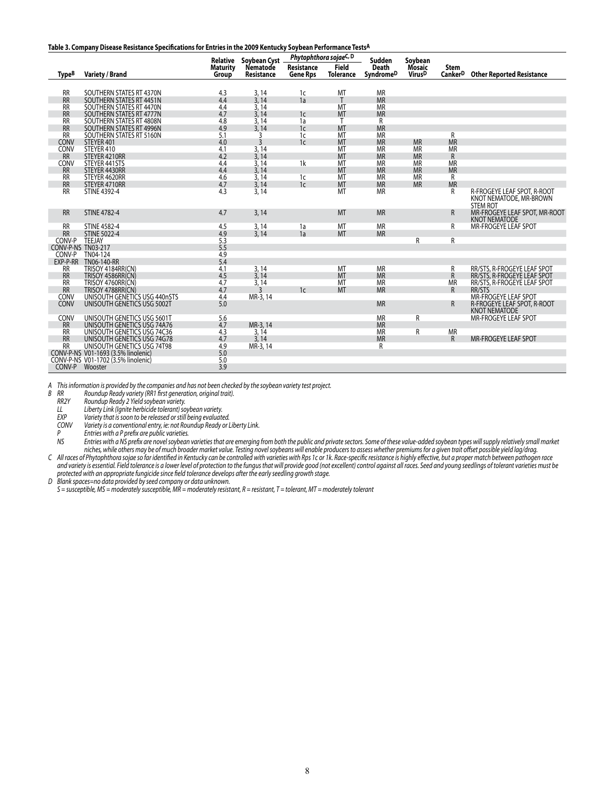#### **Table 3. Company Disease Resistance Specifications for Entries in the 2009 Kentucky Soybean Performance TestsA**

|                        |                                                      | <b>Relative</b> | Soybean Cyst   | Phytophthora sojaeC, D |                  | Sudden         | Soybean       |                           |                                                                           |
|------------------------|------------------------------------------------------|-----------------|----------------|------------------------|------------------|----------------|---------------|---------------------------|---------------------------------------------------------------------------|
|                        |                                                      | <b>Maturity</b> | Nematode       | Resistance             | <b>Field</b>     | <b>Death</b>   | <b>Mosaic</b> | <b>Stem</b>               |                                                                           |
| <b>TypeB</b>           | <b>Variety / Brand</b>                               | Group           | Resistance     | <b>Gene Rps</b>        | <b>Tolerance</b> | SyndromeD      | <b>VirusD</b> | <b>Canker<sup>D</sup></b> | <b>Other Reported Resistance</b>                                          |
|                        |                                                      |                 |                |                        |                  |                |               |                           |                                                                           |
| <b>RR</b>              | SOUTHERN STATES RT 4370N                             | 4.3             | 3,14           | 1c                     | MT               | <b>MR</b>      |               |                           |                                                                           |
| <b>RR</b>              | SOUTHERN STATES RT 4451N                             | 4.4             | 3,14           | 1a                     | T                | <b>MR</b>      |               |                           |                                                                           |
| <b>RR</b>              | SOUTHERN STATES RT 4470N                             | 4.4             | 3,14           |                        | MT               | <b>MR</b>      |               |                           |                                                                           |
| <b>RR</b><br><b>RR</b> | SOUTHERN STATES RT 4777N<br>SOUTHERN STATES RT 4808N | 4.7<br>4.8      | 3,14           | 1 <sub>c</sub>         | <b>MT</b><br>Т   | <b>MR</b><br>R |               |                           |                                                                           |
| <b>RR</b>              | SOUTHERN STATES RT 4996N                             | 4.9             | 3,14<br>3,14   | 1a<br>1 <sub>c</sub>   | <b>MT</b>        | <b>MR</b>      |               |                           |                                                                           |
| <b>RR</b>              | SOUTHERN STATES RT 5160N                             | 5.1             | 3              | 1 <sub>c</sub>         | MT               | <b>MR</b>      |               | R                         |                                                                           |
| CONV                   | STEYER 401                                           | 4.0             | $\overline{3}$ | 1 <sub>c</sub>         | <b>MT</b>        | <b>MR</b>      | <b>MR</b>     | <b>MR</b>                 |                                                                           |
| CONV                   | STEYER 410                                           | 4.1             | 3,14           |                        | MT               | <b>MR</b>      | <b>MR</b>     | <b>MR</b>                 |                                                                           |
| <b>RR</b>              | STEYER 4210RR                                        | 4.2             | 3,14           |                        | <b>MT</b>        | <b>MR</b>      | <b>MR</b>     | $\mathsf{R}$              |                                                                           |
| CONV                   | STEYER 441STS                                        | 4.4             | 3,14           | 1 <sup>k</sup>         | MT               | <b>MR</b>      | <b>MR</b>     | <b>MR</b>                 |                                                                           |
| <b>RR</b>              | STEYER 4430RR                                        | 4.4             | 3,14           |                        | <b>MT</b>        | <b>MR</b>      | <b>MR</b>     | <b>MR</b>                 |                                                                           |
| <b>RR</b>              | STEYER 4620RR                                        | 4.6             | 3,14           | 1c                     | MT               | <b>MR</b>      | <b>MR</b>     | R                         |                                                                           |
| <b>RR</b>              | STEYER 4710RR                                        | 4.7             | 3,14           | 1 <sub>c</sub>         | MT               | <b>MR</b>      | <b>MR</b>     | <b>MR</b>                 |                                                                           |
| <b>RR</b>              | <b>STINE 4392-4</b>                                  | 4.3             | 3,14           |                        | MT               | <b>MR</b>      |               | R                         | R-FROGEYE LEAF SPOT, R-ROOT<br>KNOT NEMATODE, MR-BROWN<br><b>STEM ROT</b> |
| <b>RR</b>              | <b>STINE 4782-4</b>                                  | 4.7             | 3,14           |                        | <b>MT</b>        | <b>MR</b>      |               | R                         | MR-FROGEYE LEAF SPOT, MR-ROOT<br><b>KNOT NEMATODE</b>                     |
| <b>RR</b>              | <b>STINE 4582-4</b>                                  | 4.5             | 3,14           | 1a                     | MT               | <b>MR</b>      |               | R                         | MR-FROGEYE LEAF SPOT                                                      |
| <b>RR</b>              | <b>STINE 5022-4</b>                                  | 4.9             | 3,14           | 1a                     | <b>MT</b>        | <b>MR</b>      |               |                           |                                                                           |
| CONV-P                 | TEEJAY                                               | 5.3             |                |                        |                  |                | R             | R                         |                                                                           |
| CONV-P-NS TN03-217     |                                                      | 5.5             |                |                        |                  |                |               |                           |                                                                           |
| CONV-P                 | TN04-124                                             | 4.9             |                |                        |                  |                |               |                           |                                                                           |
| EXP-P-RR               | TN06-140-RR                                          | 5.4             |                |                        |                  | <b>MR</b>      |               |                           |                                                                           |
| <b>RR</b>              | TRISOY 4184RR(CN)                                    | 4.1<br>4.5      | 3, 14<br>3,14  |                        | MT<br><b>MT</b>  | <b>MR</b>      |               | R                         | RR/STS, R-FROGEYE LEAF SPOT                                               |
| <b>RR</b><br><b>RR</b> | TRISOY 4586RR(CN)<br>TRISOY 4760RR(CN)               | 4.7             | 3,14           |                        | MT               | <b>MR</b>      |               | $\mathsf R$<br><b>MR</b>  | RR/STS, R-FROGEYE LEAF SPOT                                               |
| <b>RR</b>              | TRISOY 4788RR(CN)                                    | 4.7             | ิว             | 1 <sub>c</sub>         | MT               | <b>MR</b>      |               | $\mathsf{R}$              | RR/STS, R-FROGEYE LEAF SPOT<br>RR/STS                                     |
| CONV                   | UNISOUTH GENETICS USG 440nSTS                        | 4.4             | MR-3, 14       |                        |                  |                |               |                           | MR-FROGEYE LEAF SPOT                                                      |
| CONV                   | UNISOUTH GENETICS USG 5002T                          | 5.0             |                |                        |                  | <b>MR</b>      |               | $\mathsf{R}$              | R-FROGEYE LEAF SPOT, R-ROOT<br><b>KNOT NEMATODE</b>                       |
| CONV                   | UNISOUTH GENETICS USG 5601T                          | 5.6             |                |                        |                  | <b>MR</b>      | R             |                           | MR-FROGEYE LEAF SPOT                                                      |
|                        | UNISOUTH GENETICS USG 74A76                          | 4.7             | MR-3, 14       |                        |                  | <b>MR</b>      |               |                           |                                                                           |
| RR                     | UNISOUTH GENETICS USG 74C36                          | 4.3             | 3,14           |                        |                  | <b>MR</b>      | R             | <b>MR</b>                 |                                                                           |
| <b>RR</b>              | UNISOUTH GENETICS USG 74G78                          | 4.7             | 3.14           |                        |                  | <b>MR</b>      |               | $\mathsf{R}$              | <b>MR-FROGEYE LEAF SPOT</b>                                               |
| <b>RR</b>              | UNISOUTH GENETICS USG 74T98                          | 4.9             | MR-3, 14       |                        |                  | R              |               |                           |                                                                           |
|                        | CONV-P-NS V01-1693 (3.5% linolenic)                  | 5.0             |                |                        |                  |                |               |                           |                                                                           |
|                        | CONV-P-NS V01-1702 (3.5% linolenic)                  | 5.0             |                |                        |                  |                |               |                           |                                                                           |
| CONV-P                 | Wooster                                              | 3.9             |                |                        |                  |                |               |                           |                                                                           |

A This information is provided by the companies and has not been checked by the soybean variety test project.

*B RR Roundup Ready variety (RR1 first generation, original trait).*

 *RR2Y Roundup Ready 2 Yield soybean variety.*

 *LL Liberty Link (Ignite herbicide tolerant)soybean variety.*

 *EXP Variety that issoon to be released orstill being evaluated.*

 *CONV Variety is a conventional entry, ie: not Roundup Ready or Liberty Link.*

 *P Entries with a P prefix are public varieties.*

Entries with a NS prefix are novel soybean varieties that are emerging from both the public and private sectors. Some of these value-added soybean types will supply relatively small market niches, while others may be of much broader market value. Testing novel soybeans will enable producers to assess whether premiums for a given trait offset possible yield lag/drag. C – All races of Phytophthora sojae so far identified in Kentucky can be controlled with varieties with Rps 1c or 1k. Race-specific resistance is highly effective, but a proper match between pathogen race

and variety is essential. Field tolerance is a lower level of protection to the fungus that will provide good (not excellent) control against all races. Seed and young seedlings of tolerant varieties must be *protected with an appropriate fungicide since field tolerance develops after the early seedling growth stage.*

*D Blank spaces=no data provided by seed company or data unknown.*

 $S =$  susceptible, MS = moderately susceptible, MR = moderately resistant, R = resistant, T = tolerant, MT = moderately tolerant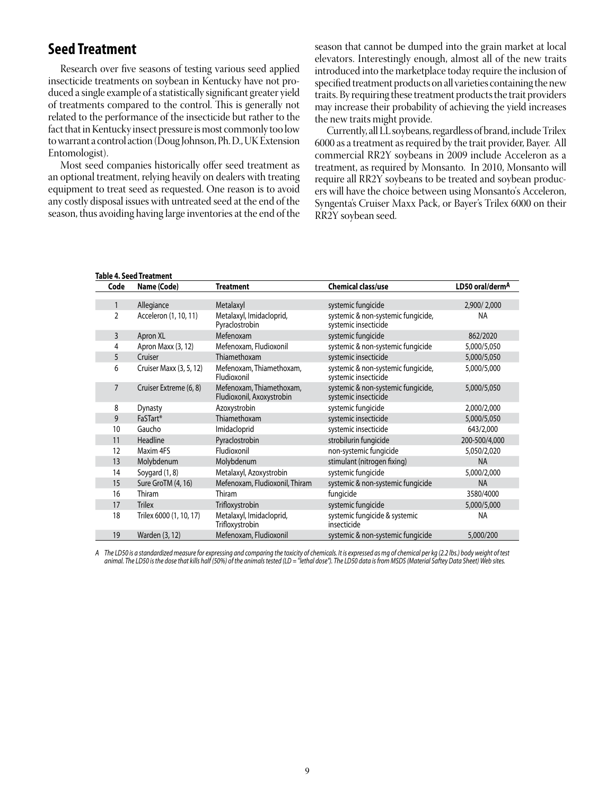# **Seed Treatment**

Research over five seasons of testing various seed applied insecticide treatments on soybean in Kentucky have not produced a single example of a statistically significant greater yield of treatments compared to the control. This is generally not related to the performance of the insecticide but rather to the fact that in Kentucky insect pressure is most commonly too low to warrant a control action (Doug Johnson, Ph. D., UK Extension Entomologist).

Most seed companies historically offer seed treatment as an optional treatment, relying heavily on dealers with treating equipment to treat seed as requested. One reason is to avoid any costly disposal issues with untreated seed at the end of the season, thus avoiding having large inventories at the end of the season that cannot be dumped into the grain market at local elevators. Interestingly enough, almost all of the new traits introduced into the marketplace today require the inclusion of specified treatment products on all varieties containing the new traits. By requiring these treatment products the trait providers may increase their probability of achieving the yield increases the new traits might provide.

Currently, all LL soybeans, regardless of brand, include Trilex 6000 as a treatment as required by the trait provider, Bayer. All commercial RR2Y soybeans in 2009 include Acceleron as a treatment, as required by Monsanto. In 2010, Monsanto will require all RR2Y soybeans to be treated and soybean producers will have the choice between using Monsanto's Acceleron, Syngenta's Cruiser Maxx Pack, or Bayer's Trilex 6000 on their RR2Y soybean seed.

|                | <b>Table 4. Seed Treatment</b> |                                                       |                                                            |                 |
|----------------|--------------------------------|-------------------------------------------------------|------------------------------------------------------------|-----------------|
| Code           | Name (Code)                    | <b>Treatment</b>                                      | <b>Chemical class/use</b>                                  | LD50 oral/dermA |
|                |                                |                                                       |                                                            |                 |
|                | Allegiance                     | Metalaxyl                                             | systemic fungicide                                         | 2,900/2,000     |
| $\overline{2}$ | Acceleron (1, 10, 11)          | Metalaxyl, Imidacloprid,<br>Pyraclostrobin            | systemic & non-systemic fungicide,<br>systemic insecticide | <b>NA</b>       |
| $\overline{3}$ | Apron XL                       | Mefenoxam                                             | systemic fungicide                                         | 862/2020        |
| 4              | Apron Maxx (3, 12)             | Mefenoxam, Fludioxonil                                | systemic & non-systemic fungicide                          | 5,000/5,050     |
| 5              | Cruiser                        | Thiamethoxam                                          | systemic insecticide                                       | 5,000/5,050     |
| 6              | Cruiser Maxx (3, 5, 12)        | Mefenoxam, Thiamethoxam,<br>Fludioxonil               | systemic & non-systemic fungicide,<br>systemic insecticide | 5,000/5,000     |
| $\overline{7}$ | Cruiser Extreme (6, 8)         | Mefenoxam, Thiamethoxam,<br>Fludioxonil, Axoxystrobin | systemic & non-systemic fungicide,<br>systemic insecticide | 5,000/5,050     |
| 8              | <b>Dynasty</b>                 | Azoxystrobin                                          | systemic fungicide                                         | 2,000/2,000     |
| 9              | FaSTart <sup>®</sup>           | Thiamethoxam                                          | systemic insecticide                                       | 5,000/5,050     |
| 10             | Gaucho                         | Imidacloprid                                          | systemic insecticide                                       | 643/2,000       |
| 11             | Headline                       | Pyraclostrobin                                        | strobilurin fungicide                                      | 200-500/4,000   |
| 12             | Maxim 4FS                      | Fludioxonil                                           | non-systemic fungicide                                     | 5,050/2,020     |
| 13             | Molybdenum                     | Molybdenum                                            | stimulant (nitrogen fixing)                                | <b>NA</b>       |
| 14             | Soygard (1, 8)                 | Metalaxyl, Azoxystrobin                               | systemic fungicide                                         | 5,000/2,000     |
| 15             | Sure GroTM (4, 16)             | Mefenoxam, Fludioxonil, Thiram                        | systemic & non-systemic fungicide                          | <b>NA</b>       |
| 16             | Thiram                         | Thiram                                                | fungicide                                                  | 3580/4000       |
| 17             | <b>Trilex</b>                  | Trifloxystrobin                                       | systemic fungicide                                         | 5,000/5,000     |
| 18             | Trilex 6000 (1, 10, 17)        | Metalaxyl, Imidacloprid,<br>Trifloxystrobin           | systemic fungicide & systemic<br>insecticide               | <b>NA</b>       |
| 19             | Warden (3, 12)                 | Mefenoxam, Fludioxonil                                | systemic & non-systemic fungicide                          | 5,000/200       |

A The LD50 is a standardized measure for expressing and comparing the toxicity of chemicals. It is expressed as mg of chemical per kg (2.2 lbs.) body weight of test animal. The LD50 is the dose that kills half (50%) of the animals tested (LD = "lethal dose"). The LD50 data is from MSDS (Material Saftey Data Sheet) Web sites.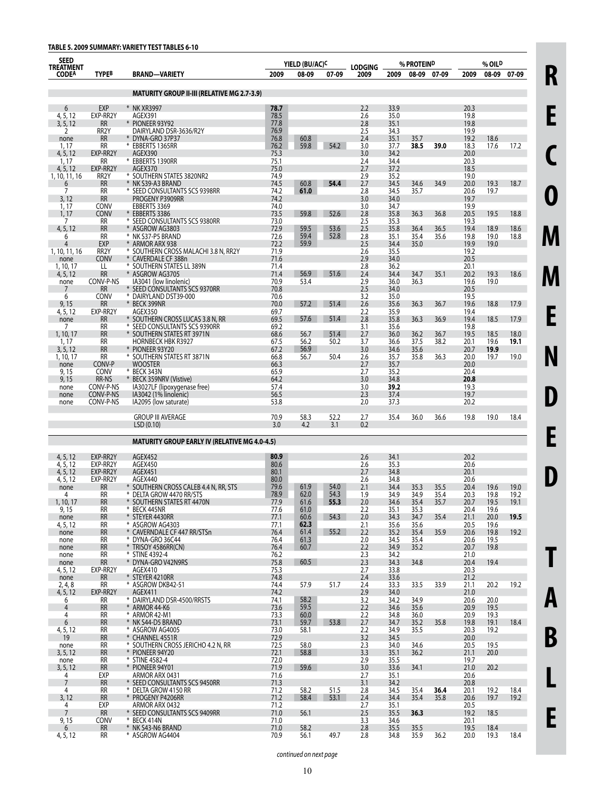| <b>SEED</b><br>TREATMENT  |                               |                                                                   |              | YIELD (BU/AC) <sup>C</sup> |              | <b>LODGING</b> | % PROTEIN <sup>D</sup> |              |              | % OIL <sup>D</sup> |              |              |
|---------------------------|-------------------------------|-------------------------------------------------------------------|--------------|----------------------------|--------------|----------------|------------------------|--------------|--------------|--------------------|--------------|--------------|
| <b>CODEA</b>              | <b>TYPEB</b>                  | <b>BRAND-VARIETY</b>                                              | 2009         | 08-09                      | 07-09        | 2009           | 2009                   | 08-09        | 07-09        | 2009               | 08-09        | 07-09        |
|                           |                               |                                                                   |              |                            |              |                |                        |              |              |                    |              |              |
|                           |                               | <b>MATURITY GROUP II-III (RELATIVE MG 2.7-3.9)</b>                |              |                            |              |                |                        |              |              |                    |              |              |
| 6<br>4, 5, 12             | <b>EXP</b><br>EXP-RR2Y        | * NK XR3997<br>AGEX391                                            | 78.7<br>78.5 |                            |              | 2.2<br>2.6     | 33.9<br>35.0           |              |              | 20.3<br>19.8       |              |              |
| 3, 5, 12                  | <b>RR</b>                     | * PIONEER 93Y92                                                   | 77.8         |                            |              | 2.8            | 35.1                   |              |              | 19.8               |              |              |
| 2                         | RR <sub>2</sub> Y             | DAIRYLAND DSR-3636/R2Y                                            | 76.9         |                            |              | 2.5            | 34.3                   |              |              | 19.9               |              |              |
| none<br>1.17              | <b>RR</b><br>RR               | * DYNA-GRO 37P37<br>* EBBERTS 1365RR                              | 76.8<br>76.2 | 60.8<br>59.8               | 54.2         | 2.4<br>3.0     | 35.1<br>37.7           | 35.7<br>38.5 | 39.0         | 19.2<br>18.3       | 18.6<br>17.6 | 17.2         |
| 4, 5, 12                  | EXP-RR2Y                      | AGEX390                                                           | 75.3         |                            |              | 3.0            | 34.2                   |              |              | 20.0               |              |              |
| 1.17                      | RR                            | * EBBERTS 1390RR                                                  | 75.1         |                            |              | 2.4            | 34.4                   |              |              | 20.3               |              |              |
| 4, 5, 12<br>1, 10, 11, 16 | EXP-RR2Y<br>RR <sub>2</sub> Y | AGEX370<br>* SOUTHERN STATES 3820NR2                              | 75.0<br>74.9 |                            |              | 2.7<br>2.9     | 37.2<br>35.2           |              |              | 18.5<br>19.0       |              |              |
| 6                         | <b>RR</b>                     | * NK S39-A3 BRAND                                                 | 74.5         | 60.8                       | 54.4         | 2.7            | 34.5                   | 34.6         | 34.9         | 20.0               | 19.3         | 18.7         |
| 7                         | RR                            | * SEED CONSULTANTS SCS 9398RR                                     | 74.2         | 61.0                       |              | 2.8            | 34.5                   | 35.7         |              | 20.6               | 19.7         |              |
| 3, 12<br>1, 17            | <b>RR</b><br><b>CONV</b>      | PROGENY P3909RR<br>EBBERTS 3369                                   | 74.2<br>74.0 |                            |              | 3.0<br>3.0     | 34.0<br>34.7           |              |              | 19.7<br>19.9       |              |              |
| 1, 17                     | <b>CONV</b>                   | * EBBERTS 3386                                                    | 73.5         | 59.8                       | 52.6         | 2.8            | 35.8                   | 36.3         | 36.8         | 20.5               | 19.5         | 18.8         |
| 7                         | RR                            | * SEED CONSULTANTS SCS 9380RR                                     | 73.0         |                            |              | 2.5            | 35.3                   |              |              | 19.3               |              |              |
| 4, 5, 12<br>6             | <b>RR</b><br><b>RR</b>        | * ASGROW AG3803<br>* NK S37-P5 BRAND                              | 72.9<br>72.6 | 59.5<br>59.4               | 53.6<br>52.8 | 2.5<br>2.8     | 35.8<br>35.1           | 36.4<br>35.4 | 36.5<br>35.6 | 19.4<br>19.8       | 18.9<br>19.0 | 18.6<br>18.8 |
| 4                         | <b>EXP</b>                    | * ARMOR ARX 938                                                   | 72.2         | 59.9                       |              | 2.5            | 34.4                   | 35.0         |              | 19.9               | 19.0         |              |
| 1, 10, 11, 16             | RR <sub>2</sub> Y             | * SOUTHERN CROSS MALACHI 3.8 N, RR2Y                              | 71.9         |                            |              | 2.6            | 35.5                   |              |              | 19.2               |              |              |
| none<br>1, 10, 17         | <b>CONV</b><br>LL             | * CAVERDALE CF 388n<br>* SOUTHERN STATES LL 389N                  | 71.6<br>71.4 |                            |              | 2.9<br>2.8     | 34.0<br>36.2           |              |              | 20.5<br>20.1       |              |              |
| 4, 5, 12                  | <b>RR</b>                     | * ASGROW AG3705                                                   | 71.4         | 56.9                       | 51.6         | 2.4            | 34.4                   | 34.7         | 35.1         | 20.2               | 19.3         | 18.6         |
| none                      | CONV-P-NS<br><b>RR</b>        | IA3041 (low linolenic)<br>* SEED CONSULTANTS SCS 9370RR           | 70.9<br>70.8 | 53.4                       |              | 2.9<br>2.5     | 36.0<br>34.0           | 36.3         |              | 19.6<br>20.5       | 19.0         |              |
| 6                         | CONV                          | * DAIRYLAND DST39-000                                             | 70.6         |                            |              | 3.2            | 35.0                   |              |              | 19.5               |              |              |
| 9,15                      | <b>RR</b>                     | * BECK 399NR                                                      | 70.0         | 57.2                       | 51.4         | 2.6            | 35.6                   | 36.3         | 36.7         | 19.6               | 18.8         | 17.9         |
| 4, 5, 12<br>none          | EXP-RR2Y<br><b>RR</b>         | AGEX350<br>* SOUTHERN CROSS LUCAS 3.8 N, RR                       | 69.7<br>69.5 | 57.6                       | 51.4         | 2.2<br>2.8     | 35.9<br>35.8           | 36.3         | 36.9         | 19.4<br>19.4       | 18.5         | 17.9         |
| 7                         | RR                            | * SEED CONSULTANTS SCS 9390RR                                     | 69.2         |                            |              | 3.1            | 35.6                   |              |              | 19.8               |              |              |
| 1, 10, 17                 | <b>RR</b>                     | * SOUTHERN STATES RT 3971N                                        | 68.6         | 56.7                       | 51.4         | 2.7            | 36.0                   | 36.2         | 36.7         | 19.5               | 18.5         | 18.0         |
| 1, 17<br>3, 5, 12         | RR<br><b>RR</b>               | HORNBECK HBK R3927<br>* PIONEER 93Y20                             | 67.5<br>67.2 | 56.2<br>56.9               | 50.2         | 3.7<br>3.0     | 36.6<br>34.6           | 37.5<br>35.6 | 38.2         | 20.1<br>20.7       | 19.6<br>19.9 | 19.1         |
| 1, 10, 17                 | RR                            | * SOUTHERN STATES RT 3871N                                        | 66.8         | 56.7                       | 50.4         | 2.6            | 35.7                   | 35.8         | 36.3         | 20.0               | 19.7         | 19.0         |
| none                      | CONV-P                        | <b>WOOSTER</b>                                                    | 66.3         |                            |              | 2.7            | 35.7                   |              |              | 20.0               |              |              |
| 9, 15<br>9,15             | CONV<br>RR-NS                 | * BECK 343N<br>* BECK 359NRV (Vistive)                            | 65.9<br>64.2 |                            |              | 2.7<br>3.0     | 35.2<br>34.8           |              |              | 20.4<br>20.8       |              |              |
| none                      | CONV-P-NS                     | IA3027LF (lipoxygenase free)                                      | 57.4         |                            |              | 3.0            | 39.2                   |              |              | 19.3               |              |              |
| none                      | CONV-P-NS                     | IA3042 (1% linolenic)                                             | 56.5         |                            |              | 2.3            | 37.4                   |              |              | 19.7               |              |              |
| none                      | CONV-P-NS                     | IA2095 (low saturate)                                             | 53.8         |                            |              | 2.0            | 37.3                   |              |              | 20.2               |              |              |
|                           |                               | <b>GROUP III AVERAGE</b>                                          | 70.9         | 58.3                       | 52.2         | 2.7            | 35.4                   | 36.0         | 36.6         | 19.8               | 19.0         | 18.4         |
|                           |                               | LSD(0.10)                                                         | 3.0          | 4.2                        | 3.1          | 0.2            |                        |              |              |                    |              |              |
|                           |                               | <b>MATURITY GROUP EARLY IV (RELATIVE MG 4.0-4.5)</b>              |              |                            |              |                |                        |              |              |                    |              |              |
| 4, 5, 12                  | EXP-RR2Y                      | AGEX452                                                           | 80.9         |                            |              | 2.6            | 34.1                   |              |              | 20.2               |              |              |
| 4, 5, 12<br>4, 5, 12      | EXP-RR2Y<br>EXP-RR2Y          | AGEX450<br>AGEX451                                                | 80.6<br>80.1 |                            |              | 2.6<br>2.7     | 35.3<br>34.8           |              |              | 20.6<br>20.1       |              |              |
| 4, 5, 12                  | EXP-RR2Y                      | AGEX440                                                           | 80.0         |                            |              | 2.6            | 34.8                   |              |              | 20.6               |              |              |
| none                      | <b>RR</b>                     | * SOUTHERN CROSS CALEB 4.4 N, RR, STS<br>* DELTA GROW 4470 RR/STS | 79.6         | 61.9                       | 54.0         | 2.1            | 34.4                   | 35.3         | 35.5         | 20.4               | 19.6         | 19.0         |
| 4<br>1, 10, 17            | <b>RR</b><br><b>RR</b>        | * SOUTHERN STATES RT 4470N                                        | 78.9<br>77.9 | 62.0<br>61.6               | 54.3<br>55.3 | 1.9<br>2.0     | 34.9<br>34.6           | 34.9<br>35.4 | 35.4<br>35.7 | 20.3<br>20.7       | 19.8<br>19.5 | 19.2<br>19.1 |
| 9, 15                     | RR                            | * BECK 445NR                                                      | 77.6         | 61.0                       |              | 2.2            | 35.1                   | 35.3         |              | 20.4               | 19.6         |              |
| none                      | <b>RR</b><br>RR               | * STEYER 4430RR<br>* ASGROW AG4303                                | 77.1         | 60.6                       | 54.3         | 2.0<br>2.1     | 34.3<br>35.6           | 34.7         | 35.4         | 21.1<br>20.5       | 20.0         | 19.5         |
| 4, 5, 12<br>none          | <b>RR</b>                     | * CAVERNDALE CF 447 RR/STSn                                       | 77.1<br>76.4 | 62.3<br>61.4               | 55.2         | 2.2            | 35.2                   | 35.6<br>35.4 | 35.9         | 20.6               | 19.6<br>19.8 | 19.2         |
| none                      | RR                            | * DYNA-GRO 36C44                                                  | 76.4         | 61.3                       |              | 2.0            | 34.5                   | 35.4         |              | 20.6               | 19.5         |              |
| none                      | <b>RR</b><br>RR               | * TRISOY 4586RR(CN)<br>* STINE 4392-4                             | 76.4<br>76.2 | 60.7                       |              | 2.2<br>2.3     | 34.9<br>34.2           | 35.2         |              | 20.7<br>21.0       | 19.8         |              |
| none<br>none              | <b>RR</b>                     | * DYNA-GRO V42N9RS                                                | 75.8         | 60.5                       |              | 2.3            | 34.3                   | 34.8         |              | 20.4               | 19.4         |              |
| 4, 5, 12                  | EXP-RR2Y                      | AGEX410                                                           | 75.3         |                            |              | 2.7            | 33.8                   |              |              | 20.3               |              |              |
| none<br>2, 4, 8           | <b>RR</b><br>RR               | * STEYER 4210RR<br>* ASGROW DKB42-51                              | 74.8<br>74.4 | 57.9                       | 51.7         | 2.4<br>2.4     | 33.6<br>33.3           | 33.5         | 33.9         | 21.2<br>21.1       | 20.2         | 19.2         |
| 4, 5, 12                  | EXP-RR2Y                      | AGEX411                                                           | 74.2         |                            |              | 2.9            | 34.0                   |              |              | 21.0               |              |              |
| 6                         | RR                            | * DAIRYLAND DSR-4500/RRSTS                                        | 74.1         | 58.2                       |              | 3.2            | 34.2                   | 34.9         |              | 20.6               | 20.0         |              |
| 4<br>4                    | <b>RR</b><br>RR               | * ARMOR 44-K6<br>* ARMOR 42-M1                                    | 73.6<br>73.3 | 59.5<br>60.0               |              | 2.2<br>2.2     | 34.6<br>34.8           | 35.6<br>36.0 |              | 20.9<br>20.9       | 19.5<br>19.3 |              |
| 6                         | <b>RR</b>                     | * NK S44-D5 BRAND                                                 | 73.1         | 59.7                       | 53.8         | 2.7            | 34.7                   | 35.2         | 35.8         | 19.8               | 19.1         | 18.4         |
| 4, 5, 12                  | RR                            | * ASGROW AG4005                                                   | 73.0         | 58.1                       |              | 2.2            | 34.9                   | 35.5         |              | 20.3               | 19.2         |              |
| 19<br>none                | <b>RR</b><br>RR               | * CHANNEL 4551R<br>* SOUTHERN CROSS JERICHO 4.2 N, RR             | 72.9<br>72.5 | 58.0                       |              | 3.2<br>2.3     | 34.5<br>34.0           | 34.6         |              | 20.0<br>20.5       | 19.5         |              |
| 3, 5, 12                  | <b>RR</b>                     | * PIONEER 94Y20                                                   | 72.1         | 58.8                       |              | 3.3            | 35.1                   | 36.2         |              | 21.1               | 20.0         |              |
| none                      | RR                            | * STINE 4582-4                                                    | 72.0         |                            |              | 2.9            | 35.5                   |              |              | 19.7               |              |              |
| 3, 5, 12<br>4             | <b>RR</b><br>EXP              | * PIONEER 94Y01<br>ARMOR ARX 0431                                 | 71.9<br>71.6 | 59.6                       |              | 3.0<br>2.7     | 33.6<br>35.1           | 34.1         |              | 21.0<br>20.6       | 20.2         |              |
| 7                         | <b>RR</b>                     | * SEED CONSULTANTS SCS 9450RR                                     | 71.3         |                            |              | 3.1            | 34.2                   |              |              | 20.8               |              |              |
| 4                         | RR                            | * DELTA GROW 4150 RR                                              | 71.2         | 58.2                       | 51.5         | 2.8            | 34.5                   | 35.4         | 36.4         | 20.1               | 19.2         | 18.4         |
| 3, 12<br>4                | <b>RR</b><br>EXP              | * PROGENY P4206RR<br>ARMOR ARX 0432                               | 71.2<br>71.2 | 58.4                       | 53.1         | 2.4<br>2.7     | 34.4<br>35.1           | 35.4         | 35.8         | 20.6<br>20.5       | 19.7         | 19.2         |
| $\overline{7}$            | <b>RR</b>                     | * SEED CONSULTANTS SCS 9409RR                                     | 71.0         | 56.1                       |              | 2.5            | 35.5                   | 36.3         |              | 19.2               | 18.5         |              |
| 9, 15                     | CONV                          | * BECK 414N                                                       | 71.0         |                            |              | 3.3            | 34.6                   |              |              | 20.1               |              |              |
| 6                         | <b>RR</b>                     | * NK S43-N6 BRAND                                                 | 71.0         | 58.2                       |              | 2.8            | 35.5                   | 35.5         |              | 19.5               | 18.4         |              |
| 4, 5, 12                  | RR                            | * ASGROW AG4404                                                   | 70.9         | 56.1                       | 49.7         | 2.8            | 34.8                   | 35.9         | 36.2         | 20.0               | 19.3         | 18.4         |

**E C O M M E N D E D T A B**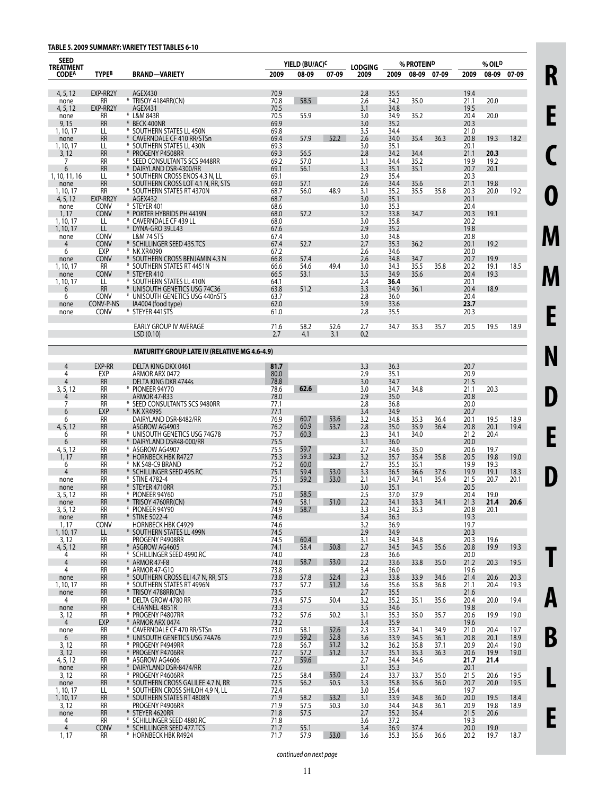# **TABLE 5. 2009 SUMMARY: VARIETY TEST TABLES 6-10**

| <b>SEED</b><br><b>TREATMENT</b> |                          |                                                                   |              | YIELD (BU/AC) <sup>C</sup> |              | <b>LODGING</b> |              | % PROTEIN <sup>D</sup> |              |              | % OIL <sup>D</sup> |              |
|---------------------------------|--------------------------|-------------------------------------------------------------------|--------------|----------------------------|--------------|----------------|--------------|------------------------|--------------|--------------|--------------------|--------------|
| <b>CODEA</b>                    | <b>TYPEB</b>             | <b>BRAND-VARIETY</b>                                              | 2009         | 08-09                      | 07-09        | 2009           | 2009         | 08-09                  | 07-09        | 2009         |                    | 08-09 07-09  |
| 4, 5, 12                        | EXP-RR2Y                 | AGEX430                                                           | 70.9         |                            |              | 2.8            | 35.5         |                        |              | 19.4         |                    |              |
| none<br>4, 5, 12                | RR<br>EXP-RR2Y           | * TRISOY 4184RR(CN)<br><b>AGEX431</b>                             | 70.8<br>70.5 | 58.5                       |              | 2.6<br>3.1     | 34.2<br>34.8 | 35.0                   |              | 21.1<br>19.5 | 20.0               |              |
| none                            | RR                       | * L&M 843R                                                        | 70.5         | 55.9                       |              | 3.0            | 34.9         | 35.2                   |              | 20.4         | 20.0               |              |
| 9,15                            | <b>RR</b>                | * BECK 400NR                                                      | 69.9         |                            |              | 3.0            | 35.2         |                        |              | 20.3         |                    |              |
| 1, 10, 17<br>none               | LL<br><b>RR</b>          | * SOUTHERN STATES LL 450N<br>* CAVERNDALE CF 410 RR/STSn          | 69.8<br>69.4 | 57.9                       | 52.2         | 3.5<br>2.6     | 34.4<br>34.0 | 35.4                   | 36.3         | 21.0<br>20.8 | 19.3               | 18.2         |
| 1, 10, 17                       | LL                       | * SOUTHERN STATES LL 430N                                         | 69.3         |                            |              | 3.0            | 35.1         |                        |              | 20.1         |                    |              |
| 3, 12                           | <b>RR</b>                | * PROGENY P4508RR                                                 | 69.3         | 56.5                       |              | 2.8            | 34.2         | 34.4                   |              | 21.1         | 20.3               |              |
| 7<br>6                          | RR<br><b>RR</b>          | * SEED CONSULTANTS SCS 9448RR<br>* DAIRYLAND DSR-4300/RR          | 69.2<br>69.1 | 57.0<br>56.1               |              | 3.1<br>3.3     | 34.4<br>35.1 | 35.2<br>35.1           |              | 19.9<br>20.7 | 19.2<br>20.1       |              |
| 1, 10, 11, 16                   | LL                       | * SOUTHERN CROSS ENOS 4.3 N. LL                                   | 69.1         |                            |              | 2.9            | 35.4         |                        |              | 20.3         |                    |              |
| none                            | <b>RR</b>                | SOUTHERN CROSS LOT 4.1 N, RR, STS                                 | 69.0         | 57.1                       |              | 2.6            | 34.4         | 35.6                   |              | 21.1         | 19.8               |              |
| 1, 10, 17<br>4, 5, 12           | RR<br>EXP-RR2Y           | * SOUTHERN STATES RT 4370N<br>AGEX432                             | 68.7<br>68.7 | 56.0                       | 48.9         | 3.1<br>3.0     | 35.2<br>35.1 | 35.5                   | 35.8         | 20.3<br>20.1 | 20.0               | 19.2         |
| none                            | <b>CONV</b>              | * STEYER 401                                                      | 68.6         |                            |              | 3.0            | 35.3         |                        |              | 20.4         |                    |              |
| 1, 17                           | <b>CONV</b>              | * PORTER HYBRIDS PH 4419N                                         | 68.0         | 57.2                       |              | 3.2            | 33.8         | 34.7                   |              | 20.3         | 19.1               |              |
| 1, 10, 17                       | Щ<br>LL                  | * CAVERNDALE CF 439 LL<br>* DYNA-GRO 39LL43                       | 68.0<br>67.6 |                            |              | 3.0<br>2.9     | 35.8<br>35.2 |                        |              | 20.2<br>19.8 |                    |              |
| 1, 10, 17<br>none               | CONV                     | <b>L&amp;M 74 STS</b>                                             | 67.4         |                            |              | 3.0            | 34.8         |                        |              | 20.8         |                    |              |
| $\overline{4}$                  | <b>CONV</b>              | * SCHILLINGER SEED 435.TCS                                        | 67.4         | 52.7                       |              | 2.7            | 35.3         | 36.2                   |              | 20.1         | 19.2               |              |
| 6                               | EXP                      | * NK XR4090                                                       | 67.2         |                            |              | 2.6            | 34.6         |                        |              | 20.0         |                    |              |
| none<br>1, 10, 17               | <b>CONV</b><br><b>RR</b> | * SOUTHERN CROSS BENJAMIN 4.3 N<br>* SOUTHERN STATES RT 4451N     | 66.8<br>66.6 | 57.4<br>54.6               | 49.4         | 2.6<br>3.0     | 34.8<br>34.3 | 34.7<br>35.5           | 35.8         | 20.7<br>20.2 | 19.9<br>19.1       | 18.5         |
| none                            | <b>CONV</b>              | * STEYER 410                                                      | 66.5         | 53.1                       |              | 3.5            | 34.9         | 35.6                   |              | 20.4         | 19.3               |              |
| 1, 10, 17                       | LL                       | * SOUTHERN STATES LL 410N                                         | 64.1         |                            |              | 2.4            | 36.4         |                        |              | 20.1         |                    |              |
| 6<br>6                          | <b>RR</b><br><b>CONV</b> | * UNISOUTH GENETICS USG 74C36<br>* UNISOUTH GENETICS USG 440nSTS  | 63.8<br>63.7 | 51.2                       |              | 3.3<br>2.8     | 34.9<br>36.0 | 36.1                   |              | 20.4<br>20.4 | 18.9               |              |
| none                            | CONV-P-NS                | IA4004 (food type)                                                | 62.0         |                            |              | 3.9            | 33.6         |                        |              | 23.7         |                    |              |
| none                            | CONV                     | * STEYER 441STS                                                   | 61.0         |                            |              | 2.8            | 35.5         |                        |              | 20.3         |                    |              |
|                                 |                          | EARLY GROUP IV AVERAGE                                            | 71.6         | 58.2                       | 52.6         | 2.7            | 34.7         | 35.3                   | 35.7         | 20.5         | 19.5               | 18.9         |
|                                 |                          | LSD(0.10)                                                         | 2.7          | 4.1                        | 3.1          | 0.2            |              |                        |              |              |                    |              |
|                                 |                          | <b>MATURITY GROUP LATE IV (RELATIVE MG 4.6-4.9)</b>               |              |                            |              |                |              |                        |              |              |                    |              |
| 4                               | <b>EXP-RR</b>            | DELTA KING DKX 0461                                               | 81.7         |                            |              | 3.3            | 36.3         |                        |              | 20.7         |                    |              |
| 4                               | <b>EXP</b>               | ARMOR ARX 0472                                                    | 80.0         |                            |              | 2.9            | 35.1         |                        |              | 20.9         |                    |              |
| 4                               | <b>RR</b>                | <b>DELTA KING DKR 4744s</b>                                       | 78.8         |                            |              | 3.0            | 34.7         |                        |              | 21.5         |                    |              |
| 3, 5, 12                        | RR<br><b>RR</b>          | * PIONEER 94Y70<br><b>ARMOR 47-R33</b>                            | 78.6<br>78.0 | 62.6                       |              | 3.0<br>2.9     | 34.7<br>35.0 | 34.8                   |              | 21.1<br>20.8 | 20.3               |              |
| 7                               | RR                       | * SEED CONSULTANTS SCS 9480RR                                     | 77.1         |                            |              | 2.8            | 36.8         |                        |              | 20.0         |                    |              |
| 6                               | <b>EXP</b>               | * NK XR4995                                                       | 77.1         |                            |              | 3.4            | 34.9         |                        |              | 20.7         |                    |              |
| 6<br>4, 5, 12                   | RR.<br>RR                | DAIRYLAND DSR-8482/RR<br>ASGROW AG4903                            | 76.9<br>76.2 | 60.7<br>60.9               | 53.6<br>53.7 | 3.2<br>2.8     | 34.8<br>35.0 | 35.3<br>35.9           | 36.4<br>36.4 | 20.1<br>20.8 | 19.5<br>20.1       | 18.9<br>19.4 |
| 6                               | RR                       | * UNISOUTH GENETICS USG 74G78                                     | 75.7         | 60.3                       |              | 2.3            | 34.1         | 34.0                   |              | 21.2         | 20.4               |              |
| 6                               | <b>RR</b>                | * DAIRYLAND DSR48-000/RR                                          | 75.5         |                            |              | 3.1            | 36.0         |                        |              | 20.0         |                    |              |
| 4, 5, 12<br>1, 17               | RR<br>RR                 | * ASGROW AG4907<br>* HORNBECK HBK R4727                           | 75.5<br>75.3 | 59.7<br>59.3               | 52.3         | 2.7<br>3.2     | 34.6<br>35.7 | 35.0<br>35.4           | 35.8         | 20.6<br>20.5 | 19.7<br>19.8       | 19.0         |
| 6                               | RR                       | * NK S48-C9 BRAND                                                 | 75.2         | 60.0                       |              | 2.7            | 35.5         | 35.1                   |              | 19.9         | 19.3               |              |
| 4                               | <b>RR</b>                | * SCHILLINGER SEED 495.RC                                         | 75.1         | 59.4                       | 53.0         | 3.3            | 36.5         | 36.6                   | 37.6         | 19.9         | 19.1               | 18.3         |
| none<br>none                    | RR<br><b>RR</b>          | * STINE 4782-4<br>* STEYER 4710RR                                 | 75.1<br>75.1 | 59.2                       | 53.0         | 2.1<br>3.0     | 34.7<br>35.1 | 34.1                   | 35.4         | 21.5<br>20.5 | 20.7               | 20.1         |
| 3, 5, 12                        | RR                       | * PIONEER 94Y60                                                   | 75.0         | 58.5                       |              | 2.5            | 37.0         | 37.9                   |              | 20.4         | 19.0               |              |
| TIONE                           | <b>RR</b>                | * TRISOY 4760RR(CN)                                               | 74.9         | 58.1                       | 51.0         | 2.2            | 34.1         | 33.3                   | 34.1         | 21.3         | 21.4               | 20.6         |
| 3, 5, 12<br>none                | RR<br><b>RR</b>          | * PIONEER 94Y90<br>* STINE 5022-4                                 | 74.9<br>74.6 | 58.7                       |              | 3.3<br>3.4     | 34.2<br>36.3 | 35.3                   |              | 20.8<br>19.3 | 20.1               |              |
| 1, 17                           | <b>CONV</b>              | <b>HORNBECK HBK C4929</b>                                         | 74.6         |                            |              | 3.2            | 36.9         |                        |              | 19.7         |                    |              |
| 1, 10, 17                       | LL.                      | * SOUTHERN STATES LL 499N                                         | 74.5         |                            |              | 2.9            | 34.9         |                        |              | 20.3         |                    |              |
| 3, 12                           | RR<br><b>RR</b>          | PROGENY P4908RR<br>* ASGROW AG4605                                | 74.5<br>74.1 | 60.4<br>58.4               | 50.8         | 3.1<br>2.7     | 34.3<br>34.5 | 34.8<br>34.5           | 35.6         | 20.3         | 19.6<br>19.9       |              |
| 4, 5, 12<br>4                   | RR                       | * SCHILLINGER SEED 4990.RC                                        | 74.0         |                            |              | 2.8            | 36.6         |                        |              | 20.8<br>20.0 |                    | 19.3         |
| $\overline{4}$                  | <b>RR</b>                | * ARMOR 47-F8                                                     | 74.0         | 58.7                       | 53.0         | 2.2            | 33.6         | 33.8                   | 35.0         | 21.2         | 20.3               | 19.5         |
| 4                               | RR                       | * ARMOR 47-G10                                                    | 73.8         |                            |              | 3.4            | 36.0         |                        |              | 19.6         |                    |              |
| none<br>1, 10, 17               | <b>RR</b><br>RR          | * SOUTHERN CROSS ELI 4.7 N, RR, STS<br>* SOUTHERN STATES RT 4996N | 73.8<br>73.7 | 57.8<br>57.7               | 52.4<br>51.2 | 2.3<br>3.6     | 33.8<br>35.6 | 33.9<br>35.8           | 34.6<br>36.8 | 21.4<br>21.1 | 20.6<br>20.4       | 20.3<br>19.3 |
| none                            | <b>RR</b>                | * TRISOY 4788RR(CN)                                               | 73.5         |                            |              | 2.7            | 35.5         |                        |              | 21.6         |                    |              |
| $\overline{4}$                  | RR                       | * DELTA GROW 4780 RR                                              | 73.4         | 57.5                       | 50.4         | 3.2            | 35.2         | 35.1                   | 35.6         | 20.4         | 20.0               | 19.4         |
| none<br>3,12                    | <b>RR</b><br>RR          | CHANNEL 4851R<br>* PROGENY P4807RR                                | 73.3<br>73.2 | 57.6                       | 50.2         | 3.5<br>3.1     | 34.6<br>35.3 | 35.0                   | 35.7         | 19.8<br>20.6 | 19.9               | 19.0         |
| $\overline{4}$                  | EXP                      | * ARMOR ARX 0474                                                  | 73.2         |                            |              | 3.4            | 35.9         |                        |              | 19.6         |                    |              |
| none                            | RR                       | * CAVERNDALE CF 470 RR/STSn                                       | 73.0         | 58.1                       | 52.6         | 2.3            | 33.7         | 34.1                   | 34.9         | 21.0         | 20.4               | 19.7         |
| 6<br>3, 12                      | <b>RR</b><br>RR          | * UNISOUTH GENETICS USG 74A76<br>* PROGENY P4949RR                | 72.9<br>72.8 | 59.2<br>56.7               | 52.8<br>51.2 | 3.6<br>3.2     | 33.9<br>36.2 | 34.5<br>35.8           | 36.1<br>37.1 | 20.8<br>20.9 | 20.1<br>20.4       | 18.9<br>19.0 |
| 3, 12                           | <b>RR</b>                | * PROGENY P4706RR                                                 | 72.7         | 57.2                       | 51.2         | 3.7            | 35.1         | 35.3                   | 36.3         | 20.6         | 19.9               | 19.0         |
| 4, 5, 12                        | RR                       | * ASGROW AG4606                                                   | 72.7         | 59.6                       |              | 2.7            | 34.4         | 34.6                   |              | 21.7         | 21.4               |              |
| none                            | <b>RR</b>                | * DAIRYLAND DSR-8474/RR                                           | 72.6         |                            |              | 3.1            | 35.3         |                        |              | 20.1         |                    |              |
| 3,12<br>none                    | RR<br><b>RR</b>          | * PROGENY P4606RR<br>* SOUTHERN CROSS GALILEE 4.7 N, RR           | 72.5<br>72.5 | 58.4<br>56.2               | 53.0<br>50.5 | 2.4<br>3.3     | 33.7<br>35.8 | 33.7<br>35.6           | 35.0<br>36.0 | 21.5<br>20.7 | 20.6<br>20.0       | 19.5<br>19.5 |
| 1, 10, 17                       | LL.                      | * SOUTHERN CROSS SHILOH 4.9 N, LL                                 | 72.4         |                            |              | 3.0            | 35.4         |                        |              | 19.7         |                    |              |
| 1, 10, 17                       | <b>RR</b>                | * SOUTHERN STATES RT 4808N                                        | 71.9         | 58.2                       | 53.2         | 3.1            | 33.9         | 34.8                   | 36.0         | 20.0         | 19.5               | 18.4         |
| 3, 12<br>none                   | RR<br><b>RR</b>          | PROGENY P4906RR<br>* STEYER 4620RR                                | 71.9<br>71.8 | 57.5<br>57.5               | 50.3         | 3.0<br>2.7     | 34.4<br>35.2 | 34.8<br>35.4           | 36.1         | 20.9<br>21.5 | 19.8<br>20.6       | 18.9         |
| $\overline{4}$                  | RR                       | * SCHILLINGER SEED 4880.RC                                        | 71.8         |                            |              | 3.6            | 37.2         |                        |              | 19.3         |                    |              |
| $\overline{4}$                  | <b>CONV</b>              | * SCHILLINGER SEED 477.TCS                                        | 71.7         | 55.1                       |              | 3.4            | 36.9         | 37.4                   |              | 20.0         | 19.0               |              |
| 1, 17                           | RR                       | * HORNBECK HBK R4924                                              | 71.7         | 57.9                       | 53.0         | 3.6            | 35.3         | 35.6                   | 36.6         | 20.2         | 19.7               | 18.7         |

**E C O M M E N D E D T A B**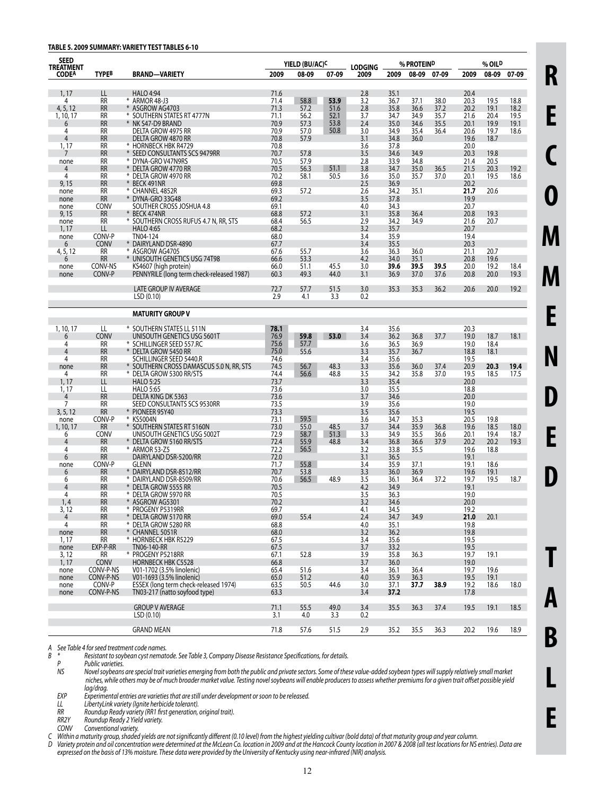#### **TABLE 5. 2009 SUMMARY: VARIETY TEST TABLES 6-10**

| <b>SEED</b><br><b>TREATMENT</b>  |                   |                                                           |              | YIELD (BU/AC) <sup>C</sup> |              | % PROTEIN <sup>D</sup><br><b>LODGING</b> |              |              |              | % OIL <sup>D</sup> |              |              |
|----------------------------------|-------------------|-----------------------------------------------------------|--------------|----------------------------|--------------|------------------------------------------|--------------|--------------|--------------|--------------------|--------------|--------------|
| <b>CODEA</b>                     | <b>TYPEB</b>      | <b>BRAND-VARIETY</b>                                      | 2009         | 08-09                      | 07-09        | 2009                                     | 2009         | 08-09        | 07-09        | 2009               | 08-09        | 07-09        |
| 1, 17                            | LL                | <b>HALO 4:94</b>                                          | 71.6         |                            |              | 2.8                                      | 35.1         |              |              | 20.4               |              |              |
| 4                                | <b>RR</b>         | * ARMOR 48-J3                                             | 71.4         | 58.8                       | 53.9         | 3.2                                      | 36.7         | 37.1         | 38.0         | 20.3               | 19.5         | 18.8         |
| 4, 5, 12                         | <b>RR</b>         | * ASGROW AG4703                                           | 71.3         | 57.2                       | 51.6         | 2.8                                      | 35.8         | 36.6         | 37.2         | 20.2               | 19.1         | 18.2         |
| 1, 10, 17                        | RR                | * SOUTHERN STATES RT 4777N                                | 71.1         | 56.2                       | 52.1         | 3.7                                      | 34.7         | 34.9         | 35.7         | 21.6               | 20.4         | 19.5         |
| 6                                | <b>RR</b>         | * NK S47-D9 BRAND                                         | 70.9         | 57.3                       | 53.8         | 2.4                                      | 35.0         | 34.6         | 35.5         | 20.1               | 19.9         | 19.1         |
| 4                                | <b>RR</b>         | DELTA GROW 4975 RR                                        | 70.9         | 57.0                       | 50.8         | 3.0                                      | 34.9         | 35.4         | 36.4         | 20.6               | 19.7         | 18.6         |
| $\overline{4}$                   | <b>RR</b><br>RR   | DELTA GROW 4870 RR                                        | 70.8<br>70.8 | 57.9                       |              | 3.1<br>3.6                               | 34.8<br>37.8 | 36.0         |              | 19.6<br>20.0       | 18.7         |              |
| 1, 17<br>7                       | <b>RR</b>         | * HORNBECK HBK R4729<br>* SEED CONSULTANTS SCS 9479RR     | 70.7         | 57.8                       |              | 3.5                                      | 34.6         | 34.9         |              | 20.3               | 19.8         |              |
| none                             | <b>RR</b>         | * DYNA-GRO V47N9RS                                        | 70.5         | 57.9                       |              | 2.8                                      | 33.9         | 34.8         |              | 21.4               | 20.5         |              |
| 4                                | <b>RR</b>         | * DELTA GROW 4770 RR                                      | 70.5         | 56.3                       | 51.1         | 3.8                                      | 34.7         | 35.0         | 36.5         | 21.5               | 20.3         | 19.2         |
| 4                                | RR                | * DELTA GROW 4970 RR                                      | 70.2         | 58.1                       | 50.5         | 3.6                                      | 35.0         | 35.7         | 37.0         | 20.1               | 19.5         | 18.6         |
| 9,15                             | <b>RR</b>         | * BECK 491NR                                              | 69.8         |                            |              | 2.5                                      | 36.9         |              |              | 20.2               |              |              |
| none                             | <b>RR</b>         | * CHANNEL 4852R                                           | 69.3         | 57.2                       |              | 2.6                                      | 34.2         | 35.1         |              | 21.7               | 20.6         |              |
| none                             | <b>RR</b>         | * DYNA-GRO 33G48                                          | 69.2         |                            |              | 3.5                                      | 37.8         |              |              | 19.9               |              |              |
| none                             | CONV              | SOUTHER CROSS JOSHUA 4.8                                  | 69.1         |                            |              | 4.0                                      | 34.3         |              |              | 20.7               |              |              |
| 9,15                             | <b>RR</b>         | * BECK 474NR                                              | 68.8         | 57.2                       |              | 3.1                                      | 35.8         | 36.4         |              | 20.8               | 19.3         |              |
| none                             | RR                | * SOUTHERN CROSS RUFUS 4.7 N, RR, STS                     | 68.4         | 56.5                       |              | 2.9                                      | 34.2         | 34.9         |              | 21.6               | 20.7         |              |
| 1, 17                            | LL<br>CONV-P      | <b>HALO 4:65</b><br>TN04-124                              | 68.2<br>68.0 |                            |              | 3.2<br>3.4                               | 35.7<br>35.9 |              |              | 20.7<br>19.4       |              |              |
| none<br>6                        | <b>CONV</b>       | * DAIRYLAND DSR-4890                                      | 67.7         |                            |              | 3.4                                      | 35.5         |              |              | 20.3               |              |              |
| 4, 5, 12                         | RR                | * ASGROW AG4705                                           | 67.6         | 55.7                       |              | 3.6                                      | 36.3         | 36.0         |              | 21.1               | 20.7         |              |
| 6                                | <b>RR</b>         | * UNISOUTH GENETICS USG 74T98                             | 66.6         | 53.3                       |              | 4.2                                      | 34.0         | 35.1         |              | 20.8               | 19.6         |              |
| none                             | CONV-NS           | KS4607 (high protein)                                     | 66.0         | 51.1                       | 45.5         | 3.0                                      | 39.6         | 39.5         | 39.5         | 20.0               | 19.2         | 18.4         |
| none                             | CONV-P            | PENNYRILE (long term check-released 1987)                 | 60.3         | 49.3                       | 44.0         | 3.1                                      | 36.9         | 37.0         | 37.6         | 20.8               | 20.0         | 19.3         |
|                                  |                   |                                                           |              |                            |              |                                          |              |              |              |                    |              |              |
|                                  |                   | <b>LATE GROUP IV AVERAGE</b><br>LSD(0.10)                 | 72.7<br>2.9  | 57.7<br>4.1                | 51.5<br>3.3  | 3.0<br>0.2                               | 35.3         | 35.3         | 36.2         | 20.6               | 20.0         | 19.2         |
|                                  |                   | <b>MATURITY GROUP V</b>                                   |              |                            |              |                                          |              |              |              |                    |              |              |
|                                  |                   |                                                           |              |                            |              |                                          |              |              |              |                    |              |              |
| 1, 10, 17                        | LL                | * SOUTHERN STATES LL 511N                                 | 78.1         |                            |              | 3.4                                      | 35.6         |              |              | 20.3               |              |              |
| 6                                | CONV              | UNISOUTH GENETICS USG 5601T                               | 76.9         | 59.8                       | 53.0         | 3.4                                      | 36.2         | 36.8         | 37.7         | 19.0               | 18.7         | 18.1         |
| 4<br>4                           | RR<br><b>RR</b>   | * SCHILLINGER SEED 557.RC<br>* DELTA GROW 5450 RR         | 75.6<br>75.0 | 57.7<br>55.6               |              | 3.6<br>3.3                               | 36.5<br>35.7 | 36.9         |              | 19.0<br>18.8       | 18.4         |              |
| 4                                | RR                | SCHILLINGER SEED 5440.R                                   | 74.6         |                            |              | 3.4                                      | 35.6         | 36.7         |              | 19.5               | 18.1         |              |
| none                             | <b>RR</b>         | * SOUTHERN CROSS DAMASCUS 5.0 N, RR, STS                  | 74.5         | 56.7                       | 48.3         | 3.3                                      | 35.6         | 36.0         | 37.4         | 20.9               | 20.3         | 19.4         |
| 4                                | RR                | * DELTA GROW 5300 RR/STS                                  | 74.4         | 56.6                       | 48.8         | 3.5                                      | 34.2         | 35.8         | 37.0         | 19.5               | 18.5         | 17.5         |
| 1, 17                            | LL                | <b>HALO 5:25</b>                                          | 73.7         |                            |              | 3.3                                      | 35.4         |              |              | 20.0               |              |              |
| 1, 17                            | LL                | <b>HALO 5:65</b>                                          | 73.6         |                            |              | 3.0                                      | 35.5         |              |              | 18.8               |              |              |
| $\overline{4}$                   | <b>RR</b>         | DELTA KING DK 5363                                        | 73.6         |                            |              | 3.7                                      | 34.6         |              |              | 20.0               |              |              |
| 7                                | RR                | SEED CONSULTANTS SCS 9530RR                               | 73.5         |                            |              | 3.9                                      | 35.6         |              |              | 19.0               |              |              |
| 3, 5, 12                         | <b>RR</b>         | * PIONEER 95Y40                                           | 73.3         |                            |              | 3.5                                      | 35.6         |              |              | 19.5               |              |              |
| none                             | CONV-P            | * KS5004N                                                 | 73.1         | 59.5                       |              | 3.6                                      | 34.7         | 35.3         |              | 20.5               | 19.8         |              |
| 1, 10, 17                        | <b>RR</b><br>CONV | * SOUTHERN STATES RT 5160N<br>UNISOUTH GENETICS USG 5002T | 73.0<br>72.9 | 55.0<br>58.7               | 48.5<br>51.3 | 3.7<br>3.3                               | 34.4<br>34.9 | 35.9<br>35.5 | 36.8         | 19.6               | 18.5<br>19.4 | 18.0         |
| 6<br>4                           | <b>RR</b>         | * DELTA GROW 5160 RR/STS                                  | 72.4         | 55.9                       | 48.8         | 3.4                                      | 36.8         | 36.6         | 36.6<br>37.9 | 20.1<br>20.2       | 20.2         | 18.7<br>19.3 |
| 4                                | RR                | * ARMOR 53-Z5                                             | 72.2         | 56.5                       |              | 3.2                                      | 33.8         | 35.5         |              | 19.6               | 18.8         |              |
| 6                                | <b>RR</b>         | DAIRYLAND DSR-5200/RR                                     | 72.0         |                            |              | 3.1                                      | 36.5         |              |              | 19.1               |              |              |
| none                             | CONV-P            | <b>GLENN</b>                                              | 71.7         | 55.8                       |              | 3.4                                      | 35.9         | 37.1         |              | 19.1               | 18.6         |              |
| 6                                | <b>RR</b>         | * DAIRYLAND DSR-8512/RR                                   | 70.7         | 53.8                       |              | 3.3                                      | 36.0         | 36.9         |              | 19.6               | 19.1         |              |
| 6                                | RR                | * DAIRYLAND DSR-8509/RR                                   | 70.6         | 56.5                       | 48.9         | 3.5                                      | 36.1         | 36.4         | 37.2         | 19.7               | 19.5         | 18.7         |
| 4                                | <b>RR</b>         | * Delta Grow 5555 RR                                      | 70.5         |                            |              | 4.2                                      | 34.9         |              |              | 19.1               |              |              |
| 4                                | RR                | * DELTA GROW 5970 RR                                      | 70.5         |                            |              | 3.5                                      | 36.3         |              |              | 19.0               |              |              |
| 1, 4                             | <b>RR</b>         | * ASGROW AG5301                                           | 70.2         |                            |              | 3.2                                      | 34.6         |              |              | 20.0               |              |              |
| 3,12                             | RR                | * PROGENY P5319RR                                         | 69.7         |                            |              | 4.1                                      | 34.5         |              |              | 19.2               |              |              |
| $\overline{4}$<br>$\overline{4}$ | <b>RR</b><br>RR   | * DELTA GROW 5170 RR<br>* DELTA GROW 5280 RR              | 69.0<br>68.8 | 55.4                       |              | 2.4<br>4.0                               | 34.7<br>35.1 | 34.9         |              | 21.0<br>19.8       | 20.1         |              |
| none                             | <b>RR</b>         | * CHANNEL 5051R                                           | 68.0         |                            |              | 3.2                                      | 36.2         |              |              | 19.8               |              |              |
| 1, 17                            | RR                | * HORNBECK HBK R5229                                      | 67.5         |                            |              | 3.4                                      | 35.6         |              |              | 19.5               |              |              |
| none                             | EXP-P-RR          | TN06-140-RR                                               | 67.5         |                            |              | 3.7                                      | 33.2         |              |              | 19.5               |              |              |
| 3, 12                            | RR                | * PROGENY P5218RR                                         | 67.1         | 52.8                       |              | 3.9                                      | 35.8         | 36.3         |              | 19.7               | 19.1         |              |
| 1, 17                            | <b>CONV</b>       | <b>HORNBECK HBK C5528</b>                                 | 66.8         |                            |              | 3.7                                      | 36.0         |              |              | 19.0               |              |              |
| none                             | CONV-P-NS         | V01-1702 (3.5% linolenic)                                 | 65.4         | 51.6                       |              | 3.4                                      | 36.1         | 36.4         |              | 19.7               | 19.6         |              |
| none                             | CONV-P-NS         | V01-1693 (3.5% linolenic)                                 | 65.0         | 51.2                       |              | 4.0                                      | 35.9         | 36.3         |              | 19.5               | 19.1         |              |
| none                             | CONV-P            | ESSEX (long term check-released 1974)                     | 63.5         | 50.5                       | 44.6         | 3.0                                      | 37.1         | 37.7         | 38.9         | 19.2               | 18.6         | 18.0         |
| none                             | CONV-P-NS         | TN03-217 (natto soyfood type)                             | 63.3         |                            |              | 3.4                                      | 37.2         |              |              | 17.8               |              |              |
|                                  |                   | <b>GROUP V AVERAGE</b>                                    | 71.1         | 55.5                       | 49.0         | 3.4                                      | 35.5         | 36.3         | 37.4         | 19.5               | 19.1         | 18.5         |
|                                  |                   | LSD(0.10)                                                 | 3.1          | 4.0                        | 3.3          | 0.2                                      |              |              |              |                    |              |              |
|                                  |                   | <b>GRAND MEAN</b>                                         | 71.8         | 57.6                       | 51.5         | 2.9                                      | 35.2         | 35.5         | 36.3         | 20.2               | 19.6         | 18.9         |

*A See Table 4 forseed treatment code names. B \* Resistant to soybean cyst nematode. See Table 3, Company Disease Resistance Specifications, for details.*

*P Public varieties.*<br>*NS Novel soybeans* Novel soybeans are special trait varieties emerging from both the public and private sectors. Some of these value-added soybean types will supply relatively small market niches, while others may be of much broader market value. Testing novel soybeans will enable producers to assess whether premiums for a given trait offset possible yield *lag/drag.*<br>EXP *Experimer* 

 *EXP Experimental entries are varietiesthat are still under development orsoon to be released.*

 *LL LibertyLink variety (Ignite herbicide tolerant). RR Roundup Ready variety (RR1 first generation, original trait).*

 *RR2Y Roundup Ready 2 Yield variety.*

 *CONV Conventional variety.*

C – Within a maturity group, shaded yields are not significantly different (0.10 level) from the highest yielding cultivar (bold data) of that maturity group and year column.

D Variety protein and oil concentration were determined at the McLean Co. location in 2009 and at the Hancock County location in 2007 & 2008 (all test locations for NS entries). Data are expressed on the basis of 13% moisture. These data were provided by the University of Kentucky using near-infrared (NIR) analysis.

**R**

**E**

**C**

**O**

**M**

**M**

**E**

**N**

**D**

**E**

**D**

**T**

**A**

**B**

**L**

**E**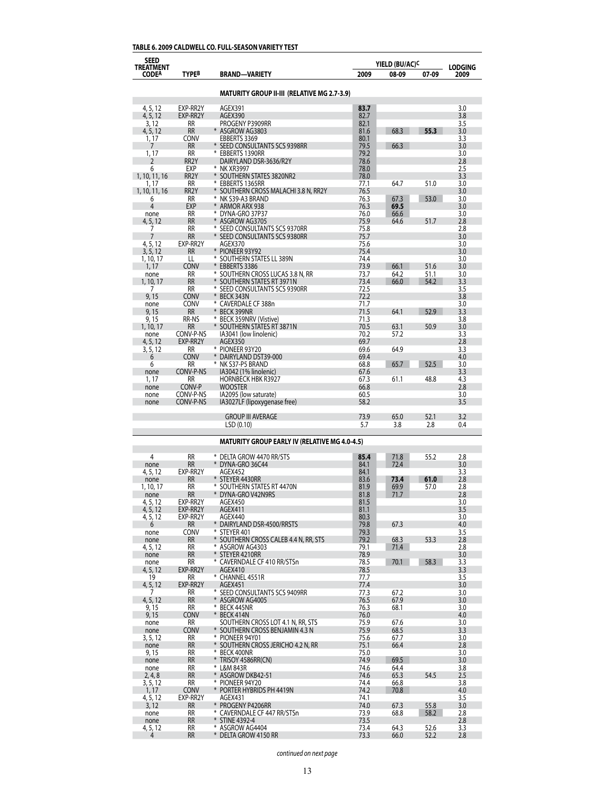## **TABLE 6. 2009 CALDWELL CO. FULL-SEASON VARIETY TEST**

| <b>SEED</b>               |                            |                                                            |              | YIELD (BU/AC) <sup>C</sup> |              |                        |
|---------------------------|----------------------------|------------------------------------------------------------|--------------|----------------------------|--------------|------------------------|
| TREATMENT<br><b>CODEA</b> | <b>TYPEB</b>               | <b>BRAND-VARIETY</b>                                       | 2009         | 08-09                      | 07-09        | <b>LODGING</b><br>2009 |
|                           |                            | <b>MATURITY GROUP II-III (RELATIVE MG 2.7-3.9)</b>         |              |                            |              |                        |
|                           |                            |                                                            |              |                            |              |                        |
| 4, 5, 12<br>4, 5, 12      | EXP-RR2Y<br>EXP-RR2Y       | AGEX391<br>AGEX390                                         | 83.7<br>82.7 |                            |              | 3.0<br>3.8             |
| 3, 12                     | RR                         | PROGENY P3909RR                                            | 82.1         |                            |              | 3.5                    |
| 4, 5, 12                  | <b>RR</b>                  | * ASGROW AG3803                                            | 81.6         | 68.3                       | 55.3         | 3.0                    |
| 1, 17<br>7                | CONV<br><b>RR</b>          | EBBERTS 3369<br>* SEED CONSULTANTS SCS 9398RR              | 80.1<br>79.5 | 66.3                       |              | 3.3<br>3.0             |
| 1, 17                     | RR                         | * EBBERTS 1390RR                                           | 79.2         |                            |              | 3.0                    |
| 2                         | RR <sub>2</sub> Y          | DAIRYLAND DSR-3636/R2Y                                     | 78.6         |                            |              | 2.8                    |
| 6<br>1, 10, 11, 16        | EXP<br>RR <sub>2</sub> Y   | * NK XR3997<br>SOUTHERN STATES 3820NR2                     | 78.0<br>78.0 |                            |              | 2.5<br>3.3             |
| 1, 17                     | RR                         | ₩<br>EBBERTS 1365RR                                        | 77.1         | 64.7                       | 51.0         | 3.0                    |
| 1, 10, 11, 16             | RR <sub>2</sub> Y          | SOUTHERN CROSS MALACHI 3.8 N, RR2Y                         | 76.5         |                            |              | 3.0                    |
| 6<br>4                    | RR<br>EXP                  | * NK S39-A3 BRAND<br>ARMOR ARX 938                         | 76.3<br>76.3 | 67.3<br>69.5               | 53.0         | 3.0<br>3.0             |
| none                      | RR                         | DYNA-GRO 37P37<br>⋇                                        | 76.0         | 66.6                       |              | 3.0                    |
| 4, 5, 12                  | <b>RR</b>                  | ASGROW AG3705                                              | 75.9         | 64.6                       | 51.7         | 2.8                    |
| 7<br>7                    | RR<br><b>RR</b>            | SEED CONSULTANTS SCS 9370RR<br>SEED CONSULTANTS SCS 9380RR | 75.8<br>75.7 |                            |              | 2.8<br>3.0             |
| 4, 5, 12                  | EXP-RR2Y                   | AGEX370                                                    | 75.6         |                            |              | 3.0                    |
| 3, 5, 12                  | RR                         | * PIONEER 93Y92                                            | 75.4         |                            |              | 3.0                    |
| 1, 10, 17<br>1, 17        | LL<br><b>CONV</b>          | * SOUTHERN STATES LL 389N<br>EBBERTS 3386                  | 74.4<br>73.9 | 66.1                       | 51.6         | 3.0<br>3.0             |
| none                      | RR                         | * SOUTHERN CROSS LUCAS 3.8 N, RR                           | 73.7         | 64.2                       | 51.1         | 3.0                    |
| 1, 10, 17                 | <b>RR</b>                  | SOUTHERN STATES RT 3971N                                   | 73.4         | 66.0                       | 54.2         | 3.3                    |
| 7                         | RR                         | * SEED CONSULTANTS SCS 9390RR<br>¥                         | 72.5         |                            |              | 3.5                    |
| 9,15<br>none              | <b>CONV</b><br><b>CONV</b> | BECK 343N<br>* CAVERDALE CF 388n                           | 72.2<br>71.7 |                            |              | 3.8<br>3.0             |
| 9.15                      | RR                         | ¥<br>BECK 399NR                                            | 71.5         | 64.1                       | 52.9         | 3.3                    |
| 9, 15                     | RR-NS                      | BECK 359NRV (Vistive)                                      | 71.3         |                            |              | 3.8                    |
| 1, 10, 17<br>none         | RR<br>CONV-P-NS            | SOUTHERN STATES RT 3871N<br>IA3041 (low linolenic)         | 70.5<br>70.2 | 63.1<br>57.2               | 50.9         | 3.0<br>3.3             |
| 4, 5, 12                  | EXP-RR2Y                   | AGEX350                                                    | 69.7         |                            |              | 2.8                    |
| 3, 5, 12                  | RR                         | * PIONEER 93Y20                                            | 69.6         | 64.9                       |              | 3.3                    |
| 6                         | <b>CONV</b>                | DAIRYLAND DST39-000                                        | 69.4         |                            | 52.5         | 4.0                    |
| 6<br>none                 | RR<br>CONV-P-NS            | NK S37-P5 BRAND<br>IA3042 (1% linolenic)                   | 68.8<br>67.6 | 65.7                       |              | 3.0<br>3.3             |
| 1, 17                     | RR                         | <b>HORNBECK HBK R3927</b>                                  | 67.3         | 61.1                       | 48.8         | 4.3                    |
| none                      | CONV-P                     | <b>WOOSTER</b>                                             | 66.8         |                            |              | 2.8                    |
| none<br>none              | CONV-P-NS<br>CONV-P-NS     | IA2095 (low saturate)<br>IA3027LF (lipoxygenase free)      | 60.5<br>58.2 |                            |              | 3.0<br>3.5             |
|                           |                            |                                                            |              |                            |              |                        |
|                           |                            | <b>GROUP III AVERAGE</b><br>LSD (0.10)                     | 73.9<br>5.7  | 65.0<br>3.8                | 52.1<br>2.8  | 3.2<br>0.4             |
|                           |                            | <b>MATURITY GROUP EARLY IV (RELATIVE MG 4.0-4.5)</b>       |              |                            |              |                        |
|                           |                            |                                                            |              |                            |              |                        |
| 4                         | <b>RR</b><br><b>RR</b>     | * DELTA GROW 4470 RR/STS<br>* DYNA-GRO 36C44               | 85.4<br>84.1 | 71.8<br>72.4               | 55.2         | 2.8<br>3.0             |
| none<br>4, 5, 12          | EXP-RR2Y                   | AGEX452                                                    | 84.1         |                            |              | 3.3                    |
| none                      | <b>RR</b>                  | * STEYER 4430RR                                            | 83.6         | 73.4                       | 61.0         | 2.8                    |
| 1, 10, 17                 | RR                         | SOUTHERN STATES RT 4470N                                   | 81.9         | 69.9                       | 57.0         | 2.8                    |
| none<br>4, 5, 12          | RR<br>EXP-RR2Y             | DYNA-GRO V42N9RS<br>AGEX450                                | 81.8<br>81.5 | 71.7                       |              | 2.8<br>3.0             |
| 4, 5, 12                  | EXP-RR2Y                   | AGEX411                                                    | 81.1         |                            |              | 3.5                    |
| 4, 5, 12                  | EXP-RR2Y                   | AGEX440                                                    | 80.3         |                            |              | 3.0                    |
| 6                         | <b>RR</b><br>CONV          | $\ast$<br>DAIRYLAND DSR-4500/RRSTS<br>* STEYER 401         | 79.8<br>79.3 | 67.3                       |              | 4.0<br>3.5             |
| none<br>none              | RR                         | $*$<br>SOUTHERN CROSS CALEB 4.4 N, RR, STS                 | 79.2         | 68.3                       | 53.3         | 2.8                    |
| 4, 5, 12                  | <b>RR</b>                  | * ASGROW AG4303                                            | 79.1         | 71.4                       |              | 2.8                    |
| none                      | RR                         | * STEYER 4210RR                                            | 78.9         |                            |              | 3.0                    |
| none<br>4, 5, 12          | RR<br>EXP-RR2Y             | * CAVERNDALE CF 410 RR/STSn<br>AGEX410                     | 78.5<br>78.5 | 70.1                       | 58.3         | 3.3<br>3.3             |
| 19                        | RR                         | * CHANNEL 4551R                                            | 77.7         |                            |              | 3.5                    |
| 4, 5, 12                  | EXP-RR2Y                   | AGEX451                                                    | 77.4         |                            |              | 3.0                    |
| 7<br>4, 5, 12             | RR<br><b>RR</b>            | * SEED CONSULTANTS SCS 9409RR<br>* ASGROW AG4005           | 77.3<br>76.5 | 67.2<br>67.9               |              | 3.0<br>3.0             |
| 9, 15                     | RR                         | * BECK 445NR                                               | 76.3         | 68.1                       |              | 3.0                    |
| 9,15                      | CONV                       | * BECK 414N                                                | 76.0         |                            |              | 4.0                    |
| none                      | RR<br><b>CONV</b>          | SOUTHERN CROSS LOT 4.1 N, RR, STS                          | 75.9         | 67.6                       |              | 3.0                    |
| none<br>3, 5, 12          | RR                         | * SOUTHERN CROSS BENJAMIN 4.3 N<br>* PIONEER 94Y01         | 75.9<br>75.6 | 68.5<br>67.7               |              | 3.3<br>3.0             |
| none                      | <b>RR</b>                  | * SOUTHERN CROSS JERICHO 4.2 N, RR                         | 75.1         | 66.4                       |              | 2.8                    |
| 9, 15                     | RR                         | * BECK 400NR                                               | 75.0         |                            |              | 3.0                    |
| none<br>none              | <b>RR</b><br>RR            | * TRISOY 4586RR(CN)<br>* L&M 843R                          | 74.9<br>74.6 | 69.5<br>64.4               |              | 3.0<br>3.8             |
| 2, 4, 8                   | <b>RR</b>                  | * ASGROW DKB42-51                                          | 74.6         | 65.3                       | 54.5         | 2.5                    |
| 3, 5, 12                  | RR                         | * PIONEER 94Y20                                            | 74.4         | 66.8                       |              | 3.8                    |
| 1, 17                     | <b>CONV</b>                | * PORTER HYBRIDS PH 4419N                                  | 74.2         | 70.8                       |              | 4.0                    |
| 4, 5, 12<br>3, 12         | EXP-RR2Y<br><b>RR</b>      | AGEX431<br>* PROGENY P4206RR                               | 74.1<br>74.0 | 67.3                       | 55.8         | 3.5<br>3.0             |
| none                      | RR                         | * CAVERNDALE CF 447 RR/STSn                                | 73.9         | 68.8                       | 58.2         | 2.8                    |
| none                      | <b>RR</b>                  | * STINE 4392-4                                             | 73.5         |                            |              | 2.8                    |
| 4, 5, 12<br>4             | RR<br><b>RR</b>            | * ASGROW AG4404<br>* DELTA GROW 4150 RR                    | 73.4<br>73.3 | 64.3<br>66.0               | 52.6<br>52.2 | 3.3<br>2.8             |
|                           |                            |                                                            |              |                            |              |                        |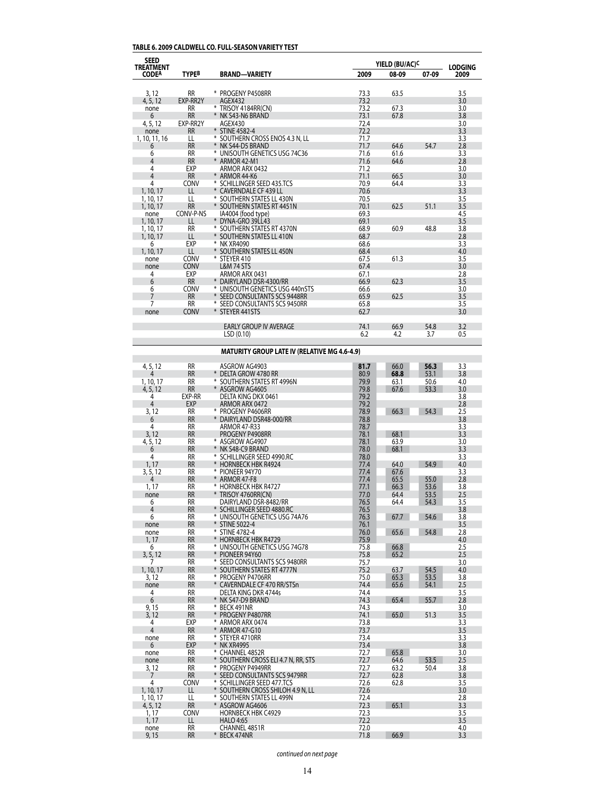## **TABLE 6. 2009 CALDWELL CO. FULL-SEASON VARIETY TEST**

| SEED<br>TREATMENT      |                        |                                                                | YIELD (BU/AC) <sup>C</sup> |              | <b>LODGING</b> |            |
|------------------------|------------------------|----------------------------------------------------------------|----------------------------|--------------|----------------|------------|
| <b>CODEA</b>           | <b>TYPEB</b>           | <b>BRAND-VARIETY</b>                                           | 2009                       | 08-09        | 07-09          | 2009       |
| 3, 12                  | <b>RR</b>              | * PROGENY P4508RR                                              | 73.3                       | 63.5         |                | 3.5        |
| 4, 5, 12               | EXP-RR2Y               | AGEX432                                                        | 73.2                       |              |                | 3.0        |
| none                   | <b>RR</b>              | * TRISOY 4184RR(CN)                                            | 73.2                       | 67.3         |                | 3.0        |
| 6<br>4, 5, 12          | <b>RR</b><br>EXP-RR2Y  | * NK S43-N6 BRAND<br>AGEX430                                   | 73.1<br>72.4               | 67.8         |                | 3.8<br>3.0 |
| none                   | RR                     | * STINE 4582-4                                                 | 72.2                       |              |                | 3.3        |
| 1, 10, 11, 16          | LL                     | * SOUTHERN CROSS ENOS 4.3 N, LL                                | 71.7                       |              |                | 3.3        |
| 6<br>6                 | <b>RR</b><br>RR        | * NK S44-D5 BRAND<br>* UNISOUTH GENETICS USG 74C36             | 71.7<br>71.6               | 64.6<br>61.6 | 54.7           | 2.8<br>3.3 |
| 4                      | <b>RR</b>              | * ARMOR 42-M1                                                  | 71.6                       | 64.6         |                | 2.8        |
| 4                      | EXP                    | ARMOR ARX 0432                                                 | 71.2                       |              |                | 3.0        |
| 4                      | <b>RR</b>              | ARMOR 44-K6                                                    | 71.1                       | 66.5         |                | 3.0        |
| 4<br>1, 10, 17         | CONV<br>LL             | * SCHILLINGER SEED 435.TCS<br><b>CAVERNDALE CF 439 LL</b>      | 70.9<br>70.6               | 64.4         |                | 3.3<br>3.3 |
| 1, 10, 17              | LL                     | * SOUTHERN STATES LL 430N                                      | 70.5                       |              |                | 3.5        |
| 1, 10, 17              | <b>RR</b>              | * SOUTHERN STATES RT 4451N                                     | 70.1                       | 62.5         | 51.1           | 3.5        |
| none                   | CONV-P-NS              | IA4004 (food type)                                             | 69.3                       |              |                | 4.5        |
| 1, 10, 17<br>1, 10, 17 | LL<br><b>RR</b>        | * DYNA-GRO 39LL43<br>* SOUTHERN STATES RT 4370N                | 69.1<br>68.9               | 60.9         | 48.8           | 3.5<br>3.8 |
| 1, 10, 17              | LL                     | * SOUTHERN STATES LL 410N                                      | 68.7                       |              |                | 2.8        |
| 6                      | EXP                    | ⋇<br>NK XR4090                                                 | 68.6                       |              |                | 3.3        |
| 1, 10, 17              | LL<br>CONV             | SOUTHERN STATES LL 450N<br>* STEYER 410                        | 68.4<br>67.5               | 61.3         |                | 4.0<br>3.5 |
| none<br>none           | <b>CONV</b>            | <b>L&amp;M 74 STS</b>                                          | 67.4                       |              |                | 3.0        |
| 4                      | EXP                    | ARMOR ARX 0431                                                 | 67.1                       |              |                | 2.8        |
| 6                      | <b>RR</b>              | * DAIRYLAND DSR-4300/RR                                        | 66.9                       | 62.3         |                | 3.5        |
| 6<br>7                 | CONV<br><b>RR</b>      | * UNISOUTH GENETICS USG 440nSTS<br>SEED CONSULTANTS SCS 9448RR | 66.6<br>65.9               | 62.5         |                | 3.0<br>3.5 |
| 7                      | <b>RR</b>              | * SEED CONSULTANTS SCS 9450RR                                  | 65.8                       |              |                | 3.5        |
| none                   | <b>CONV</b>            | * STEYER 441STS                                                | 62.7                       |              |                | 3.0        |
|                        |                        |                                                                |                            |              |                |            |
|                        |                        | <b>EARLY GROUP IV AVERAGE</b><br>LSD(0.10)                     | 74.1<br>6.2                | 66.9<br>4.2  | 54.8<br>3.7    | 3.2<br>0.5 |
|                        |                        |                                                                |                            |              |                |            |
|                        |                        | <b>MATURITY GROUP LATE IV (RELATIVE MG 4.6-4.9)</b>            |                            |              |                |            |
| 4, 5, 12               | <b>RR</b>              | ASGROW AG4903                                                  | 81.7                       | 66.0         | 56.3           | 3.3        |
| 4                      | <b>RR</b>              | * DELTA GROW 4780 RR                                           | 80.9                       | 68.8         | 53.1           | 3.8        |
| 1, 10, 17<br>4, 5, 12  | <b>RR</b><br><b>RR</b> | * SOUTHERN STATES RT 4996N<br>* ASGROW AG4605                  | 79.9<br>79.8               | 63.1<br>67.6 | 50.6<br>53.3   | 4.0<br>3.0 |
| 4                      | EXP-RR                 | DELTA KING DKX 0461                                            | 79.2                       |              |                | 3.8        |
| 4                      | <b>EXP</b>             | ARMOR ARX 0472                                                 | 79.2                       |              |                | 2.8        |
| 3, 12                  | <b>RR</b><br><b>RR</b> | * PROGENY P4606RR                                              | 78.9<br>78.8               | 66.3         | 54.3           | 2.5        |
| 6<br>4                 | <b>RR</b>              | * DAIRYLAND DSR48-000/RR<br>ARMOR 47-R33                       | 78.7                       |              |                | 3.8<br>3.3 |
| 3, 12                  | <b>RR</b>              | PROGENY P4908RR                                                | 78.1                       | 68.1         |                | 3.3        |
| 4, 5, 12               | <b>RR</b>              | * ASGROW AG4907                                                | 78.1                       | 63.9         |                | 3.0        |
| 6<br>4                 | <b>RR</b><br><b>RR</b> | NK S48-C9 BRAND<br>* SCHILLINGER SEED 4990.RC                  | 78.0<br>78.0               | 68.1         |                | 3.3<br>3.3 |
| 1, 17                  | <b>RR</b>              | <b>HORNBECK HBK R4924</b>                                      | 77.4                       | 64.0         | 54.9           | 4.0        |
| 3, 5, 12               | <b>RR</b>              | * PIONEER 94Y70                                                | 77.4                       | 67.6         |                | 3.3        |
| 4                      | <b>RR</b><br><b>RR</b> | ARMOR 47-F8<br><b>HORNBECK HBK R4727</b>                       | 77.4<br>77.1               | 65.5         | 55.0<br>53.6   | 2.8<br>3.8 |
| 1, 17<br>none          | <b>RR</b>              | TRISOY 4760RR(CN)                                              | 77.0                       | 66.3<br>64.4 | 53.5           | 2.5        |
| 6                      | <b>RR</b>              | DAIRYLAND DSR-8482/RR                                          | 76.5                       | 64.4         | 54.3           | 3.5        |
| 4                      | <b>RR</b>              | SCHILLINGER SEED 4880.RC                                       | 76.5                       |              |                | 3.8        |
| 6<br>none              | RR<br><b>RR</b>        | * UNISOUTH GENETICS USG 74A76<br><b>STINE 5022-4</b>           | 76.3<br>76.1               | 67.7         | 54.6           | 3.8<br>3.5 |
| none                   | RR                     | * STINE 4782-4                                                 | 76.0                       | 65.6         | 54.8           | 2.8        |
| 1, 17                  | <b>RR</b>              | <b>HORNBECK HBK R4729</b>                                      | 75.9                       |              |                | 4.0        |
| 6                      | <b>RR</b>              | * UNISOUTH GENETICS USG 74G78                                  | 75.8                       | 66.8         |                | 2.5        |
| 3, 5, 12<br>7          | <b>RR</b><br>RR        | * PIONEER 94Y60<br>* SEED CONSULTANTS SCS 9480RR               | 75.8<br>75.7               | 65.2         |                | 2.5<br>3.0 |
| 1, 10, 17              | <b>RR</b>              | * SOUTHERN STATES RT 4777N                                     | 75.2                       | 63.7         | 54.5           | 4.0        |
| 3, 12                  | <b>RR</b>              | * PROGENY P4706RR                                              | 75.0                       | 65.3         | 53.5           | 3.8        |
| none                   | <b>RR</b><br>RR        | * CAVERNDALE CF 470 RR/STSn<br>DELTA KING DKR 4744s            | 74.4<br>74.4               | 65.6         | 54.1           | 2.5        |
| 4<br>6                 | <b>RR</b>              | * NK S47-D9 BRAND                                              | 74.3                       | 65.4         | 55.7           | 3.5<br>2.8 |
| 9, 15                  | <b>RR</b>              | * BECK 491NR                                                   | 74.3                       |              |                | 3.0        |
| 3, 12                  | <b>RR</b>              | * PROGENY P4807RR                                              | 74.1                       | 65.0         | 51.3           | 3.5        |
| 4<br>4                 | EXP<br><b>RR</b>       | * ARMOR ARX 0474<br>* ARMOR 47-G10                             | 73.8<br>73.7               |              |                | 3.3<br>3.5 |
| none                   | <b>RR</b>              | * STEYER 4710RR                                                | 73.4                       |              |                | 3.3        |
| 6                      | EXP                    | * NK XR4995                                                    | 73.4                       |              |                | 3.8        |
| none                   | RR                     | * CHANNEL 4852R                                                | 72.7                       | 65.8         |                | 3.0        |
| none<br>3, 12          | <b>RR</b><br><b>RR</b> | * SOUTHERN CROSS ELI 4.7 N, RR, STS<br>* PROGENY P4949RR       | 72.7<br>72.7               | 64.6<br>63.2 | 53.5<br>50.4   | 2.5<br>3.8 |
| 7                      | <b>RR</b>              | * SEED CONSULTANTS SCS 9479RR                                  | 72.7                       | 62.8         |                | 3.8        |
| 4                      | <b>CONV</b>            | * SCHILLINGER SEED 477.TCS                                     | 72.6                       | 62.8         |                | 3.5        |
| 1, 10, 17              | LL                     | * Southern Cross Shiloh 4.9 N, Ll                              | 72.6                       |              |                | 3.0        |
| 1, 10, 17<br>4, 5, 12  | LL<br><b>RR</b>        | * SOUTHERN STATES LL 499N<br>* ASGROW AG4606                   | 72.4<br>72.3               | 65.1         |                | 2.8<br>3.3 |
| 1, 17                  | <b>CONV</b>            | <b>HORNBECK HBK C4929</b>                                      | 72.3                       |              |                | 3.5        |
| 1, 17                  | LL                     | <b>HALO 4:65</b>                                               | 72.2                       |              |                | 3.5        |
| none                   | RR                     | CHANNEL 4851R                                                  | 72.0                       |              |                | 4.0        |
| 9, 15                  | <b>RR</b>              | BECK 474NR<br>¥                                                | 71.8                       | 66.9         |                | 3.3        |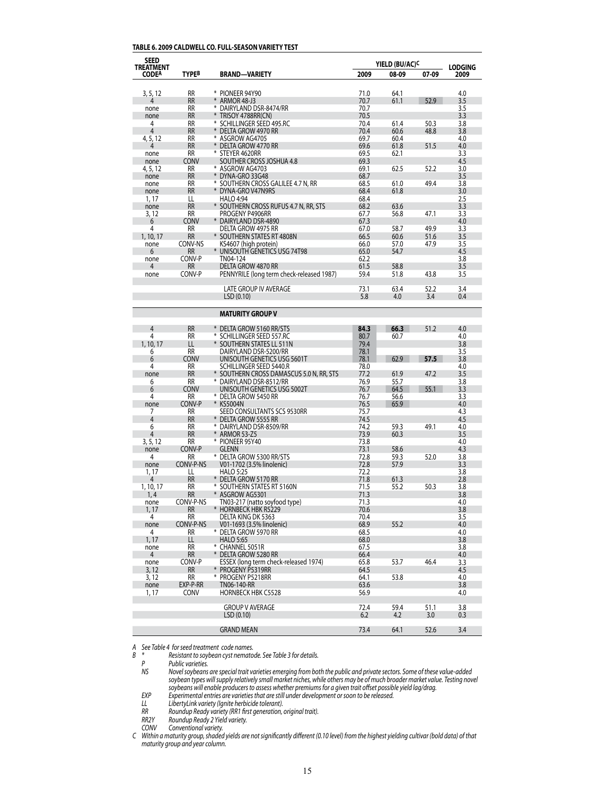#### **TABLE 6. 2009 CALDWELL CO. FULL-SEASON VARIETY TEST**

| <b>SEED</b>                      |                        |                                                        |              | YIELD (BU/AC) <sup>C</sup> |              |                        |
|----------------------------------|------------------------|--------------------------------------------------------|--------------|----------------------------|--------------|------------------------|
| <b>TREATMENT</b><br><b>CODEA</b> | TYPEB                  | <b>BRAND-VARIETY</b>                                   | 2009         | 08-09                      | 07-09        | <b>LODGING</b><br>2009 |
|                                  |                        |                                                        |              |                            |              |                        |
| 3, 5, 12                         | <b>RR</b>              | * PIONEER 94Y90                                        | 71.0         | 64.1                       |              | 4.0                    |
| none                             | <b>RR</b><br>RR        | * ARMOR 48-J3<br>* DAIRYLAND DSR-8474/RR               | 70.7<br>70.7 | 61.1                       | 52.9         | 3.5<br>3.5             |
| none                             | <b>RR</b>              | * TRISOY 4788RR(CN)                                    | 70.5         |                            |              | 3.3                    |
| 4                                | <b>RR</b>              | * SCHILLINGER SEED 495.RC                              | 70.4         | 61.4                       | 50.3         | 3.8                    |
| 4                                | <b>RR</b>              | * DELTA GROW 4970 RR                                   | 70.4         | 60.6                       | 48.8         | 3.8                    |
| 4, 5, 12                         | RR                     | * ASGROW AG4705                                        | 69.7         | 60.4                       |              | 4.0                    |
| 4<br>none                        | <b>RR</b><br>RR        | * DELTA GROW 4770 RR<br>* STEYER 4620RR                | 69.6<br>69.5 | 61.8<br>62.1               | 51.5         | 4.0<br>3.3             |
| none                             | CONV                   | SOUTHER CROSS JOSHUA 4.8                               | 69.3         |                            |              | 4.5                    |
| 4, 5, 12                         | RR                     | * ASGROW AG4703                                        | 69.1         | 62.5                       | 52.2         | 3.0                    |
| none                             | <b>RR</b>              | * DYNA-GRO 33G48                                       | 68.7         |                            |              | 3.5                    |
| none                             | <b>RR</b><br><b>RR</b> | * SOUTHERN CROSS GALILEE 4.7 N, RR                     | 68.5<br>68.4 | 61.0<br>61.8               | 49.4         | 3.8<br>3.0             |
| none<br>1, 17                    | LL                     | DYNA-GRO V47N9RS<br><b>HALO 4:94</b>                   | 68.4         |                            |              | 2.5                    |
| none                             | <b>RR</b>              | * SOUTHERN CROSS RUFUS 4.7 N, RR, STS                  | 68.2         | 63.6                       |              | 3.3                    |
| 3, 12                            | <b>RR</b>              | PROGENY P4906RR                                        | 67.7         | 56.8                       | 47.1         | 3.3                    |
| 6                                | <b>CONV</b>            | * DAIRYLAND DSR-4890                                   | 67.3         |                            |              | 4.0                    |
| 4                                | RR                     | DELTA GROW 4975 RR                                     | 67.0         | 58.7                       | 49.9         | 3.3<br>3.5             |
| 1, 10, 17<br>none                | <b>RR</b><br>CONV-NS   | * SOUTHERN STATES RT 4808N<br>KS4607 (high protein)    | 66.5<br>66.0 | 60.6<br>57.0               | 51.6<br>47.9 | 3.5                    |
| 6                                | <b>RR</b>              | * UNISOUTH GENETICS USG 74T98                          | 65.0         | 54.7                       |              | 4.5                    |
| none                             | CONV-P                 | TN04-124                                               | 62.2         |                            |              | 3.8                    |
| 4                                | RR                     | DELTA GROW 4870 RR                                     | 61.5         | 58.8                       |              | 3.5                    |
| none                             | CONV-P                 | PENNYRILE (long term check-released 1987)              | 59.4         | 51.8                       | 43.8         | 3.5                    |
|                                  |                        | LATE GROUP IV AVERAGE                                  | 73.1         | 63.4                       | 52.2         | 3.4                    |
|                                  |                        | LSD (0.10)                                             | 5.8          | 4.0                        | 3.4          | 0.4                    |
|                                  |                        |                                                        |              |                            |              |                        |
|                                  |                        | <b>MATURITY GROUP V</b>                                |              |                            |              |                        |
|                                  |                        |                                                        |              |                            |              |                        |
| 4<br>4                           | RR<br><b>RR</b>        | * DELTA GROW 5160 RR/STS<br>* SCHILLINGER SEED 557.RC  | 84.3<br>80.7 | 66.3<br>60.7               | 51.2         | 4.0<br>4.0             |
| 1, 10, 17                        | LL                     | * SOUTHERN STATES LL 511N                              | 79.4         |                            |              | 3.8                    |
| 6                                | RR                     | DAIRYLAND DSR-5200/RR                                  | 78.1         |                            |              | 3.5                    |
| 6                                | <b>CONV</b>            | UNISOUTH GENETICS USG 5601T                            | 78.1         | 62.9                       | 57.5         | 3.8                    |
| 4                                | RR                     | SCHILLINGER SEED 5440.R                                | 78.0         |                            |              | 4.0                    |
| none                             | <b>RR</b>              | SOUTHERN CROSS DAMASCUS 5.0 N, RR, STS                 | 77.2         | 61.9                       | 47.2         | 3.5                    |
| 6<br>6                           | RR<br><b>CONV</b>      | * DAIRYLAND DSR-8512/RR<br>UNISOUTH GENETICS USG 5002T | 76.9<br>76.7 | 55.7<br>64.5               | 55.1         | 3.8<br>3.3             |
| 4                                | RR                     | * Delta grow 5450 RR                                   | 76.7         | 56.6                       |              | 3.3                    |
| none                             | CONV-P                 | * KS5004N                                              | 76.5         | 65.9                       |              | 4.0                    |
| 7                                | RR                     | SEED CONSULTANTS SCS 9530RR                            | 75.7         |                            |              | 4.3                    |
| 4                                | RR                     | * Delta grow 5555 RR                                   | 74.5         |                            |              | 4.5                    |
| 6<br>4                           | RR<br><b>RR</b>        | * DAIRYLAND DSR-8509/RR<br>* ARMOR 53-Z5               | 74.2<br>73.9 | 59.3<br>60.3               | 49.1         | 4.0<br>3.5             |
| 3, 5, 12                         | RR                     | * PIONEER 95Y40                                        | 73.8         |                            |              | 4.0                    |
| none                             | CONV-P                 | glenn                                                  | 73.1         | 58.6                       |              | 4.3                    |
| 4                                | RR                     | * DELTA GROW 5300 RR/STS                               | 72.8         | 59.3                       | 52.0         | 3.8                    |
| none                             | CONV-P-NS              | V01-1702 (3.5% linolenic)                              | 72.8         | 57.9                       |              | 3.3                    |
| 1, 17                            | LL                     | <b>HALO 5:25</b>                                       | 72.2         |                            |              | 3.8                    |
| 4<br>1, 10, 17                   | RR<br>RR               | * DELTA GROW 5170 RR<br>* SOUTHERN STATES RT 5160N     | 71.8<br>71.5 | 61.3<br>55.2               | 50.3         | 2.8<br>3.8             |
| 1,4                              | RR                     | ASGROW AG5301                                          | 71.3         |                            |              | 3.8                    |
| none                             | CONV-P-NS              | TN03-217 (natto soyfood type)                          | 71.3         |                            |              | 4.0                    |
| 1, 17                            | RR                     | * HORNBECK HBK R5229                                   | 70.6         |                            |              | 3.8                    |
| 4                                | RR                     | DELTA KING DK 5363                                     | 70.4         |                            |              | 3.5                    |
| none                             | CONV-P-NS              | V01-1693 (3.5% linolenic)                              | 68.9         | 55.2                       |              | 4.0                    |
| 4<br>1, 17                       | RR.<br>LL.             | * Delta grow 5970 RR<br>HALO 5:65                      | 68.5<br>68.0 |                            |              | 4.0<br>3.8             |
| none                             | RR                     | * CHANNEL 5051R                                        | 67.5         |                            |              | 3.8                    |
| 4                                | RR                     | * DELTA GROW 5280 RR                                   | 66.4         |                            |              | 4.0                    |
| none                             | CONV-P                 | ESSEX (long term check-released 1974)                  | 65.8         | 53.7                       | 46.4         | 3.3                    |
| 3, 12                            | RR                     | * PROGENY P5319RR                                      | 64.5         |                            |              | 4.5                    |
| 3, 12<br>none                    | RR<br>EXP-P-RR         | * PROGENY P5218RR<br>TN06-140-RR                       | 64.1<br>63.6 | 53.8                       |              | 4.0<br>3.8             |
| 1, 17                            | CONV                   | <b>HORNBECK HBK C5528</b>                              | 56.9         |                            |              | 4.0                    |
|                                  |                        |                                                        |              |                            |              |                        |
|                                  |                        | <b>GROUP V AVERAGE</b>                                 | 72.4         | 59.4                       | 51.1         | 3.8                    |
|                                  |                        | LSD(0.10)                                              | 6.2          | 4.2                        | 3.0          | 0.3                    |
|                                  |                        | <b>GRAND MEAN</b>                                      | 73.4         | 64.1                       | 52.6         | 3.4                    |

*A See Table 4 forseed treatment code names.*

*B \* Resistant to soybean cyst nematode. See Table 3 for details.* 

 *P Public varieties.*

NS Movel soybeans are special trait varieties emerging from both the public and private sectors. Some of these value-added soybean types will supply relatively small market niches, while others may be of much broader market value. Testing novel soybeans will enable producers to assess whether premiums for a given trait offset possible yield lag/drag.<br>EXP Experimental entries are varieties that are still under development or soon to be released.

 *LL LibertyLink variety (Ignite herbicide tolerant).*

 *RR Roundup Ready variety (RR1 first generation, original trait).*

 *RR2Y Roundup Ready 2 Yield variety.*

 *CONV Conventional variety.*

C Within a maturity group, shaded yields are not significantly different (0.10 level) from the highest yielding cultivar (bold data) of that *maturity group and year column.*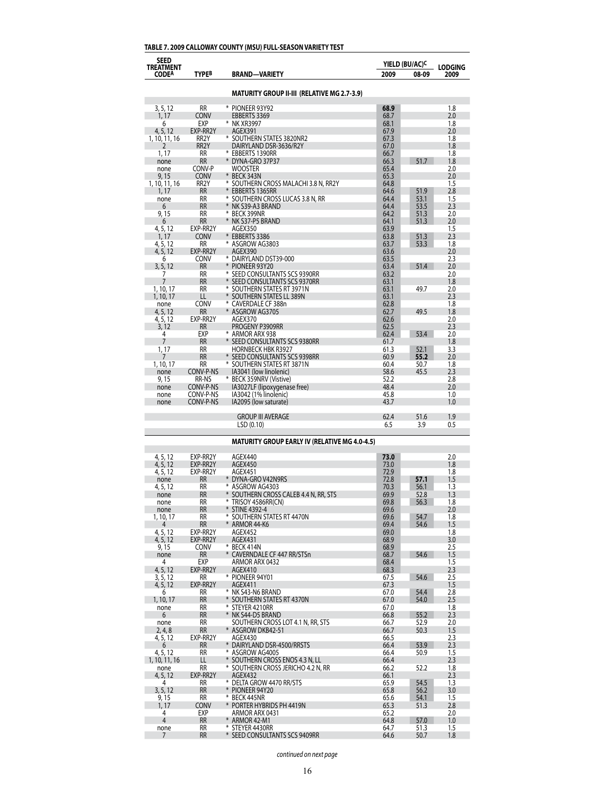| <b>SEED</b><br>TREATMENT  |                       |                                                            |              | YIELD (BU/AC) <sup>C</sup> | <b>LODGING</b> |  |
|---------------------------|-----------------------|------------------------------------------------------------|--------------|----------------------------|----------------|--|
| <b>CODEA</b>              | TYPEB                 | BRAND—VARIETY                                              | 2009         | 08-09                      | 2009           |  |
|                           |                       | MATURITY GROUP II-III (RELATIVE MG 2.7-3.9)                |              |                            |                |  |
| 3, 5, 12                  | <b>RR</b>             | * PIONEER 93Y92                                            | 68.9         |                            | 1.8            |  |
| 1, 17                     | Conv                  | <b>EBBERTS 3369</b>                                        | 68.7         |                            | 2.0            |  |
| 6                         | EXP                   | * NK XR3997                                                | 68.1         |                            | 1.8            |  |
| 4, 5, 12<br>1, 10, 11, 16 | EXP-RR2Y<br>RR2Y      | AGEX391<br>* SOUTHERN STATES 3820NR2                       | 67.9<br>67.3 |                            | 2.0<br>1.8     |  |
| 2                         | RR2Y                  | DAIRYLAND DSR-3636/R2Y                                     | 67.0         |                            | 1.8            |  |
| 1, 17                     | RR<br><b>RR</b>       | * EBBERTS 1390RR<br>* DYNA-GRO 37P37                       | 66.7<br>66.3 | 51.7                       | 1.8<br>1.8     |  |
| none<br>none              | CONV-P                | Wooster                                                    | 65.4         |                            | 2.0            |  |
| 9, 15                     | <b>CONV</b>           | * BECK 343N                                                | 65.3         |                            | 2.0            |  |
| 1, 10, 11, 16<br>1, 17    | RR2Y<br>RR            | * SOUTHERN CROSS MALACHI 3.8 N, RR2Y<br>* EBBERTS 1365RR   | 64.8<br>64.6 | 51.9                       | 1.5<br>2.8     |  |
| none                      | RR                    | * SOUTHERN CROSS LUCAS 3.8 N, RR                           | 64.4         | 53.1                       | 1.5            |  |
| 6                         | <b>RR</b><br>RR       | * NK S39-A3 BRAND<br>* BECK 399NR                          | 64.4         | 53.5                       | 2.3<br>2.0     |  |
| 9, 15<br>6                | RR                    | * NK S37-P5 BRAND                                          | 64.2<br>64.1 | 51.3<br>51.3               | 2.0            |  |
| 4, 5, 12                  | EXP-RR2Y              | AGEX350                                                    | 63.9         |                            | 1.5            |  |
| 1, 17<br>4, 5, 12         | <b>CONV</b><br>RR     | * EBBERTS 3386<br>* ASGROW AG3803                          | 63.8<br>63.7 | 51.3<br>53.3               | 2.3<br>1.8     |  |
| 4, 5, 12                  | EXP-RR2Y              | AGEX390                                                    | 63.6         |                            | 2.0            |  |
| 6                         | CONV                  | * DAIRYLAND DST39-000                                      | 63.5         |                            | 2.3            |  |
| 3, 5, 12<br>7             | RR<br>RR              | * PIONEER 93Y20<br>* SEED CONSULTANTS SCS 9390RR           | 63.4<br>63.2 | 51.4                       | 2.0<br>2.0     |  |
| 7                         | RR                    | * SEED CONSULTANTS SCS 9370RR                              | 63.1         |                            | 1.8            |  |
| 1, 10, 17<br>1, 10, 17    | RR<br>LL              | * SOUTHERN STATES RT 3971N<br>* SOUTHERN STATES LL 389N    | 63.1<br>63.1 | 49.7                       | 2.0<br>2.3     |  |
| none                      | CONV                  | * CAVERDALE CF 388n                                        | 62.8         |                            | 1.8            |  |
| 4, 5, 12                  | RR                    | * ASGROW AG3705                                            | 62.7         | 49.5                       | 1.8            |  |
| 4, 5, 12<br>3, 12         | EXP-RR2Y<br>RR        | AGEX370<br>PROGENY P3909RR                                 | 62.6<br>62.5 |                            | 2.0<br>2.3     |  |
| 4                         | EXP                   | * ARMOR ARX 938                                            | 62.4         | 53.4                       | 2.0            |  |
| 7                         | <b>RR</b>             | * SEED CONSULTANTS SCS 9380RR                              | 61.7         |                            | 1.8            |  |
| 1, 17<br>7                | RR<br>RR              | <b>HORNBECK HBK R3927</b><br>* SEED CONSULTANTS SCS 9398RR | 61.3<br>60.9 | 52.1<br>55.2               | 3.3<br>2.0     |  |
| 1, 10, 17                 | RR                    | * SOUTHERN STATES RT 3871N                                 | 60.4         | 50.7                       | 1.8            |  |
| none                      | CONV-P-NS             | IA3041 (low linolenic)                                     | 58.6         | 45.5                       | 2.3            |  |
| 9, 15<br>none             | RR-NS<br>CONV-P-NS    | * BECK 359NRV (Vistive)<br>IA3027LF (lipoxygenase free)    | 52.2<br>48.4 |                            | 2.8<br>2.0     |  |
| none                      | CONV-P-NS             | IA3042 (1% linolenic)                                      | 45.8         |                            | 1.0            |  |
| none                      | CONV-P-NS             | IA2095 (low saturate)                                      | 43.7         |                            | 1.0            |  |
|                           |                       | <b>GROUP III AVERAGE</b>                                   | 62.4         | 51.6                       | 1.9            |  |
|                           |                       | LSD (0.10)                                                 | 6.5          | 3.9                        | 0.5            |  |
|                           |                       | <b>MATURITY GROUP EARLY IV (RELATIVE MG 4.0-4.5)</b>       |              |                            |                |  |
| 4, 5, 12                  | EXP-RR2Y              | AGEX440                                                    | 73.0         |                            | 2.0            |  |
| 4, 5, 12<br>4, 5, 12      | EXP-RR2Y<br>EXP-RR2Y  | AGEX450<br>AGEX451                                         | 73.0<br>72.9 |                            | 1.8<br>1.8     |  |
| none                      | RR                    | * DYNA-GRO V42N9RS                                         | 72.8         | 57.1                       | 1.5            |  |
| 4, 5, 12                  | RR                    | * ASGROW AG4303                                            | 70.3         | 56.1                       | 1.3            |  |
| none<br>none              | RR<br>RR              | SOUTHERN CROSS CALEB 4.4 N, RR, STS<br>* TRISOY 4586RR(CN) | 69.9<br>69.8 | 52.8<br>56.3               | 1.3<br>1.8     |  |
| none                      | RR                    | * STINE 4392-4                                             | 69.6         |                            | 2.0            |  |
| 1, 10, 17<br>4            | RR<br>RR              | * SOUTHERN STATES RT 4470N<br>* ARMOR 44-K6                | 69.6<br>69.4 | 54.7<br>54.6               | 1.8<br>1.5     |  |
| 4, 5, 12                  | EXP-RR2Y              | AGEX452                                                    | 69.0         |                            | 1.8            |  |
| 4, 5, 12                  | EXP-RR2Y              | AGEX431                                                    | 68.9         |                            | 3.0            |  |
| 9, 15<br>none             | <b>CONV</b><br>RR     | * BECK 414N<br>* CAVERNDALE CF 447 RR/STSn                 | 68.9<br>68.7 | 54.6                       | 2.5<br>1.5     |  |
| 4                         | EXP                   | ARMOR ARX 0432                                             | 68.4         |                            | 1.5            |  |
| 4, 5, 12<br>3, 5, 12      | EXP-RR2Y<br>RR        | AGEX410<br>* PIONEER 94Y01                                 | 68.3<br>67.5 | 54.6                       | 2.3<br>2.5     |  |
| 4, 5, 12                  | EXP-RR2Y              | AGEX411                                                    | 67.3         |                            | 1.5            |  |
| 6                         | RR                    | * NK S43-N6 BRAND                                          | 67.0         | 54.4                       | 2.8            |  |
| 1, 10, 17<br>none         | <b>RR</b><br>RR       | * SOUTHERN STATES RT 4370N<br>* STEYER 4210RR              | 67.0<br>67.0 | 54.0                       | 2.5<br>1.8     |  |
| 6                         | <b>RR</b>             | * NK S44-D5 BRAND                                          | 66.8         | 55.2                       | 2.3            |  |
| none                      | RR                    | SOUTHERN CROSS LOT 4.1 N, RR, STS                          | 66.7         | 52.9                       | 2.0            |  |
| 2, 4, 8<br>4, 5, 12       | <b>RR</b><br>EXP-RR2Y | * ASGROW DKB42-51<br>AGEX430                               | 66.7<br>66.5 | 50.3                       | 1.5<br>2.3     |  |
| 6                         | RR                    | * DAIRYLAND DSR-4500/RRSTS                                 | 66.4         | 53.9                       | 2.3            |  |
| 4, 5, 12<br>1, 10, 11, 16 | RR<br>LL              | * ASGROW AG4005<br>* SOUTHERN CROSS ENOS 4.3 N, LL         | 66.4<br>66.4 | 50.9                       | 1.5<br>2.3     |  |
| none                      | RR                    | * SOUTHERN CROSS JERICHO 4.2 N, RR                         | 66.2         | 52.2                       | 1.8            |  |
| 4, 5, 12                  | EXP-RR2Y              | AGEX432                                                    | 66.1         |                            | 2.3            |  |
| 4<br>3, 5, 12             | RR<br>RR              | * DELTA GROW 4470 RR/STS<br>* PIONEER 94Y20                | 65.9<br>65.8 | 54.5<br>56.2               | 1.3<br>3.0     |  |
| 9, 15                     | RR                    | * BECK 445NR                                               | 65.6         | 54.1                       | 1.5            |  |
| 1, 17                     | <b>CONV</b>           | * PORTER HYBRIDS PH 4419N                                  | 65.3         | 51.3                       | 2.8            |  |
| 4<br>4                    | EXP<br>RR             | ARMOR ARX 0431<br>* ARMOR 42-M1                            | 65.2<br>64.8 | 57.0                       | 2.0<br>1.0     |  |
| none                      | RR                    | * STEYER 4430RR                                            | 64.7         | 51.3                       | 1.5            |  |
| 7                         | <b>RR</b>             | * SEED CONSULTANTS SCS 9409RR                              | 64.6         | 50.7                       | 1.8            |  |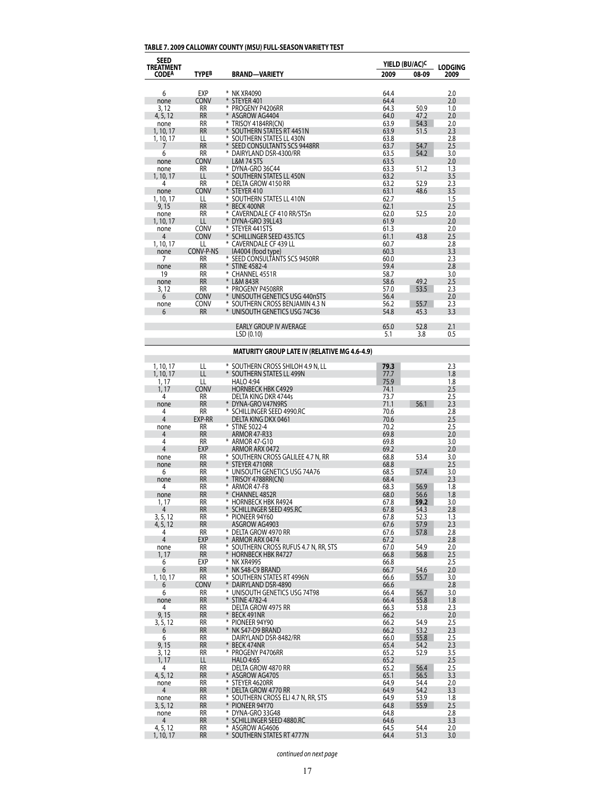# **TABLE 7. 2009 CALLOWAY COUNTY (MSU) FULL-SEASON VARIETY TEST**

| <b>SEED</b><br><b>TREATMENT</b> |                        |                                                        | YIELD (BU/AC) <sup>C</sup> |              | <b>LODGING</b> |
|---------------------------------|------------------------|--------------------------------------------------------|----------------------------|--------------|----------------|
| <b>CODEA</b>                    | TYPEB                  | <b>BRAND-VARIETY</b>                                   | 2009                       | 08-09        | 2009           |
| 6                               | EXP                    | * NK XR4090                                            | 64.4                       |              | 2.0            |
| none                            | CONV                   | * STEYER 401                                           | 64.4                       |              | 2.0            |
| 3, 12                           | <b>RR</b>              | * PROGENY P4206RR                                      | 64.3                       | 50.9         | 1.0            |
| 4, 5, 12                        | <b>RR</b><br><b>RR</b> | * ASGROW AG4404                                        | 64.0<br>63.9               | 47.2         | 2.0<br>2.0     |
| none<br>1, 10, 17               | <b>RR</b>              | * TRISOY 4184RR(CN)<br>* SOUTHERN STATES RT 4451N      | 63.9                       | 54.3<br>51.5 | 2.3            |
| 1, 10, 17                       | LL                     | * SOUTHERN STATES LL 430N                              | 63.8                       |              | 2.8            |
| 7                               | <b>RR</b>              | * SEED CONSULTANTS SCS 9448RR                          | 63.7                       | 54.7         | 2.5            |
| 6                               | <b>RR</b>              | * DAIRYLAND DSR-4300/RR                                | 63.5                       | 54.2         | 3.0            |
| none                            | <b>CONV</b>            | <b>L&amp;M 74 STS</b>                                  | 63.5                       |              | 2.0            |
| none                            | <b>RR</b>              | * DYNA-GRO 36C44                                       | 63.3                       | 51.2         | 1.3            |
| 1, 10, 17<br>4                  | LL<br><b>RR</b>        | * SOUTHERN STATES LL 450N<br>* DELTA GROW 4150 RR      | 63.2<br>63.2               | 52.9         | 3.5<br>2.3     |
| none                            | <b>CONV</b>            | * STEYER 410                                           | 63.1                       | 48.6         | 3.5            |
| 1, 10, 17                       | LL                     | * SOUTHERN STATES LL 410N                              | 62.7                       |              | 1.5            |
| 9,15                            | <b>RR</b>              | <b>BECK 400NR</b>                                      | 62.1                       |              | 2.5            |
| none                            | <b>RR</b>              | * CAVERNDALE CF 410 RR/STSn                            | 62.0                       | 52.5         | 2.0            |
| 1, 10, 17                       | LL                     | * DYNA-GRO 39LL43                                      | 61.9                       |              | 2.0            |
| none                            | CONV                   | * STEYER 441STS                                        | 61.3                       |              | 2.0            |
| 4                               | <b>CONV</b><br>LL      | SCHILLINGER SEED 435.TCS<br>* CAVERNDALE CF 439 LL     | 61.1<br>60.7               | 43.8         | 2.5<br>2.8     |
| 1, 10, 17<br>none               | CONV-P-NS              | IA4004 (food type)                                     | 60.3                       |              | 3.3            |
| 7                               | <b>RR</b>              | * SEED CONSULTANTS SCS 9450RR                          | 60.0                       |              | 2.3            |
| none                            | <b>RR</b>              | * STINE 4582-4                                         | 59.4                       |              | 2.8            |
| 19                              | <b>RR</b>              | * CHANNEL 4551R                                        | 58.7                       |              | 3.0            |
| none                            | <b>RR</b>              | * L&M 843R                                             | 58.6                       | 49.2         | 2.5            |
| 3, 12                           | <b>RR</b>              | * PROGENY P4508RR                                      | 57.0                       | 53.5         | 2.3            |
| 6                               | <b>CONV</b>            | * UNISOUTH GENETICS USG 440nSTS                        | 56.4                       |              | 2.0            |
| none                            | <b>CONV</b>            | * SOUTHERN CROSS BENJAMIN 4.3 N                        | 56.2                       | 55.7         | 2.3            |
| 6                               | <b>RR</b>              | * UNISOUTH GENETICS USG 74C36                          | 54.8                       | 45.3         | 3.3            |
|                                 |                        | <b>EARLY GROUP IV AVERAGE</b>                          | 65.0                       | 52.8         | 2.1            |
|                                 |                        | LSD(0.10)                                              | 5.1                        | 3.8          | 0.5            |
|                                 |                        |                                                        |                            |              |                |
|                                 |                        | <b>MATURITY GROUP LATE IV (RELATIVE MG 4.6-4.9)</b>    |                            |              |                |
| 1, 10, 17                       | LL                     | * SOUTHERN CROSS SHILOH 4.9 N, LL                      | 79.3                       |              | 2.3            |
| 1, 10, 17                       | LL                     | SOUTHERN STATES LL 499N                                | 77.7                       |              | 1.8            |
| 1, 17                           | LL                     | <b>HALO 4:94</b>                                       | 75.9                       |              | 1.8            |
| 1, 17<br>4                      | <b>CONV</b><br>RR      | <b>HORNBECK HBK C4929</b><br>DELTA KING DKR 4744s      | 74.1<br>73.7               |              | 2.5<br>2.5     |
| none                            | <b>RR</b>              | DYNA-GRO V47N9RS                                       | 71.1                       | 56.1         | 2.3            |
| 4                               | RR                     | * SCHILLINGER SEED 4990.RC                             | 70.6                       |              | 2.8            |
| 4                               | EXP-RR                 | DELTA KING DKX 0461                                    | 70.6                       |              | 2.5            |
| none                            | RR                     | STINE 5022-4                                           | 70.2                       |              | 2.5            |
| 4                               | <b>RR</b>              | <b>ARMOR 47-R33</b>                                    | 69.8                       |              | 2.0            |
| 4<br>$\overline{4}$             | RR                     | * ARMOR 47-G10                                         | 69.8                       |              | 3.0            |
| none                            | EXP<br>RR              | ARMOR ARX 0472<br>SOUTHERN CROSS GALILEE 4.7 N, RR     | 69.2<br>68.8               | 53.4         | 2.0<br>3.0     |
| none                            | <b>RR</b>              | * STEYER 4710RR                                        | 68.8                       |              | 2.5            |
| 6                               | RR                     | * UNISOUTH GENETICS USG 74A76                          | 68.5                       | 57.4         | 3.0            |
| none                            | RR                     | * TRISOY 4788RR(CN)                                    | 68.4                       |              | 2.3            |
| 4                               | <b>RR</b>              | * ARMOR 47-F8                                          | 68.3                       | 56.9         | 1.8            |
| none                            | <b>RR</b>              | <b>CHANNEL 4852R</b>                                   | 68.0                       | 56.6         | 1.8            |
| 1, 17<br>4                      | RR<br>RR               | * HORNBECK HBK R4924<br>* SCHILLINGER SEED 495.RC      | 67.8<br>67.8               | 59.2<br>54.3 | 3.0<br>2.8     |
| 3, 5, 12                        | RR                     | * PIONEER 94Y60                                        | 67.8                       | 52.3         | 1.3            |
| 4, 5, 12                        | <b>RR</b>              | ASGROW AG4903                                          | 67.6                       | 57.9         | 2.3            |
| 4                               | RR                     | * DELTA GROW 4970 RR                                   | 67.6                       | 57.8         | 2.8            |
| 4                               | EXP                    | * ARMOR ARX 0474                                       | 67.2                       |              | 2.8            |
| none                            | RR                     | * SOUTHERN CROSS RUFUS 4.7 N, RR, STS                  | 67.0                       | 54.9         | 2.0            |
| 1, 17                           | <b>RR</b>              | * HORNBECK HBK R4727<br>* NK XR4995                    | 66.8                       | 56.8         | 2.5            |
| 6<br>6                          | EXP<br><b>RR</b>       | * NK S48-C9 BRAND                                      | 66.8<br>66.7               | 54.6         | 2.5<br>2.0     |
| 1, 10, 17                       | RR                     | * SOUTHERN STATES RT 4996N                             | 66.6                       | 55.7         | 3.0            |
| 6                               | CONV                   | $*$<br>DAIRYLAND DSR-4890                              | 66.6                       |              | 2.8            |
| 6                               | RR                     | * UNISOUTH GENETICS USG 74T98                          | 66.4                       | 56.7         | 3.0            |
| none                            | RR                     | * STINE 4782-4                                         | 66.4                       | 55.8         | 1.8            |
| 4                               | RR                     | DELTA GROW 4975 RR                                     | 66.3                       | 53.8         | 2.3            |
| 9,15                            | RR                     | * BECK 491NR                                           | 66.2                       |              | 2.0            |
| 3, 5, 12                        | RR<br>RR               | * PIONEER 94Y90<br>* NK S47-D9 BRAND                   | 66.2<br>66.2               | 54.9         | 2.5            |
| 6<br>6                          | RR                     | DAIRYLAND DSR-8482/RR                                  | 66.0                       | 53.2<br>55.8 | 2.3<br>2.5     |
| 9,15                            | RR                     | BECK 474NR                                             | 65.4                       | 54.2         | 2.3            |
| 3, 12                           | RR                     | * PROGENY P4706RR                                      | 65.2                       | 52.9         | 3.5            |
| 1, 17                           | LL                     | <b>HALO 4:65</b>                                       | 65.2                       |              | 2.5            |
| 4                               | RR                     | DELTA GROW 4870 RR                                     | 65.2                       | 56.4         | 2.5            |
| 4, 5, 12                        | RR                     | ASGROW AG4705                                          | 65.1                       | 56.5         | 3.3            |
| none                            | RR                     | * STEYER 4620RR                                        | 64.9                       | 54.4         | 2.0            |
| 4                               | RR                     | * DELTA GROW 4770 RR                                   | 64.9                       | 54.2         | 3.3            |
| none<br>3, 5, 12                | RR<br>RR               | * SOUTHERN CROSS ELI 4.7 N, RR, STS<br>* PIONEER 94Y70 | 64.9<br>64.8               | 53.9<br>55.9 | 1.8<br>2.5     |
| none                            | RR                     | * DYNA-GRO 33G48                                       | 64.8                       |              | 2.8            |
| 4                               | RR                     | * SCHILLINGER SEED 4880.RC                             | 64.6                       |              | 3.3            |
| 4, 5, 12                        | RR                     | * ASGROW AG4606                                        | 64.5                       | 54.4         | 2.0            |
| 1, 10, 17                       | <b>RR</b>              | * SOUTHERN STATES RT 4777N                             | 64.4                       | 51.3         | 3.0            |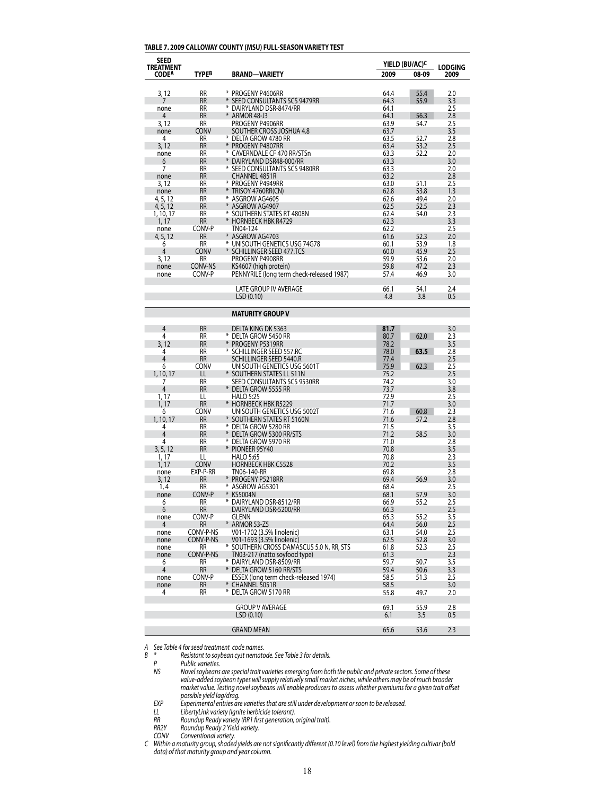#### **TABLE 7. 2009 CALLOWAY COUNTY (MSU) FULL-SEASON VARIETY TEST**

| <b>SEED</b>         |                        |                                                                   | YIELD (BU/AC) <sup>C</sup> |              |                        |
|---------------------|------------------------|-------------------------------------------------------------------|----------------------------|--------------|------------------------|
| TREATMENT<br>CODE^  | TYPEB                  | <b>BRAND-VARIETY</b>                                              | 2009                       | 08-09        | <b>LODGING</b><br>2009 |
|                     |                        |                                                                   |                            |              |                        |
| 3, 12               | RR<br><b>RR</b>        | * PROGENY P4606RR<br>* SEED CONSULTANTS SCS 9479RR                | 64.4<br>64.3               | 55.4<br>55.9 | 2.0<br>3.3             |
| none                | RR                     | * DAIRYLAND DSR-8474/RR                                           | 64.1                       |              | 2.5                    |
| 4                   | <b>RR</b>              | ARMOR 48-J3                                                       | 64.1                       | 56.3         | 2.8                    |
| 3, 12               | RR                     | PROGENY P4906RR                                                   | 63.9                       | 54.7         | 2.5                    |
| none                | <b>CONV</b>            | SOUTHER CROSS JOSHUA 4.8                                          | 63.7                       |              | 3.5                    |
| 4<br>3, 12          | RR<br><b>RR</b>        | * DELTA GROW 4780 RR<br>* PROGENY P4807RR                         | 63.5<br>63.4               | 52.7<br>53.2 | 2.8<br>2.5             |
| none                | RR                     | * CAVERNDALE CF 470 RR/STSn                                       | 63.3                       | 52.2         | 2.0                    |
| 6                   | <b>RR</b>              | * DAIRYLAND DSR48-000/RR                                          | 63.3                       |              | 3.0                    |
| 7                   | RR                     | * SEED CONSULTANTS SCS 9480RR                                     | 63.3                       |              | 2.0                    |
| none                | <b>RR</b>              | CHANNEL 4851R                                                     | 63.2                       |              | 2.8                    |
| 3, 12<br>none       | RR<br><b>RR</b>        | * PROGENY P4949RR<br>* TRISOY 4760RR(CN)                          | 63.0<br>62.8               | 51.1<br>53.8 | 2.5<br>1.3             |
| 4, 5, 12            | RR                     | * ASGROW AG4605                                                   | 62.6                       | 49.4         | 2.0                    |
| 4, 5, 12            | <b>RR</b>              | * ASGROW AG4907                                                   | 62.5                       | 52.5         | 2.3                    |
| 1, 10, 17           | <b>RR</b>              | * SOUTHERN STATES RT 4808N                                        | 62.4                       | 54.0         | 2.3                    |
| 1, 17               | RR                     | * HORNBECK HBK R4729                                              | 62.3                       |              | 3.3                    |
| none<br>4, 5, 12    | CONV-P<br><b>RR</b>    | TN04-124<br>* ASGROW AG4703                                       | 62.2<br>61.6               | 52.3         | 2.5<br>2.0             |
| 6                   | <b>RR</b>              | * UNISOUTH GENETICS USG 74G78                                     | 60.1                       | 53.9         | 1.8                    |
| 4                   | <b>CONV</b>            | * SCHILLINGER SEED 477.TCS                                        | 60.0                       | 45.9         | 2.5                    |
| 3, 12               | <b>RR</b>              | PROGENY P4908RR                                                   | 59.9                       | 53.6         | 2.0                    |
| none                | CONV-NS                | KS4607 (high protein)                                             | 59.8                       | 47.2         | 2.3                    |
| none                | CONV-P                 | PENNYRILE (long term check-released 1987)                         | 57.4                       | 46.9         | 3.0                    |
|                     |                        | LATE GROUP IV AVERAGE                                             | 66.1                       | 54.1         | 2.4                    |
|                     |                        | LSD (0.10)                                                        | 4.8                        | 3.8          | 0.5                    |
|                     |                        |                                                                   |                            |              |                        |
|                     |                        | <b>MATURITY GROUP V</b>                                           |                            |              |                        |
| 4                   | <b>RR</b>              | DELTA KING DK 5363                                                | 81.7                       |              | 3.0                    |
| 4                   | <b>RR</b>              | * DELTA GROW 5450 RR                                              | 80.7                       | 62.0         | 2.3                    |
| 3, 12               | <b>RR</b>              | * PROGENY P5319RR                                                 | 78.2                       |              | 3.5                    |
| 4<br>4              | <b>RR</b><br><b>RR</b> | * SCHILLINGER SEED 557.RC<br>SCHILLINGER SEED 5440.R              | 78.0<br>77.4               | 63.5         | 2.8<br>2.5             |
| 6                   | <b>CONV</b>            | UNISOUTH GENETICS USG 5601T                                       | 75.9                       | 62.3         | 2.5                    |
| 1, 10, 17           | LL                     | * SOUTHERN STATES LL 511N                                         | 75.2                       |              | 2.5                    |
| 7                   | <b>RR</b>              | SEED CONSULTANTS SCS 9530RR                                       | 74.2                       |              | 3.0                    |
| 4                   | <b>RR</b><br>LL        | * DELTA GROW 5555 RR<br><b>HALO 5:25</b>                          | 73.7<br>72.9               |              | 3.8<br>2.5             |
| 1, 17<br>1, 17      | <b>RR</b>              | * HORNBECK HBK R5229                                              | 71.7                       |              | 3.0                    |
| 6                   | <b>CONV</b>            | UNISOUTH GENETICS USG 5002T                                       | 71.6                       | 60.8         | 2.3                    |
| 1, 10, 17           | RR                     | * SOUTHERN STATES RT 5160N                                        | 71.6                       | 57.2         | 2.8                    |
| 4                   | <b>RR</b>              | * DELTA GROW 5280 RR                                              | 71.5                       |              | 3.5                    |
| $\overline{4}$<br>4 | <b>RR</b><br><b>RR</b> | * DELTA GROW 5300 RR/STS<br>* DELTA GROW 5970 RR                  | 71.2<br>71.0               | 58.5         | 3.0<br>2.8             |
| 3, 5, 12            | <b>RR</b>              | * PIONEER 95Y40                                                   | 70.8                       |              | 3.5                    |
| 1, 17               | LL                     | <b>HALO 5:65</b>                                                  | 70.8                       |              | 2.3                    |
| 1, 17               | <b>CONV</b>            | <b>HORNBECK HBK C5528</b>                                         | 70.2                       |              | 3.5                    |
| none                | EXP-P-RR               | TN06-140-RR                                                       | 69.8                       |              | 2.8                    |
| 3, 12               | <b>RR</b><br>RR        | * PROGENY P5218RR<br>* ASGROW AG5301                              | 69.4<br>68.4               | 56.9         | 3.0<br>2.5             |
| 1, 4<br>none        | CONV-P                 | * KS5004N                                                         | 68.1                       | 57.9         | 3.0                    |
| 6                   | <b>RR</b>              | * DAIRYLAND DSR-8512/RR                                           | 66.9                       | 55.2         | 2.5                    |
| 6                   | RR                     | DAIRYLAND DSR-5200/RR                                             | 66.3                       |              | 2.5                    |
| none                | CONV-P                 | GLENN                                                             | 65.3                       | 55.2         | 3.5                    |
| 4<br>none           | RR<br>CONV-P-NS        | * ARMOR 53-Z5<br>V01-1702 (3.5% linolenic)                        | 64.4<br>63.1               | 56.0<br>54.0 | 2.5<br>2.5             |
| none                | CONV-P-NS              | V01-1693 (3.5% linolenic)                                         | 62.5                       | 52.8         | 3.0                    |
| none                | RR                     | * SOUTHERN CROSS DAMASCUS 5.0 N, RR, STS                          | 61.8                       | 52.3         | 2.5                    |
| none                | CONV-P-NS              | TN03-217 (natto soyfood type)                                     | 61.3                       |              | 2.3                    |
| 6                   | RR.                    | * DAIRYLAND DSR-8509/RR                                           | 59.7                       | 50.7         | 3.5                    |
| 4<br>none           | RR.<br>CONV-P          | * DELTA GROW 5160 RR/STS<br>ESSEX (long term check-released 1974) | 59.4<br>58.5               | 50.6<br>51.3 | 3.3<br>2.5             |
| none                | <b>RR</b>              | * CHANNEL 5051R                                                   | 58.5                       |              | 3.0                    |
| 4                   | RR.                    | * DELTA GROW 5170 RR                                              | 55.8                       | 49.7         | 2.0                    |
|                     |                        |                                                                   |                            |              |                        |
|                     |                        | <b>GROUP V AVERAGE</b><br>LSD(0.10)                               | 69.1<br>6.1                | 55.9<br>3.5  | 2.8<br>$0.5\,$         |
|                     |                        |                                                                   |                            |              |                        |
|                     |                        | <b>GRAND MEAN</b>                                                 | 65.6                       | 53.6         | 2.3                    |

*A See Table 4 forseed treatment code names.*

*B \* Resistant to soybean cyst nematode. See Table 3 for details.* 

 *P Public varieties.*

 *NS Novelsoybeans are special trait varieties emerging from both the public and private sectors. Some of these value-added soybean types willsupply relatively small market niches, while others may be of much broader market value. Testing novelsoybeans will enable producersto assess whether premiumsfor a given trait offset possible yield lag/drag.*

 *EXP Experimental entries are varietiesthat are still under development orsoon to be released.*

 *LL LibertyLink variety (Ignite herbicide tolerant).*

 *RR Roundup Ready variety (RR1 first generation, original trait).*

 *RR2Y Roundup Ready 2 Yield variety.*

 *CONV Conventional variety.*

C Within a maturity group, shaded yields are not significantly different (0.10 level) from the highest yielding cultivar (bold *data) of that maturity group and year column.*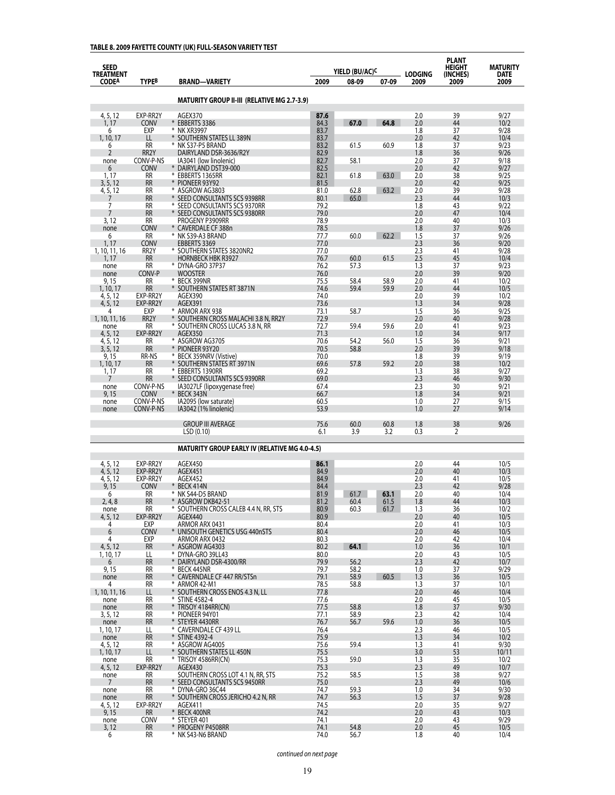## **TABLE 8. 2009 FAYETTE COUNTY (UK) FULL-SEASON VARIETY TEST**

| <b>SEED</b><br><b>TREATMENT</b> |                           |                                                                |              | YIELD (BU/AC) <sup>C</sup> |              | <b>LODGING</b> | <b>PLANT</b><br><b>HEIGHT</b><br>(INCHES) | <b>MATURITY</b><br>DATE |
|---------------------------------|---------------------------|----------------------------------------------------------------|--------------|----------------------------|--------------|----------------|-------------------------------------------|-------------------------|
| <b>CODEA</b>                    | TYPEB                     | <b>BRAND-VARIETY</b>                                           | 2009         | 08-09                      | 07-09        | 2009           | 2009                                      | 2009                    |
|                                 |                           | <b>MATURITY GROUP II-III (RELATIVE MG 2.7-3.9)</b>             |              |                            |              |                |                                           |                         |
| 4, 5, 12                        | EXP-RR2Y                  | AGEX370                                                        | 87.6         |                            |              | 2.0            | 39                                        | 9/27                    |
| 1.17                            | <b>CONV</b>               | * EBBERTS 3386                                                 | 84.3         | 67.0                       | 64.8         | 2.0            | 44                                        | 10/2                    |
| 6                               | EXP                       | * NK XR3997                                                    | 83.7         |                            |              | 1.8            | 37                                        | 9/28                    |
| 1, 10, 17<br>6                  | LL<br><b>RR</b>           | * SOUTHERN STATES LL 389N<br>* NK S37-P5 BRAND                 | 83.7<br>83.2 | 61.5                       | 60.9         | 2.0<br>1.8     | 42<br>37                                  | 10/4<br>9/23            |
| $\overline{2}$                  | RR2Y                      | DAIRYLAND DSR-3636/R2Y                                         | 82.9         |                            |              | 1.8            | 36                                        | 9/26                    |
| none                            | CONV-P-NS                 | IA3041 (low linolenic)                                         | 82.7         | 58.1                       |              | 2.0            | 37                                        | 9/18                    |
| 6<br>1, 17                      | <b>CONV</b><br><b>RR</b>  | * DAIRYLAND DST39-000<br>* EBBERTS 1365RR                      | 82.5<br>82.1 | 61.8                       | 63.0         | 2.0<br>2.0     | 42<br>38                                  | 9/27<br>9/25            |
| 3, 5, 12                        | <b>RR</b>                 | * PIONEER 93Y92                                                | 81.5         |                            |              | 2.0            | 42                                        | 9/25                    |
| 4, 5, 12                        | <b>RR</b>                 | * ASGROW AG3803                                                | 81.0         | 62.8                       | 63.2         | 2.0            | 39                                        | 9/28                    |
| 7<br>7                          | <b>RR</b><br><b>RR</b>    | * SEED CONSULTANTS SCS 9398RR<br>* SEED CONSULTANTS SCS 9370RR | 80.1<br>79.2 | 65.0                       |              | 2.3<br>1.8     | 44<br>43                                  | 10/3<br>9/22            |
| 7                               | <b>RR</b>                 | * SEED CONSULTANTS SCS 9380RR                                  | 79.0         |                            |              | 2.0            | 47                                        | 10/4                    |
| 3, 12                           | <b>RR</b>                 | PROGENY P3909RR                                                | 78.9         |                            |              | 2.0            | 40                                        | 10/3                    |
| none<br>6                       | CONV<br><b>RR</b>         | * CAVERDALE CF 388n<br>* NK S39-A3 BRAND                       | 78.5<br>77.7 | 60.0                       | 62.2         | 1.8<br>1.5     | 37<br>37                                  | 9/26<br>9/26            |
| 1, 17                           | CONV                      | EBBERTS 3369                                                   | 77.0         |                            |              | 2.3            | 36                                        | 9/20                    |
| 1, 10, 11, 16                   | RR <sub>2</sub> Y         | * SOUTHERN STATES 3820NR2                                      | 77.0         |                            |              | 2.3            | 41                                        | 9/28                    |
| 1, 17<br>none                   | <b>RR</b><br>RR           | <b>HORNBECK HBK R3927</b><br>* DYNA-GRO 37P37                  | 76.7<br>76.2 | 60.0<br>57.3               | 61.5         | 2.5<br>1.3     | 45<br>37                                  | 10/4<br>9/23            |
| none                            | CONV-P                    | <b>WOOSTER</b>                                                 | 76.0         |                            |              | 2.0            | 39                                        | 9/20                    |
| 9, 15                           | <b>RR</b>                 | * BECK 399NR                                                   | 75.5         | 58.4                       | 58.9         | 2.0            | 41                                        | 10/2                    |
| 1, 10, 17                       | <b>RR</b><br>EXP-RR2Y     | * SOUTHERN STATES RT 3871N                                     | 74.6         | 59.4                       | 59.9         | 2.0            | 44                                        | 10/5                    |
| 4, 5, 12<br>4, 5, 12            | EXP-RR2Y                  | AGEX390<br><b>AGEX391</b>                                      | 74.0<br>73.6 |                            |              | 2.0<br>1.3     | 39<br>34                                  | 10/2<br>9/28            |
| 4                               | EXP                       | * ARMOR ARX 938                                                | 73.1         | 58.7                       |              | 1.5            | 36                                        | 9/25                    |
| 1, 10, 11, 16                   | RR <sub>2</sub> Y         | * SOUTHERN CROSS MALACHI 3.8 N, RR2Y                           | 72.9         |                            |              | 2.0            | 40                                        | 9/28                    |
| none<br>4, 5, 12                | RR<br>EXP-RR2Y            | * SOUTHERN CROSS LUCAS 3.8 N, RR<br><b>AGEX350</b>             | 72.7<br>71.3 | 59.4                       | 59.6         | 2.0<br>1.0     | 41<br>34                                  | 9/23<br>9/17            |
| 4, 5, 12                        | <b>RR</b>                 | * ASGROW AG3705                                                | 70.6         | 54.2                       | 56.0         | 1.5            | 36                                        | 9/21                    |
| 3, 5, 12                        | <b>RR</b>                 | * PIONEER 93Y20                                                | 70.5         | 58.8                       |              | 2.0            | 39                                        | 9/18                    |
| 9,15<br>1, 10, 17               | <b>RR-NS</b><br><b>RR</b> | BECK 359NRV (Vistive)<br>⋇<br>* SOUTHERN STATES RT 3971N       | 70.0<br>69.6 | 57.8                       | 59.2         | 1.8<br>2.0     | 39<br>38                                  | 9/19<br>10/2            |
| 1, 17                           | <b>RR</b>                 | ⋇<br><b>EBBERTS 1390RR</b>                                     | 69.2         |                            |              | 1.3            | 38                                        | 9/27                    |
| 7                               | <b>RR</b>                 | * SEED CONSULTANTS SCS 9390RR                                  | 69.0         |                            |              | 2.3            | 46                                        | 9/30                    |
| none<br>9, 15                   | CONV-P-NS<br>CONV         | IA3027LF (lipoxygenase free)<br>* BECK 343N                    | 67.4<br>66.7 |                            |              | 2.3<br>1.8     | 30<br>34                                  | 9/21<br>9/21            |
| none                            | CONV-P-NS                 | IA2095 (low saturate)                                          | 60.5         |                            |              | 1.0            | 27                                        | 9/15                    |
| none                            | CONV-P-NS                 | IA3042 (1% linolenic)                                          | 53.9         |                            |              | 1.0            | 27                                        | 9/14                    |
|                                 |                           | <b>GROUP III AVERAGE</b>                                       | 75.6         | 60.0                       | 60.8         | 1.8            | 38                                        | 9/26                    |
|                                 |                           | LSD(0.10)                                                      | 6.1          | 3.9                        | 3.2          | 0.3            | 2                                         |                         |
|                                 |                           | <b>MATURITY GROUP EARLY IV (RELATIVE MG 4.0-4.5)</b>           |              |                            |              |                |                                           |                         |
|                                 |                           |                                                                |              |                            |              |                |                                           |                         |
| 4, 5, 12                        | EXP-RR2Y                  | AGEX450                                                        | 86.1         |                            |              | 2.0            | 44                                        | 10/5                    |
| 4, 5, 12<br>4, 5, 12            | EXP-RR2Y<br>EXP-RR2Y      | AGEX451<br>AGEX452                                             | 84.9<br>84.9 |                            |              | 2.0<br>2.0     | 40<br>41                                  | 10/3<br>10/5            |
| 9, 15                           | Conv                      | * BECK 414N                                                    | 84.4         |                            |              | 2.3            | 42                                        | 9/28                    |
| 6                               | RR                        | ¥<br>NK S44-D5 BRAND                                           | 81.9         | 61.7                       | 63.1         | 2.0            | 40                                        | 10/4                    |
| 2, 4, 8<br>none                 | RR<br>RR                  | * Asgrow DKB42-51<br>* SOUTHERN CROSS CALEB 4.4 N, RR, STS     | 81.2<br>80.9 | 60.4<br>60.3               | 61.5<br>61.7 | 1.8<br>1.3     | 44<br>36                                  | 10/3<br>10/2            |
| 4, 5, 12                        | EXP-RR2Y                  | AGEX440                                                        | 80.9         |                            |              | 2.0            | 40                                        | 10/5                    |
| 4                               | EXP                       | ARMOR ARX 0431                                                 | 80.4         |                            |              | 2.0            | 41                                        | 10/3                    |
| 6<br>4                          | <b>CONV</b><br>EXP        | * UNISOUTH GENETICS USG 440nSTS<br>ARMOR ARX 0432              | 80.4<br>80.3 |                            |              | 2.0<br>2.0     | 46<br>42                                  | 10/5<br>10/4            |
| 4, 5, 12                        | <b>RR</b>                 | * ASGROW AG4303                                                | 80.2         | 64.1                       |              | 1.0            | 36                                        | 10/1                    |
| 1, 10, 17                       | LL                        | * DYNA-GRO 39LL43                                              | 80.0         |                            |              | 2.0            | 43                                        | 10/5                    |
| 6<br>9, 15                      | <b>RR</b><br>RR           | * DAIRYLAND DSR-4300/RR<br>* BECK 445NR                        | 79.9<br>79.7 | 56.2<br>58.2               |              | 2.3<br>1.0     | 42<br>37                                  | 10/7<br>9/29            |
| none                            | <b>RR</b>                 | * CAVERNDALE CF 447 RR/STSn                                    | 79.1         | 58.9                       | 60.5         | 1.3            | 36                                        | 10/5                    |
| 4                               | RR                        | * ARMOR 42-M1                                                  | 78.5         | 58.8                       |              | 1.3            | 37                                        | 10/1                    |
| 1, 10, 11, 16<br>none           | LL<br>RR                  | * SOUTHERN CROSS ENOS 4.3 N, LL<br>* STINE 4582-4              | 77.8<br>77.6 |                            |              | 2.0<br>2.0     | 46<br>45                                  | 10/4<br>10/5            |
| none                            | <b>RR</b>                 | * TRISOY 4184RR(CN)                                            | 77.5         | 58.8                       |              | 1.8            | 37                                        | 9/30                    |
| 3, 5, 12                        | RR                        | * PIONEER 94Y01                                                | 77.1         | 58.9                       |              | 2.3            | 42                                        | 10/4                    |
| none<br>1, 10, 17               | <b>RR</b><br>LL           | * STEYER 4430RR<br>* CAVERNDALE CF 439 LL                      | 76.7<br>76.4 | 56.7                       | 59.6         | 1.0<br>2.3     | 36<br>46                                  | 10/5<br>10/5            |
| none                            | <b>RR</b>                 | * STINE 4392-4                                                 | 75.9         |                            |              | 1.3            | 34                                        | 10/2                    |
| 4, 5, 12                        | RR                        | * ASGROW AG4005                                                | 75.6         | 59.4                       |              | 1.3            | 41                                        | 9/30                    |
| 1, 10, 17<br>none               | LL<br>RR                  | * SOUTHERN STATES LL 450N<br>* TRISOY 4586RR(CN)               | 75.5<br>75.3 | 59.0                       |              | 3.0<br>1.3     | 53<br>35                                  | 10/11<br>10/2           |
| 4, 5, 12                        | EXP-RR2Y                  | AGEX430                                                        | 75.3         |                            |              | 2.3            | 49                                        | 10/7                    |
| none                            | RR                        | SOUTHERN CROSS LOT 4.1 N, RR, STS                              | 75.2         | 58.5                       |              | 1.5            | 38                                        | 9/27                    |
| $7\overline{ }$                 | <b>RR</b>                 | * SEED CONSULTANTS SCS 9450RR                                  | 75.0         |                            |              | 2.3            | 49<br>34                                  | 10/6                    |
| none<br>none                    | RR<br><b>RR</b>           | * DYNA-GRO 36C44<br>* SOUTHERN CROSS JERICHO 4.2 N, RR         | 74.7<br>74.7 | 59.3<br>56.3               |              | 1.0<br>1.5     | 37                                        | 9/30<br>9/28            |
| 4, 5, 12                        | EXP-RR2Y                  | AGEX411                                                        | 74.5         |                            |              | 2.0            | 35                                        | 9/27                    |
| 9, 15                           | <b>RR</b>                 | * BECK 400NR                                                   | 74.2         |                            |              | 2.0            | 43                                        | 10/3                    |
| none<br>3, 12                   | CONV<br>RR                | * STEYER 401<br>* PROGENY P4508RR                              | 74.1<br>74.1 | 54.8                       |              | 2.0<br>2.0     | 43<br>45                                  | 9/29<br>10/5            |
| 6                               | RR                        | * NK S43-N6 BRAND                                              | 74.0         | 56.7                       |              | 1.8            | 40                                        | 10/4                    |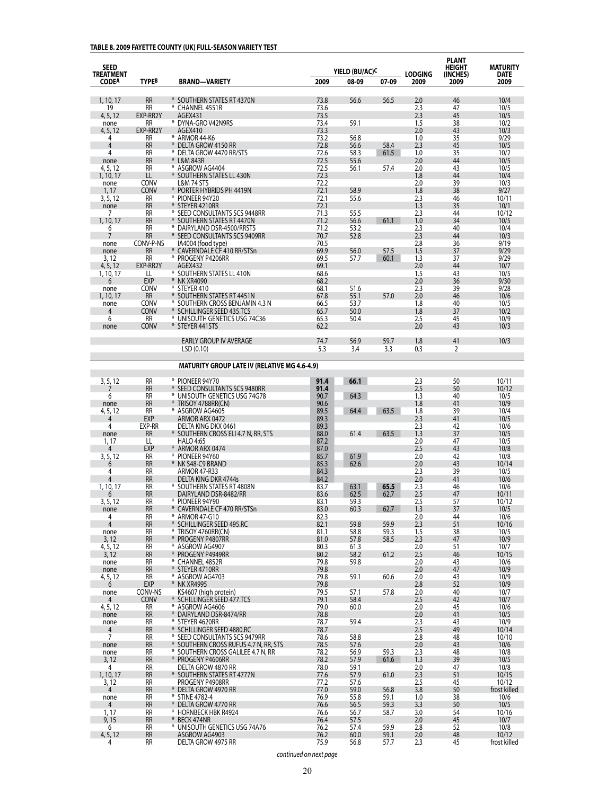## **TABLE 8. 2009 FAYETTE COUNTY (UK) FULL-SEASON VARIETY TEST**

| <b>SEED</b>                      |                          |                                                                        |              |                                     |              |                        | <b>PLANT</b><br>HEIGHT | MATURITY            |
|----------------------------------|--------------------------|------------------------------------------------------------------------|--------------|-------------------------------------|--------------|------------------------|------------------------|---------------------|
| <b>TREATMENT</b><br><b>CODEA</b> | <b>TYPEB</b>             | <b>BRAND-VARIETY</b>                                                   | 2009         | YIELD (BU/AC) <sup>C</sup><br>08-09 | 07-09        | <b>LODGING</b><br>2009 | (INCHES)<br>2009       | <b>DATE</b><br>2009 |
| 1, 10, 17                        | <b>RR</b>                | * SOUTHERN STATES RT 4370N                                             | 73.8         | 56.6                                | 56.5         | 2.0                    | 46                     | 10/4                |
| 19                               | RR                       | * CHANNEL 4551R                                                        | 73.6         |                                     |              | 2.3                    | 47                     | 10/5                |
| 4, 5, 12                         | EXP-RR2Y                 | AGEX431                                                                | 73.5         |                                     |              | 2.3                    | 45                     | 10/5                |
| none<br>4, 5, 12                 | RR<br>EXP-RR2Y           | * DYNA-GRO V42N9RS<br>AGEX410                                          | 73.4<br>73.3 | 59.1                                |              | 1.5<br>2.0             | 38<br>43               | 10/2<br>10/3        |
| 4                                | RR                       | * ARMOR 44-K6                                                          | 73.2         | 56.8                                |              | 1.0                    | 35                     | 9/29                |
| 4                                | <b>RR</b>                | DELTA GROW 4150 RR                                                     | 72.8         | 56.6                                | 58.4         | 2.3                    | 45                     | 10/5                |
| 4                                | RR                       | * DELTA GROW 4470 RR/STS                                               | 72.6         | 58.3                                | 61.5         | 1.0                    | 35                     | 10/2                |
| none<br>4, 5, 12                 | <b>RR</b><br><b>RR</b>   | * L&M 843R<br>* ASGROW AG4404                                          | 72.5<br>72.5 | 55.6<br>56.1                        | 57.4         | 2.0<br>2.0             | 44<br>43               | 10/5<br>10/5        |
| 1, 10, 17                        | LL                       | * SOUTHERN STATES LL 430N                                              | 72.3         |                                     |              | 1.8                    | 44                     | 10/4                |
| none                             | <b>CONV</b>              | L&M 74 STS                                                             | 72.2         |                                     |              | 2.0                    | 39                     | 10/3                |
| 1, 17<br>3, 5, 12                | <b>CONV</b><br>RR        | * PORTER HYBRIDS PH 4419N<br>* PIONEER 94Y20                           | 72.1<br>72.1 | 58.9<br>55.6                        |              | 1.8<br>2.3             | 38<br>46               | 9/27<br>10/11       |
| none                             | <b>RR</b>                | * STEYER 4210RR                                                        | 72.1         |                                     |              | 1.3                    | 35                     | 10/1                |
| 7                                | RR                       | * SEED CONSULTANTS SCS 9448RR                                          | 71.3         | 55.5                                |              | 2.3                    | 44                     | 10/12               |
| 1, 10, 17                        | <b>RR</b>                | * SOUTHERN STATES RT 4470N                                             | 71.2         | 56.6                                | 61.1         | 1.0                    | 34                     | 10/5                |
| 6<br>7                           | <b>RR</b><br><b>RR</b>   | * DAIRYLAND DSR-4500/RRSTS<br>* SEED CONSULTANTS SCS 9409RR            | 71.2<br>70.7 | 53.2<br>52.8                        |              | 2.3<br>2.3             | 40<br>44               | 10/4<br>10/3        |
| none                             | CONV-P-NS                | IA4004 (food type)                                                     | 70.5         |                                     |              | 2.8                    | 36                     | 9/19                |
| none                             | RR                       | * CAVERNDALE CF 410 RR/STSn                                            | 69.9         | 56.0                                | 57.5         | 1.5                    | 37                     | 9/29                |
| 3,12<br>4, 5, 12                 | <b>RR</b><br>EXP-RR2Y    | * PROGENY P4206RR<br>AGEX432                                           | 69.5<br>69.1 | 57.7                                | 60.1         | 1.3<br>2.0             | 37<br>44               | 9/29<br>10/7        |
| 1, 10, 17                        | LL                       | * SOUTHERN STATES LL 410N                                              | 68.6         |                                     |              | 1.5                    | 43                     | 10/5                |
| 6                                | <b>EXP</b>               | * NK XR4090                                                            | 68.2         |                                     |              | 2.0                    | 36                     | 9/30                |
| none                             | <b>CONV</b>              | * STEYER 410                                                           | 68.1         | 51.6                                |              | 2.3                    | 39                     | 9/28                |
| 1, 10, 17                        | <b>RR</b><br><b>CONV</b> | * SOUTHERN STATES RT 4451N<br>* SOUTHERN CROSS BENJAMIN 4.3 N          | 67.8<br>66.5 | 55.1<br>53.7                        | 57.0         | 2.0<br>1.8             | 46<br>40               | 10/6<br>10/5        |
| none<br>4                        | <b>CONV</b>              | * SCHILLINGER SEED 435.TCS                                             | 65.7         | 50.0                                |              | 1.8                    | 37                     | 10/2                |
| 6                                | RR                       | * UNISOUTH GENETICS USG 74C36                                          | 65.3         | 50.4                                |              | 2.5                    | 45                     | 10/9                |
| none                             | <b>CONV</b>              | * STEYER 441STS                                                        | 62.2         |                                     |              | 2.0                    | 43                     | 10/3                |
|                                  |                          | <b>EARLY GROUP IV AVERAGE</b>                                          | 74.7         | 56.9                                | 59.7         | 1.8                    | 41                     | 10/3                |
|                                  |                          | LSD(0.10)                                                              | 5.3          | 3.4                                 | 3.3          | 0.3                    | 2                      |                     |
|                                  |                          | <b>MATURITY GROUP LATE IV (RELATIVE MG 4.6-4.9)</b>                    |              |                                     |              |                        |                        |                     |
|                                  |                          |                                                                        |              |                                     |              |                        |                        |                     |
| 3, 5, 12<br>7                    | <b>RR</b><br><b>RR</b>   | * PIONEER 94Y70<br>* SEED CONSULTANTS SCS 9480RR                       | 91.4<br>91.4 | 66.1                                |              | 2.3<br>2.5             | 50<br>50               | 10/11<br>10/12      |
| 6                                | <b>RR</b>                | * UNISOUTH GENETICS USG 74G78                                          | 90.7         | 64.3                                |              | 1.3                    | 40                     | 10/5                |
| none                             | <b>RR</b>                | * TRISOY 4788RR(CN)                                                    | 90.6         |                                     |              | 1.8                    | 41                     | 10/9                |
| 4, 5, 12                         | <b>RR</b><br>EXP         | * ASGROW AG4605<br>ARMOR ARX 0472                                      | 89.5         | 64.4                                | 63.5         | 1.8                    | 39<br>41               | 10/4<br>10/5        |
| 4<br>4                           | EXP-RR                   | DELTA KING DKX 0461                                                    | 89.3<br>89.3 |                                     |              | 2.3<br>2.3             | 42                     | 10/6                |
| none                             | <b>RR</b>                | * SOUTHERN CROSS ELI 4.7 N, RR, STS                                    | 88.0         | 61.4                                | 63.5         | 1.3                    | 37                     | 10/5                |
| 1, 17                            | LL                       | <b>HALO 4:65</b>                                                       | 87.2         |                                     |              | 2.0                    | 47                     | 10/5                |
| 4                                | EXP<br><b>RR</b>         | * ARMOR ARX 0474<br>* PIONEER 94Y60                                    | 87.0<br>85.7 | 61.9                                |              | 2.5<br>2.0             | 43<br>42               | 10/8<br>10/8        |
| 3, 5, 12<br>6                    | <b>RR</b>                | * NK S48-C9 BRAND                                                      | 85.3         | 62.6                                |              | 2.0                    | 43                     | 10/14               |
| 4                                | RR                       | <b>ARMOR 47-R33</b>                                                    | 84.3         |                                     |              | 2.3                    | 39                     | 10/5                |
| 4                                | <b>RR</b>                | DELTA KING DKR 4744s                                                   | 84.2         |                                     |              | 2.0                    | 41                     | 10/6                |
| 1, 10, 17<br>6                   | <b>RR</b><br><b>RR</b>   | * SOUTHERN STATES RT 4808N<br>DAIRYLAND DSR-8482/RR                    | 83.7<br>83.6 | 63.1<br>62.5                        | 65.5<br>62.7 | 2.3<br>2.5             | 46<br>47               | 10/6<br>10/11       |
| 3, 5, 12                         | <b>RR</b>                | * PIONEER 94Y90                                                        | 83.1         | 59.3                                |              | 2.5                    | 57                     | 10/12               |
| none                             | <b>RR</b>                | CAVERNDALE CF 470 RR/STSn                                              | 83.0         | 60.3                                | 62.7         | 1.3                    | 37                     | 10/5                |
| 4                                | RR                       | * ARMOR 47-G10                                                         | 82.3         |                                     |              | 2.0                    | 44                     | 10/6                |
| 4<br>none                        | <b>RR</b><br>RR          | * SCHILLINGER SEED 495.RC<br>* TRISOY 4760RR(CN)                       | 82.1<br>81.1 | 59.8<br>58.8                        | 59.9<br>59.3 | 2.3<br>1.5             | 51<br>38               | 10/16<br>10/5       |
| 3, 12                            | <b>RR</b>                | * PROGENY P4807RR                                                      | 81.0         | 57.8                                | 58.5         | 2.3                    | 47                     | 10/9                |
| 4, 5, 12                         | RR                       | * ASGROW AG4907                                                        | 80.3         | 61.3                                |              | 2.0                    | 51                     | 10/7                |
| 3, 12                            | <b>RR</b>                | * PROGENY P4949RR                                                      | 80.2         | 58.2                                | 61.2         | 2.5                    | 46                     | 10/15               |
| none<br>none                     | RR<br><b>RR</b>          | * CHANNEL 4852R<br>* STEYER 4710RR                                     | 79.8<br>79.8 | 59.8                                |              | 2.0<br>2.0             | 43<br>47               | 10/6<br>10/9        |
| 4, 5, 12                         | <b>RR</b>                | * ASGROW AG4703                                                        | 79.8         | 59.1                                | 60.6         | 2.0                    | 43                     | 10/9                |
| 6                                | EXP                      | * NK XR4995                                                            | 79.8         |                                     |              | 2.8                    | 52                     | 10/9                |
| none                             | CONV-NS                  | KS4607 (high protein)                                                  | 79.5         | 57.1                                | 57.8         | 2.0                    | 40                     | 10/7                |
| 4<br>4, 5, 12                    | <b>CONV</b><br>RR        | * SCHILLINGER SEED 477.TCS<br>* ASGROW AG4606                          | 79.1<br>79.0 | 58.4<br>60.0                        |              | 2.5<br>2.0             | 42<br>45               | 10/7<br>10/6        |
| none                             | <b>RR</b>                | * DAIRYLAND DSR-8474/RR                                                | 78.8         |                                     |              | 2.0                    | 41                     | 10/5                |
| none                             | RR                       | * STEYER 4620RR                                                        | 78.7         | 59.4                                |              | 2.3                    | 43                     | 10/9                |
| 4                                | <b>RR</b>                | * SCHILLINGER SEED 4880.RC                                             | 78.7         |                                     |              | 2.5                    | 49                     | 10/14               |
| 7<br>none                        | <b>RR</b><br><b>RR</b>   | * SEED CONSULTANTS SCS 9479RR<br>* SOUTHERN CROSS RUFUS 4.7 N, RR, STS | 78.6<br>78.5 | 58.8<br>57.6                        |              | 2.8<br>2.0             | 48<br>43               | 10/10<br>10/6       |
| none                             | RR                       | * SOUTHERN CROSS GALILEE 4.7 N, RR                                     | 78.2         | 56.9                                | 59.3         | 2.3                    | 48                     | 10/8                |
| 3, 12                            | <b>RR</b>                | * PROGENY P4606RR                                                      | 78.2         | 57.9                                | 61.6         | 1.3                    | 39                     | 10/5                |
| 4                                | RR                       | DELTA GROW 4870 RR                                                     | 78.0         | 59.1                                |              | 2.0                    | 47                     | 10/8                |
| 1, 10, 17<br>3, 12               | <b>RR</b><br>RR          | * SOUTHERN STATES RT 4777N<br>PROGENY P4908RR                          | 77.6<br>77.2 | 57.9<br>57.6                        | 61.0         | 2.3<br>2.5             | 51<br>45               | 10/15<br>10/12      |
| 4                                | <b>RR</b>                | * DELTA GROW 4970 RR                                                   | 77.0         | 59.0                                | 56.8         | 3.8                    | 50                     | frost killed        |
| none                             | RR                       | * STINE 4782-4                                                         | 76.9         | 55.8                                | 59.1         | 1.0                    | 38                     | 10/6                |
| $\overline{4}$                   | <b>RR</b>                | * DELTA GROW 4770 RR                                                   | 76.6         | 56.5                                | 59.3         | 3.3                    | 50                     | 10/5                |
| 1,17<br>9,15                     | RR<br><b>RR</b>          | * HORNBECK HBK R4924<br>* BECK 474NR                                   | 76.6<br>76.4 | 56.7<br>57.5                        | 58.7         | 3.0<br>2.0             | 54<br>45               | 10/16<br>10/7       |
| 6                                | RR                       | * UNISOUTH GENETICS USG 74A76                                          | 76.2         | 57.4                                | 59.9         | 2.8                    | 52                     | 10/8                |
| 4, 5, 12                         | <b>RR</b>                | ASGROW AG4903                                                          | 76.2         | 60.0                                | 59.1         | 2.0                    | 48                     | 10/12               |
| 4                                | RR                       | DELTA GROW 4975 RR                                                     | 75.9         | 56.8                                | 57.7         | 2.3                    | 45                     | frost killed        |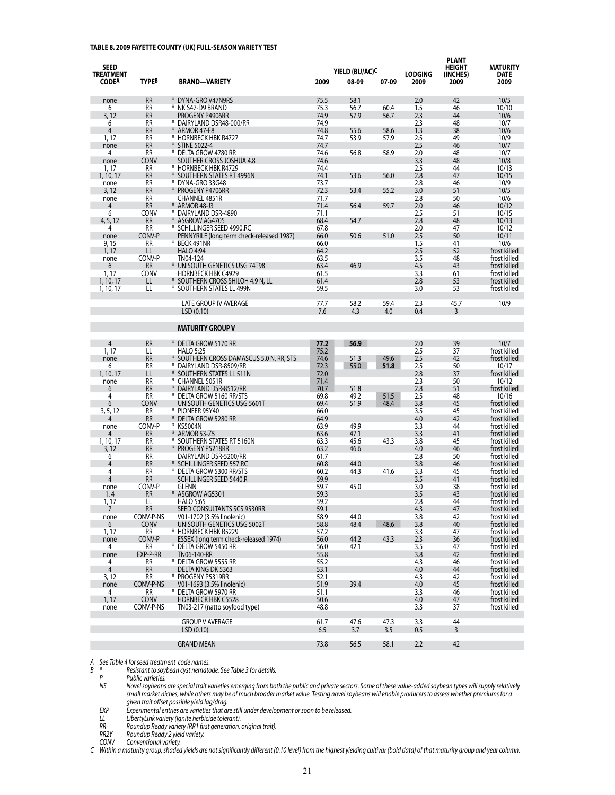#### **TABLE 8. 2009 FAYETTE COUNTY (UK) FULL-SEASON VARIETY TEST**

| <b>SEED</b><br><b>TREATMENT</b> |                          |                                                               |              | YIELD (BU/AC) <sup>C</sup> |       | <b>LODGING</b> | <b>PLANT</b><br><b>HEIGHT</b><br>(INCHES) | <b>MATURITY</b><br><b>DATE</b> |
|---------------------------------|--------------------------|---------------------------------------------------------------|--------------|----------------------------|-------|----------------|-------------------------------------------|--------------------------------|
| <b>CODEA</b>                    | <b>TYPEB</b>             | <b>BRAND-VARIETY</b>                                          | 2009         | 08-09                      | 07-09 | 2009           | 2009                                      | 2009                           |
| none                            | <b>RR</b>                | * DYNA-GRO V47N9RS                                            | 75.5         | 58.1                       |       | 2.0            | 42                                        | 10/5                           |
| 6                               | RR                       | * NK S47-D9 BRAND                                             | 75.3         | 56.7                       | 60.4  | 1.5            | 46                                        | 10/10                          |
| 3,12                            | <b>RR</b>                | PROGENY P4906RR                                               | 74.9         | 57.9                       | 56.7  | 2.3            | 44                                        | 10/6                           |
| 6                               | <b>RR</b>                | * DAIRYLAND DSR48-000/RR                                      | 74.9         |                            |       | 2.3            | 48                                        | 10/7                           |
| 4                               | <b>RR</b>                | * ARMOR 47-F8                                                 | 74.8         | 55.6                       | 58.6  | 1.3            | 38                                        | 10/6                           |
| 1, 17                           | RR                       | * HORNBECK HBK R4727                                          | 74.7         | 53.9                       | 57.9  | 2.5            | 49                                        | 10/9                           |
| none<br>4                       | <b>RR</b><br>RR          | * STINE 5022-4<br>* DELTA GROW 4780 RR                        | 74.7<br>74.6 | 56.8                       | 58.9  | 2.5<br>2.0     | 46<br>48                                  | 10/7<br>10/7                   |
| none                            | CONV                     | SOUTHER CROSS JOSHUA 4.8                                      | 74.6         |                            |       | 3.3            | 48                                        | 10/8                           |
| 1, 17                           | RR                       | * HORNBECK HBK R4729                                          | 74.4         |                            |       | 2.5            | 44                                        | 10/13                          |
| 1, 10, 17                       | <b>RR</b>                | * SOUTHERN STATES RT 4996N                                    | 74.1         | 53.6                       | 56.0  | 2.8            | 47                                        | 10/15                          |
| none                            | <b>RR</b>                | * DYNA-GRO 33G48                                              | 73.7         |                            |       | 2.8            | 46                                        | 10/9                           |
| 3, 12                           | <b>RR</b>                | * Progeny P4706RR                                             | 72.3         | 53.4                       | 55.2  | 3.0            | 51                                        | 10/5                           |
| none                            | RR                       | CHANNEL 4851R                                                 | 71.7         |                            |       | 2.8            | 50                                        | 10/6                           |
| 4<br>6                          | <b>RR</b><br>CONV        | * ARMOR 48-J3<br>* DAIRYLAND DSR-4890                         | 71.4<br>71.1 | 56.4                       | 59.7  | 2.0<br>2.5     | 46<br>51                                  | 10/12<br>10/15                 |
| 4, 5, 12                        | <b>RR</b>                | * ASGROW AG4705                                               | 68.4         | 54.7                       |       | 2.8            | 48                                        | 10/13                          |
| 4                               | RR                       | * SCHILLINGER SEED 4990.RC                                    | 67.8         |                            |       | 2.0            | 47                                        | 10/12                          |
| none                            | CONV-P                   | PENNYRILE (long term check-released 1987)                     | 66.0         | 50.6                       | 51.0  | 2.5            | 50                                        | 10/11                          |
| 9, 15                           | <b>RR</b>                | * BECK 491NR                                                  | 66.0         |                            |       | 1.5            | 41                                        | 10/6                           |
| 1, 17                           | LL                       | <b>HALO 4:94</b>                                              | 64.2         |                            |       | 2.5            | 52                                        | frost killed                   |
| none                            | CONV-P                   | TN04-124                                                      | 63.5         |                            |       | 3.5            | 48                                        | frost killed                   |
| 6                               | <b>RR</b><br><b>CONV</b> | * UNISOUTH GENETICS USG 74T98<br><b>HORNBECK HBK C4929</b>    | 63.4         | 46.9                       |       | 4.5            | 43                                        | frost killed<br>frost killed   |
| 1, 17<br>1, 10, 17              | LL                       | * SOUTHERN CROSS SHILOH 4.9 N, LL                             | 61.5<br>61.4 |                            |       | 3.3<br>2.8     | 61<br>53                                  | frost killed                   |
| 1, 10, 17                       | LL                       | * SOUTHERN STATES LL 499N                                     | 59.5         |                            |       | 3.0            | 53                                        | frost killed                   |
|                                 |                          |                                                               |              |                            |       |                |                                           |                                |
|                                 |                          | <b>LATE GROUP IV AVERAGE</b>                                  | 77.7         | 58.2                       | 59.4  | 2.3            | 45.7                                      | 10/9                           |
|                                 |                          | LSD(0.10)                                                     | 7.6          | 4.3                        | 4.0   | 0.4            | 3                                         |                                |
|                                 |                          | <b>MATURITY GROUP V</b>                                       |              |                            |       |                |                                           |                                |
| $\overline{4}$                  | <b>RR</b>                | * DELTA GROW 5170 RR                                          | 77.2         | 56.9                       |       | 2.0            | 39                                        | 10/7                           |
| 1, 17                           | LL                       | <b>HALO 5:25</b>                                              | 75.2         |                            |       | 2.5            | 37                                        | frost killed                   |
| none                            | <b>RR</b>                | * SOUTHERN CROSS DAMASCUS 5.0 N, RR, STS                      | 74.6         | 51.3                       | 49.6  | 2.5            | 42                                        | frost killed                   |
| 6                               | RR.                      | * DAIRYLAND DSR-8509/RR                                       | 72.3         | 55.0                       | 51.8  | 2.5            | 50                                        | 10/17                          |
| 1, 10, 17                       | LL                       | * SOUTHERN STATES LL 511N                                     | 72.0         |                            |       | 2.8            | 37                                        | frost killed                   |
| none                            | RR.                      | * CHANNEL 5051R                                               | 71.4         |                            |       | 2.3            | 50                                        | 10/12                          |
| 6<br>4                          | <b>RR</b><br>RR.         | * DAIRYLAND DSR-8512/RR<br>* DELTA GROW 5160 RR/STS           | 70.7<br>69.8 | 51.8<br>49.2               | 51.5  | 2.8<br>2.5     | 51<br>48                                  | frost killed<br>10/16          |
| 6                               | Conv                     | UNISOUTH GENETICS USG 5601T                                   | 69.4         | 51.9                       | 48.4  | 3.8            | 45                                        | frost killed                   |
| 3, 5, 12                        | <b>RR</b>                | * PIONEER 95Y40                                               | 66.0         |                            |       | 3.5            | 45                                        | frost killed                   |
| 4                               | <b>RR</b>                | * DELTA GROW 5280 RR                                          | 64.9         |                            |       | 4.0            | 42                                        | frost killed                   |
| none                            | CONV-P                   | * KS5004N                                                     | 63.9         | 49.9                       |       | 3.3            | 44                                        | frost killed                   |
| 4                               | <b>RR</b>                | * ARMOR 53-Z5                                                 | 63.6         | 47.1                       |       | 3.3            | 41                                        | frost killed                   |
| 1, 10, 17                       | <b>RR</b>                | * SOUTHERN STATES RT 5160N                                    | 63.3         | 45.6                       | 43.3  | 3.8            | 45                                        | frost killed                   |
| 3, 12                           | <b>RR</b>                | * PROGENY P5218RR                                             | 63.2         | 46.6                       |       | 4.0            | 46                                        | frost killed                   |
| 6<br>4                          | <b>RR</b><br><b>RR</b>   | DAIRYLAND DSR-5200/RR<br>* SCHILLINGER SEED 557.RC            | 61.7<br>60.8 | 44.0                       |       | 2.8<br>3.8     | 50<br>46                                  | frost killed<br>frost killed   |
| 4                               | <b>RR</b>                | * DELTA GROW 5300 RR/STS                                      | 60.2         | 44.3                       | 41.6  | 3.3            | 45                                        | frost killed                   |
| 4                               | <b>RR</b>                | <b>SCHILLINGER SEED 5440.R</b>                                | 59.9         |                            |       | 3.5            | 41                                        | frost killed                   |
| none                            | CONV-P                   | <b>GLENN</b>                                                  | 59.7         | 45.0                       |       | 3.0            | 38                                        | frost killed                   |
| 1.4                             | <b>RR</b>                | * ASGROW AG5301                                               | 59.3         |                            |       | 3.5            | 43                                        | frost killed                   |
| 1, 17                           | LL                       | HALO 5:65                                                     | 59.2         |                            |       | 2.8            | 44                                        | frost killed                   |
| $7\overline{ }$                 | <b>RR</b>                | SEED CONSULTANTS SCS 9530RR                                   | 59.1         |                            |       | 4.3            | 47                                        | frost killed                   |
| none                            | CONV-P-NS                | V01-1702 (3.5% linolenic)                                     | 58.9         | 44.0                       |       | 3.8            | 42                                        | frost killed                   |
| 6                               | <b>CONV</b>              | UNISOUTH GENETICS USG 5002T                                   | 58.8         | 48.4                       | 48.6  | 3.8            | 40                                        | frost killed                   |
| 1, 17<br>none                   | RR<br>CONV-P             | * HORNBECK HBK R5229<br>ESSEX (long term check-released 1974) | 57.2<br>56.0 | 44.2                       | 43.3  | 3.3<br>2.3     | 47<br>36                                  | frost killed<br>frost killed   |
| 4                               | RR                       | * DELTA GROW 5450 RR                                          | 56.0         | 42.1                       |       | 3.5            | 47                                        | frost killed                   |
| none                            | EXP-P-RR                 | TN06-140-RR                                                   | 55.8         |                            |       | 3.8            | 42                                        | frost killed                   |
| 4                               | RR                       | * DELTA GROW 5555 RR                                          | 55.2         |                            |       | 4.3            | 46                                        | frost killed                   |
| $\overline{4}$                  | <b>RR</b>                | DELTA KING DK 5363                                            | 53.1         |                            |       | 4.0            | 44                                        | frost killed                   |
| 3, 12                           | RR                       | * PROGENY P5319RR                                             | 52.1         |                            |       | 4.3            | 42                                        | frost killed                   |
| none                            | CONV-P-NS                | V01-1693 (3.5% linolenic)                                     | 51.9         | 39.4                       |       | 4.0            | 45                                        | frost killed                   |
| $\overline{4}$                  | RR                       | * DELTA GROW 5970 RR                                          | 51.1         |                            |       | 3.3            | 46                                        | frost killed                   |
| 1, 17<br>none                   | <b>CONV</b><br>CONV-P-NS | <b>HORNBECK HBK C5528</b><br>TN03-217 (natto soyfood type)    | 50.6<br>48.8 |                            |       | 4.0<br>3.3     | 47<br>37                                  | frost killed<br>frost killed   |
|                                 |                          |                                                               |              |                            |       |                |                                           |                                |
|                                 |                          | <b>GROUP V AVERAGE</b>                                        | 61.7         | 47.6                       | 47.3  | 3.3            | 44                                        |                                |
|                                 |                          | LSD(0.10)                                                     | 6.5          | 3.7                        | 3.5   | 0.5            | $\overline{3}$                            |                                |
|                                 |                          |                                                               |              |                            |       |                |                                           |                                |
|                                 |                          | <b>GRAND MEAN</b>                                             | 73.8         | 56.5                       | 58.1  | 2.2            | 42                                        |                                |

*A See Table 4 forseed treatment code names. B \* Resistant to soybean cyst nematode. See Table 3 for details.*

*P Public varieties.*<br>*NS Novel soybeans* NS Movel soybeans are special trait varieties emerging from both the public and private sectors. Some of these value-added soybean types will supply relatively small market niches, while others may be of much broader market value. Testing novel soybeans will enable producers to assess whether premiums for a  *given trait offset possible yield lag/drag.*

 *EXP Experimental entries are varietiesthat are still under development orsoon to be released.*

 *LL LibertyLink variety (Ignite herbicide tolerant).*

 *RR Roundup Ready variety (RR1 first generation, original trait).*

 *RR2Y Roundup Ready 2 yield variety.*

 *CONV Conventional variety.*

C – Within a maturity group, shaded yields are not significantly different (0.10 level) from the highest yielding cultivar (bold data) of that maturity group and year column.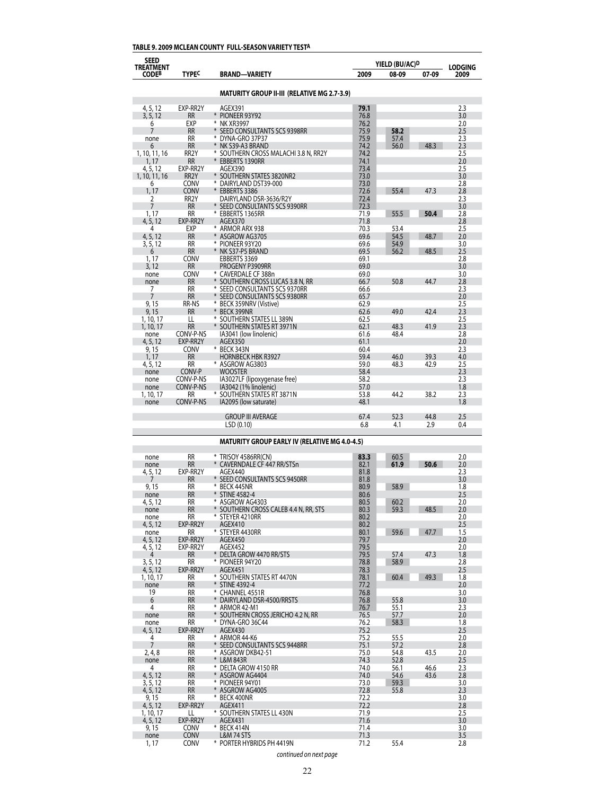# **TABLE 9. 2009 MCLEAN COUNTY FULL-SEASON VARIETY TESTA**

| <b>MATURITY GROUP II-III (RELATIVE MG 2.7-3.9)</b><br>EXP-RR2Y<br>79.1<br>2.3<br>4, 5, 12<br>AGEX391<br>3, 5, 12<br><b>RR</b><br>¥<br>PIONEER 93Y92<br>76.8<br>3.0<br>EXP<br>⋇<br>76.2<br>6<br><b>NK XR3997</b><br>2.0<br><b>RR</b><br>75.9<br>58.2<br>2.5<br>7<br>SEED CONSULTANTS SCS 9398RR<br>RR<br>* DYNA-GRO 37P37<br>75.9<br>57.4<br>2.3<br>none<br><b>RR</b><br>NK S39-A3 BRAND<br>74.2<br>56.0<br>48.3<br>2.3<br>6<br>RR <sub>2</sub> Y<br>¥<br>74.2<br>2.5<br>1, 10, 11, 16<br>SOUTHERN CROSS MALACHI 3.8 N, RR2Y<br><b>RR</b><br>74.1<br>2.0<br>EBBERTS 1390RR<br>1, 17<br>EXP-RR2Y<br>AGEX390<br>73.4<br>2.5<br>4, 5, 12<br>RR <sub>2</sub> Y<br>* SOUTHERN STATES 3820NR2<br>73.0<br>3.0<br>1, 10, 11, 16<br>* DAIRYLAND DST39-000<br>73.0<br>2.8<br><b>CONV</b><br>6<br><b>CONV</b><br>* EBBERTS 3386<br>72.6<br>55.4<br>47.3<br>2.8<br>1, 17<br>RR <sub>2</sub> Y<br>DAIRYLAND DSR-3636/R2Y<br>72.4<br>2.3<br>2<br>7<br><b>RR</b><br>* SEED CONSULTANTS SCS 9390RR<br>72.3<br>3.0<br>1,17<br>EBBERTS 1365RR<br>71.9<br>55.5<br>50.4<br>RR<br>2.8<br>EXP-RR2Y<br>71.8<br>4, 5, 12<br>AGEX370<br>2.8<br>* ARMOR ARX 938<br>70.3<br>53.4<br>2.5<br>4<br>EXP<br>4, 5, 12<br><b>RR</b><br>ASGROW AG3705<br>69.6<br>48.7<br>2.0<br>54.5<br>* PIONEER 93Y20<br>69.6<br>54.9<br>3.0<br>3, 5, 12<br>RR<br><b>RR</b><br>* NK S37-P5 BRAND<br>69.5<br>48.5<br>2.5<br>56.2<br>6<br><b>CONV</b><br>EBBERTS 3369<br>69.1<br>2.8<br>1, 17<br><b>RR</b><br>PROGENY P3909RR<br>69.0<br>3.0<br>3, 12<br><b>CONV</b><br>* CAVERDALE CF 388n<br>69.0<br>3.0<br>none<br><b>RR</b><br>* SOUTHERN CROSS LUCAS 3.8 N, RR<br>66.7<br>50.8<br>44.7<br>2.8<br>none<br>RR<br>* SEED CONSULTANTS SCS 9370RR<br>2.3<br>66.6<br>7<br>SEED CONSULTANTS SCS 9380RR<br>65.7<br>2.0<br>7<br><b>RR</b><br>⋇<br>BECK 359NRV (Vistive)<br>62.9<br>2.5<br>9, 15<br>RR-NS<br><b>RR</b><br>* BECK 399NR<br>62.6<br>49.0<br>42.4<br>2.3<br>9, 15<br>* SOUTHERN STATES LL 389N<br>62.5<br>2.5<br>1, 10, 17<br>LL<br>* SOUTHERN STATES RT 3971N<br>62.1<br>48.3<br>41.9<br>2.3<br>1, 10, 17<br><b>RR</b><br>CONV-P-NS<br>61.6<br>48.4<br>2.8<br>IA3041 (low linolenic)<br>none<br>EXP-RR2Y<br>2.0<br>4, 5, 12<br>AGEX350<br>61.1<br>* BECK 343N<br>60.4<br>2.3<br>9, 15<br><b>CONV</b><br>1, 17<br><b>RR</b><br>HORNBECK HBK R3927<br>59.4<br>46.0<br>39.3<br>4.0<br>* ASGROW AG3803<br>59.0<br>48.3<br>42.9<br>4, 5, 12<br>RR<br>2.5<br>CONV-P<br>WOOSTER<br>58.4<br>2.3<br>none<br>CONV-P-NS<br>IA3027LF (lipoxygenase free)<br>58.2<br>2.3<br>none<br>CONV-P-NS<br>IA3042 (1% linolenic)<br>57.0<br>1.8<br>none<br>⋇<br>SOUTHERN STATES RT 3871N<br>53.8<br>44.2<br>38.2<br>2.3<br>RR<br>1, 10, 17<br>IA2095 (low saturate)<br>48.1<br>CONV-P-NS<br>1.8<br>none<br><b>GROUP III AVERAGE</b><br>67.4<br>52.3<br>44.8<br>2.5<br>LSD(0.10)<br>6.8<br>4.1<br>2.9<br>0.4<br><b>MATURITY GROUP EARLY IV (RELATIVE MG 4.0-4.5)</b><br><b>RR</b><br>83.3<br>2.0<br>* TRISOY 4586RR(CN)<br>60.5<br>none<br><b>RR</b><br>$\ast$<br>82.1<br>61.9<br>50.6<br>CAVERNDALE CF 447 RR/STSn<br>2.0<br>none<br>EXP-RR2Y<br>81.8<br>2.3<br>AGEX440<br>4, 5, 12<br>* SEED CONSULTANTS SCS 9450RR<br>RR<br>81.8<br>3.0<br>RR<br>⋇<br>80.9<br>58.9<br>9, 15<br>BECK 445NR<br>1.8<br><b>RR</b><br>$\ast$<br><b>STINE 4582-4</b><br>80.6<br>2.5<br>none<br>*<br>60.2<br>RR<br>ASGROW AG4303<br>80.5<br>2.0<br>4, 5, 12<br>* SOUTHERN CROSS CALEB 4.4 N, RR, STS<br><b>RR</b><br>80.3<br>59.3<br>48.5<br>2.0<br>none<br>RR<br>* STEYER 4210RR<br>80.2<br>2.0<br>none<br>EXP-RR2Y<br>80.2<br>2.5<br>4, 5, 12<br>AGEX410<br>47.7<br>* STEYER 4430RR<br>80.1<br>59.6<br>1.5<br>RR<br>none<br>EXP-RR2Y<br>79.7<br>4, 5, 12<br>AGEX450<br>2.0<br>79.5<br>EXP-RR2Y<br>AGEX452<br>2.0<br>4, 5, 12<br>47.3<br>* DELTA GROW 4470 RR/STS<br>79.5<br>57.4<br>1.8<br>RR<br>4<br>3, 5, 12<br>RR<br>* PIONEER 94Y20<br>78.8<br>58.9<br>2.8<br>EXP-RR2Y<br>2.5<br>4, 5, 12<br>AGEX451<br>78.3<br>* SOUTHERN STATES RT 4470N<br>78.1<br>60.4<br>49.3<br>1.8<br>1, 10, 17<br>RR<br><b>RR</b><br>* STINE 4392-4<br>none<br>77.2<br>2.0<br>RR<br>* CHANNEL 4551R<br>76.8<br>3.0<br>19<br>6<br><b>RR</b><br>* DAIRYLAND DSR-4500/RRSTS<br>55.8<br>76.8<br>3.0<br>4<br>RR<br>* ARMOR 42-M1<br>76.7<br>55.1<br>2.3<br><b>RR</b><br>* SOUTHERN CROSS JERICHO 4.2 N, RR<br>76.5<br>2.0<br>none<br>57.7<br>* DYNA-GRO 36C44<br>76.2<br>58.3<br>RR<br>1.8<br>none<br>EXP-RR2Y<br>2.5<br>4, 5, 12<br>AGEX430<br>75.2<br>* ARMOR 44-K6<br>75.2<br>55.5<br>2.0<br>4<br>RR<br>7<br><b>RR</b><br>* SEED CONSULTANTS SCS 9448RR<br>75.1<br>2.8<br>57.2<br>RR<br>* ASGROW DKB42-51<br>75.0<br>43.5<br>2, 4, 8<br>54.8<br>2.0<br><b>RR</b><br>* L&M 843R<br>74.3<br>2.5<br>52.8<br>none<br>74.0<br>RR<br>* DELTA GROW 4150 RR<br>56.1<br>46.6<br>2.3<br>4<br>4, 5, 12<br><b>RR</b><br>* ASGROW AG4404<br>74.0<br>54.6<br>43.6<br>2.8<br>RR<br>* PIONEER 94Y01<br>73.0<br>3, 5, 12<br>59.3<br>3.0<br><b>RR</b><br>* ASGROW AG4005<br>72.8<br>2.3<br>4, 5, 12<br>55.8<br>9, 15<br>RR<br>* BECK 400NR<br>72.2<br>3.0<br>EXP-RR2Y<br>72.2<br>4, 5, 12<br>AGEX411<br>2.8<br>* SOUTHERN STATES LL 430N<br>71.9<br>2.5<br>1, 10, 17<br>LL<br>EXP-RR2Y<br>4, 5, 12<br>AGEX431<br>71.6<br>3.0<br>* BECK 414N<br>71.4<br>3.0<br>9, 15<br><b>CONV</b><br><b>L&amp;M 74 STS</b><br>71.3<br>3.5<br><b>CONV</b><br>none<br>* PORTER HYBRIDS PH 4419N<br>71.2<br>55.4<br>2.8<br>1, 17<br><b>CONV</b> | <b>SEED</b><br>TREATMENT<br>CODEB | <b>TYPE<sup>C</sup></b> | BRAND—VARIETY | 2009 | YIELD (BU/AC) <sup>D</sup><br>08-09 | 07-09 | <b>LODGING</b><br>2009 |
|--------------------------------------------------------------------------------------------------------------------------------------------------------------------------------------------------------------------------------------------------------------------------------------------------------------------------------------------------------------------------------------------------------------------------------------------------------------------------------------------------------------------------------------------------------------------------------------------------------------------------------------------------------------------------------------------------------------------------------------------------------------------------------------------------------------------------------------------------------------------------------------------------------------------------------------------------------------------------------------------------------------------------------------------------------------------------------------------------------------------------------------------------------------------------------------------------------------------------------------------------------------------------------------------------------------------------------------------------------------------------------------------------------------------------------------------------------------------------------------------------------------------------------------------------------------------------------------------------------------------------------------------------------------------------------------------------------------------------------------------------------------------------------------------------------------------------------------------------------------------------------------------------------------------------------------------------------------------------------------------------------------------------------------------------------------------------------------------------------------------------------------------------------------------------------------------------------------------------------------------------------------------------------------------------------------------------------------------------------------------------------------------------------------------------------------------------------------------------------------------------------------------------------------------------------------------------------------------------------------------------------------------------------------------------------------------------------------------------------------------------------------------------------------------------------------------------------------------------------------------------------------------------------------------------------------------------------------------------------------------------------------------------------------------------------------------------------------------------------------------------------------------------------------------------------------------------------------------------------------------------------------------------------------------------------------------------------------------------------------------------------------------------------------------------------------------------------------------------------------------------------------------------------------------------------------------------------------------------------------------------------------------------------------------------------------------------------------------------------------------------------------------------------------------------------------------------------------------------------------------------------------------------------------------------------------------------------------------------------------------------------------------------------------------------------------------------------------------------------------------------------------------------------------------------------------------------------------------------------------------------------------------------------------------------------------------------------------------------------------------------------------------------------------------------------------------------------------------------------------------------------------------------------------------------------------------------------------------------------------------------------------------------------------------------------------------------------------------------------------------------------------------------------------------------------------------------------------------------------------------------------------------------------------------------------------------------------------------------------------------------------------------------------------------------------------------------------------------------------------------------------------------------------------------------------------------------------------------------------------------------------------------------------------------------------------------------------------------------------------------------------------------------|-----------------------------------|-------------------------|---------------|------|-------------------------------------|-------|------------------------|
|                                                                                                                                                                                                                                                                                                                                                                                                                                                                                                                                                                                                                                                                                                                                                                                                                                                                                                                                                                                                                                                                                                                                                                                                                                                                                                                                                                                                                                                                                                                                                                                                                                                                                                                                                                                                                                                                                                                                                                                                                                                                                                                                                                                                                                                                                                                                                                                                                                                                                                                                                                                                                                                                                                                                                                                                                                                                                                                                                                                                                                                                                                                                                                                                                                                                                                                                                                                                                                                                                                                                                                                                                                                                                                                                                                                                                                                                                                                                                                                                                                                                                                                                                                                                                                                                                                                                                                                                                                                                                                                                                                                                                                                                                                                                                                                                                                                                                                                                                                                                                                                                                                                                                                                                                                                                                                                                                                                                  |                                   |                         |               |      |                                     |       |                        |
|                                                                                                                                                                                                                                                                                                                                                                                                                                                                                                                                                                                                                                                                                                                                                                                                                                                                                                                                                                                                                                                                                                                                                                                                                                                                                                                                                                                                                                                                                                                                                                                                                                                                                                                                                                                                                                                                                                                                                                                                                                                                                                                                                                                                                                                                                                                                                                                                                                                                                                                                                                                                                                                                                                                                                                                                                                                                                                                                                                                                                                                                                                                                                                                                                                                                                                                                                                                                                                                                                                                                                                                                                                                                                                                                                                                                                                                                                                                                                                                                                                                                                                                                                                                                                                                                                                                                                                                                                                                                                                                                                                                                                                                                                                                                                                                                                                                                                                                                                                                                                                                                                                                                                                                                                                                                                                                                                                                                  |                                   |                         |               |      |                                     |       |                        |
|                                                                                                                                                                                                                                                                                                                                                                                                                                                                                                                                                                                                                                                                                                                                                                                                                                                                                                                                                                                                                                                                                                                                                                                                                                                                                                                                                                                                                                                                                                                                                                                                                                                                                                                                                                                                                                                                                                                                                                                                                                                                                                                                                                                                                                                                                                                                                                                                                                                                                                                                                                                                                                                                                                                                                                                                                                                                                                                                                                                                                                                                                                                                                                                                                                                                                                                                                                                                                                                                                                                                                                                                                                                                                                                                                                                                                                                                                                                                                                                                                                                                                                                                                                                                                                                                                                                                                                                                                                                                                                                                                                                                                                                                                                                                                                                                                                                                                                                                                                                                                                                                                                                                                                                                                                                                                                                                                                                                  |                                   |                         |               |      |                                     |       |                        |
|                                                                                                                                                                                                                                                                                                                                                                                                                                                                                                                                                                                                                                                                                                                                                                                                                                                                                                                                                                                                                                                                                                                                                                                                                                                                                                                                                                                                                                                                                                                                                                                                                                                                                                                                                                                                                                                                                                                                                                                                                                                                                                                                                                                                                                                                                                                                                                                                                                                                                                                                                                                                                                                                                                                                                                                                                                                                                                                                                                                                                                                                                                                                                                                                                                                                                                                                                                                                                                                                                                                                                                                                                                                                                                                                                                                                                                                                                                                                                                                                                                                                                                                                                                                                                                                                                                                                                                                                                                                                                                                                                                                                                                                                                                                                                                                                                                                                                                                                                                                                                                                                                                                                                                                                                                                                                                                                                                                                  |                                   |                         |               |      |                                     |       |                        |
|                                                                                                                                                                                                                                                                                                                                                                                                                                                                                                                                                                                                                                                                                                                                                                                                                                                                                                                                                                                                                                                                                                                                                                                                                                                                                                                                                                                                                                                                                                                                                                                                                                                                                                                                                                                                                                                                                                                                                                                                                                                                                                                                                                                                                                                                                                                                                                                                                                                                                                                                                                                                                                                                                                                                                                                                                                                                                                                                                                                                                                                                                                                                                                                                                                                                                                                                                                                                                                                                                                                                                                                                                                                                                                                                                                                                                                                                                                                                                                                                                                                                                                                                                                                                                                                                                                                                                                                                                                                                                                                                                                                                                                                                                                                                                                                                                                                                                                                                                                                                                                                                                                                                                                                                                                                                                                                                                                                                  |                                   |                         |               |      |                                     |       |                        |
|                                                                                                                                                                                                                                                                                                                                                                                                                                                                                                                                                                                                                                                                                                                                                                                                                                                                                                                                                                                                                                                                                                                                                                                                                                                                                                                                                                                                                                                                                                                                                                                                                                                                                                                                                                                                                                                                                                                                                                                                                                                                                                                                                                                                                                                                                                                                                                                                                                                                                                                                                                                                                                                                                                                                                                                                                                                                                                                                                                                                                                                                                                                                                                                                                                                                                                                                                                                                                                                                                                                                                                                                                                                                                                                                                                                                                                                                                                                                                                                                                                                                                                                                                                                                                                                                                                                                                                                                                                                                                                                                                                                                                                                                                                                                                                                                                                                                                                                                                                                                                                                                                                                                                                                                                                                                                                                                                                                                  |                                   |                         |               |      |                                     |       |                        |
|                                                                                                                                                                                                                                                                                                                                                                                                                                                                                                                                                                                                                                                                                                                                                                                                                                                                                                                                                                                                                                                                                                                                                                                                                                                                                                                                                                                                                                                                                                                                                                                                                                                                                                                                                                                                                                                                                                                                                                                                                                                                                                                                                                                                                                                                                                                                                                                                                                                                                                                                                                                                                                                                                                                                                                                                                                                                                                                                                                                                                                                                                                                                                                                                                                                                                                                                                                                                                                                                                                                                                                                                                                                                                                                                                                                                                                                                                                                                                                                                                                                                                                                                                                                                                                                                                                                                                                                                                                                                                                                                                                                                                                                                                                                                                                                                                                                                                                                                                                                                                                                                                                                                                                                                                                                                                                                                                                                                  |                                   |                         |               |      |                                     |       |                        |
|                                                                                                                                                                                                                                                                                                                                                                                                                                                                                                                                                                                                                                                                                                                                                                                                                                                                                                                                                                                                                                                                                                                                                                                                                                                                                                                                                                                                                                                                                                                                                                                                                                                                                                                                                                                                                                                                                                                                                                                                                                                                                                                                                                                                                                                                                                                                                                                                                                                                                                                                                                                                                                                                                                                                                                                                                                                                                                                                                                                                                                                                                                                                                                                                                                                                                                                                                                                                                                                                                                                                                                                                                                                                                                                                                                                                                                                                                                                                                                                                                                                                                                                                                                                                                                                                                                                                                                                                                                                                                                                                                                                                                                                                                                                                                                                                                                                                                                                                                                                                                                                                                                                                                                                                                                                                                                                                                                                                  |                                   |                         |               |      |                                     |       |                        |
|                                                                                                                                                                                                                                                                                                                                                                                                                                                                                                                                                                                                                                                                                                                                                                                                                                                                                                                                                                                                                                                                                                                                                                                                                                                                                                                                                                                                                                                                                                                                                                                                                                                                                                                                                                                                                                                                                                                                                                                                                                                                                                                                                                                                                                                                                                                                                                                                                                                                                                                                                                                                                                                                                                                                                                                                                                                                                                                                                                                                                                                                                                                                                                                                                                                                                                                                                                                                                                                                                                                                                                                                                                                                                                                                                                                                                                                                                                                                                                                                                                                                                                                                                                                                                                                                                                                                                                                                                                                                                                                                                                                                                                                                                                                                                                                                                                                                                                                                                                                                                                                                                                                                                                                                                                                                                                                                                                                                  |                                   |                         |               |      |                                     |       |                        |
|                                                                                                                                                                                                                                                                                                                                                                                                                                                                                                                                                                                                                                                                                                                                                                                                                                                                                                                                                                                                                                                                                                                                                                                                                                                                                                                                                                                                                                                                                                                                                                                                                                                                                                                                                                                                                                                                                                                                                                                                                                                                                                                                                                                                                                                                                                                                                                                                                                                                                                                                                                                                                                                                                                                                                                                                                                                                                                                                                                                                                                                                                                                                                                                                                                                                                                                                                                                                                                                                                                                                                                                                                                                                                                                                                                                                                                                                                                                                                                                                                                                                                                                                                                                                                                                                                                                                                                                                                                                                                                                                                                                                                                                                                                                                                                                                                                                                                                                                                                                                                                                                                                                                                                                                                                                                                                                                                                                                  |                                   |                         |               |      |                                     |       |                        |
|                                                                                                                                                                                                                                                                                                                                                                                                                                                                                                                                                                                                                                                                                                                                                                                                                                                                                                                                                                                                                                                                                                                                                                                                                                                                                                                                                                                                                                                                                                                                                                                                                                                                                                                                                                                                                                                                                                                                                                                                                                                                                                                                                                                                                                                                                                                                                                                                                                                                                                                                                                                                                                                                                                                                                                                                                                                                                                                                                                                                                                                                                                                                                                                                                                                                                                                                                                                                                                                                                                                                                                                                                                                                                                                                                                                                                                                                                                                                                                                                                                                                                                                                                                                                                                                                                                                                                                                                                                                                                                                                                                                                                                                                                                                                                                                                                                                                                                                                                                                                                                                                                                                                                                                                                                                                                                                                                                                                  |                                   |                         |               |      |                                     |       |                        |
|                                                                                                                                                                                                                                                                                                                                                                                                                                                                                                                                                                                                                                                                                                                                                                                                                                                                                                                                                                                                                                                                                                                                                                                                                                                                                                                                                                                                                                                                                                                                                                                                                                                                                                                                                                                                                                                                                                                                                                                                                                                                                                                                                                                                                                                                                                                                                                                                                                                                                                                                                                                                                                                                                                                                                                                                                                                                                                                                                                                                                                                                                                                                                                                                                                                                                                                                                                                                                                                                                                                                                                                                                                                                                                                                                                                                                                                                                                                                                                                                                                                                                                                                                                                                                                                                                                                                                                                                                                                                                                                                                                                                                                                                                                                                                                                                                                                                                                                                                                                                                                                                                                                                                                                                                                                                                                                                                                                                  |                                   |                         |               |      |                                     |       |                        |
|                                                                                                                                                                                                                                                                                                                                                                                                                                                                                                                                                                                                                                                                                                                                                                                                                                                                                                                                                                                                                                                                                                                                                                                                                                                                                                                                                                                                                                                                                                                                                                                                                                                                                                                                                                                                                                                                                                                                                                                                                                                                                                                                                                                                                                                                                                                                                                                                                                                                                                                                                                                                                                                                                                                                                                                                                                                                                                                                                                                                                                                                                                                                                                                                                                                                                                                                                                                                                                                                                                                                                                                                                                                                                                                                                                                                                                                                                                                                                                                                                                                                                                                                                                                                                                                                                                                                                                                                                                                                                                                                                                                                                                                                                                                                                                                                                                                                                                                                                                                                                                                                                                                                                                                                                                                                                                                                                                                                  |                                   |                         |               |      |                                     |       |                        |
|                                                                                                                                                                                                                                                                                                                                                                                                                                                                                                                                                                                                                                                                                                                                                                                                                                                                                                                                                                                                                                                                                                                                                                                                                                                                                                                                                                                                                                                                                                                                                                                                                                                                                                                                                                                                                                                                                                                                                                                                                                                                                                                                                                                                                                                                                                                                                                                                                                                                                                                                                                                                                                                                                                                                                                                                                                                                                                                                                                                                                                                                                                                                                                                                                                                                                                                                                                                                                                                                                                                                                                                                                                                                                                                                                                                                                                                                                                                                                                                                                                                                                                                                                                                                                                                                                                                                                                                                                                                                                                                                                                                                                                                                                                                                                                                                                                                                                                                                                                                                                                                                                                                                                                                                                                                                                                                                                                                                  |                                   |                         |               |      |                                     |       |                        |
|                                                                                                                                                                                                                                                                                                                                                                                                                                                                                                                                                                                                                                                                                                                                                                                                                                                                                                                                                                                                                                                                                                                                                                                                                                                                                                                                                                                                                                                                                                                                                                                                                                                                                                                                                                                                                                                                                                                                                                                                                                                                                                                                                                                                                                                                                                                                                                                                                                                                                                                                                                                                                                                                                                                                                                                                                                                                                                                                                                                                                                                                                                                                                                                                                                                                                                                                                                                                                                                                                                                                                                                                                                                                                                                                                                                                                                                                                                                                                                                                                                                                                                                                                                                                                                                                                                                                                                                                                                                                                                                                                                                                                                                                                                                                                                                                                                                                                                                                                                                                                                                                                                                                                                                                                                                                                                                                                                                                  |                                   |                         |               |      |                                     |       |                        |
|                                                                                                                                                                                                                                                                                                                                                                                                                                                                                                                                                                                                                                                                                                                                                                                                                                                                                                                                                                                                                                                                                                                                                                                                                                                                                                                                                                                                                                                                                                                                                                                                                                                                                                                                                                                                                                                                                                                                                                                                                                                                                                                                                                                                                                                                                                                                                                                                                                                                                                                                                                                                                                                                                                                                                                                                                                                                                                                                                                                                                                                                                                                                                                                                                                                                                                                                                                                                                                                                                                                                                                                                                                                                                                                                                                                                                                                                                                                                                                                                                                                                                                                                                                                                                                                                                                                                                                                                                                                                                                                                                                                                                                                                                                                                                                                                                                                                                                                                                                                                                                                                                                                                                                                                                                                                                                                                                                                                  |                                   |                         |               |      |                                     |       |                        |
|                                                                                                                                                                                                                                                                                                                                                                                                                                                                                                                                                                                                                                                                                                                                                                                                                                                                                                                                                                                                                                                                                                                                                                                                                                                                                                                                                                                                                                                                                                                                                                                                                                                                                                                                                                                                                                                                                                                                                                                                                                                                                                                                                                                                                                                                                                                                                                                                                                                                                                                                                                                                                                                                                                                                                                                                                                                                                                                                                                                                                                                                                                                                                                                                                                                                                                                                                                                                                                                                                                                                                                                                                                                                                                                                                                                                                                                                                                                                                                                                                                                                                                                                                                                                                                                                                                                                                                                                                                                                                                                                                                                                                                                                                                                                                                                                                                                                                                                                                                                                                                                                                                                                                                                                                                                                                                                                                                                                  |                                   |                         |               |      |                                     |       |                        |
|                                                                                                                                                                                                                                                                                                                                                                                                                                                                                                                                                                                                                                                                                                                                                                                                                                                                                                                                                                                                                                                                                                                                                                                                                                                                                                                                                                                                                                                                                                                                                                                                                                                                                                                                                                                                                                                                                                                                                                                                                                                                                                                                                                                                                                                                                                                                                                                                                                                                                                                                                                                                                                                                                                                                                                                                                                                                                                                                                                                                                                                                                                                                                                                                                                                                                                                                                                                                                                                                                                                                                                                                                                                                                                                                                                                                                                                                                                                                                                                                                                                                                                                                                                                                                                                                                                                                                                                                                                                                                                                                                                                                                                                                                                                                                                                                                                                                                                                                                                                                                                                                                                                                                                                                                                                                                                                                                                                                  |                                   |                         |               |      |                                     |       |                        |
|                                                                                                                                                                                                                                                                                                                                                                                                                                                                                                                                                                                                                                                                                                                                                                                                                                                                                                                                                                                                                                                                                                                                                                                                                                                                                                                                                                                                                                                                                                                                                                                                                                                                                                                                                                                                                                                                                                                                                                                                                                                                                                                                                                                                                                                                                                                                                                                                                                                                                                                                                                                                                                                                                                                                                                                                                                                                                                                                                                                                                                                                                                                                                                                                                                                                                                                                                                                                                                                                                                                                                                                                                                                                                                                                                                                                                                                                                                                                                                                                                                                                                                                                                                                                                                                                                                                                                                                                                                                                                                                                                                                                                                                                                                                                                                                                                                                                                                                                                                                                                                                                                                                                                                                                                                                                                                                                                                                                  |                                   |                         |               |      |                                     |       |                        |
|                                                                                                                                                                                                                                                                                                                                                                                                                                                                                                                                                                                                                                                                                                                                                                                                                                                                                                                                                                                                                                                                                                                                                                                                                                                                                                                                                                                                                                                                                                                                                                                                                                                                                                                                                                                                                                                                                                                                                                                                                                                                                                                                                                                                                                                                                                                                                                                                                                                                                                                                                                                                                                                                                                                                                                                                                                                                                                                                                                                                                                                                                                                                                                                                                                                                                                                                                                                                                                                                                                                                                                                                                                                                                                                                                                                                                                                                                                                                                                                                                                                                                                                                                                                                                                                                                                                                                                                                                                                                                                                                                                                                                                                                                                                                                                                                                                                                                                                                                                                                                                                                                                                                                                                                                                                                                                                                                                                                  |                                   |                         |               |      |                                     |       |                        |
|                                                                                                                                                                                                                                                                                                                                                                                                                                                                                                                                                                                                                                                                                                                                                                                                                                                                                                                                                                                                                                                                                                                                                                                                                                                                                                                                                                                                                                                                                                                                                                                                                                                                                                                                                                                                                                                                                                                                                                                                                                                                                                                                                                                                                                                                                                                                                                                                                                                                                                                                                                                                                                                                                                                                                                                                                                                                                                                                                                                                                                                                                                                                                                                                                                                                                                                                                                                                                                                                                                                                                                                                                                                                                                                                                                                                                                                                                                                                                                                                                                                                                                                                                                                                                                                                                                                                                                                                                                                                                                                                                                                                                                                                                                                                                                                                                                                                                                                                                                                                                                                                                                                                                                                                                                                                                                                                                                                                  |                                   |                         |               |      |                                     |       |                        |
|                                                                                                                                                                                                                                                                                                                                                                                                                                                                                                                                                                                                                                                                                                                                                                                                                                                                                                                                                                                                                                                                                                                                                                                                                                                                                                                                                                                                                                                                                                                                                                                                                                                                                                                                                                                                                                                                                                                                                                                                                                                                                                                                                                                                                                                                                                                                                                                                                                                                                                                                                                                                                                                                                                                                                                                                                                                                                                                                                                                                                                                                                                                                                                                                                                                                                                                                                                                                                                                                                                                                                                                                                                                                                                                                                                                                                                                                                                                                                                                                                                                                                                                                                                                                                                                                                                                                                                                                                                                                                                                                                                                                                                                                                                                                                                                                                                                                                                                                                                                                                                                                                                                                                                                                                                                                                                                                                                                                  |                                   |                         |               |      |                                     |       |                        |
|                                                                                                                                                                                                                                                                                                                                                                                                                                                                                                                                                                                                                                                                                                                                                                                                                                                                                                                                                                                                                                                                                                                                                                                                                                                                                                                                                                                                                                                                                                                                                                                                                                                                                                                                                                                                                                                                                                                                                                                                                                                                                                                                                                                                                                                                                                                                                                                                                                                                                                                                                                                                                                                                                                                                                                                                                                                                                                                                                                                                                                                                                                                                                                                                                                                                                                                                                                                                                                                                                                                                                                                                                                                                                                                                                                                                                                                                                                                                                                                                                                                                                                                                                                                                                                                                                                                                                                                                                                                                                                                                                                                                                                                                                                                                                                                                                                                                                                                                                                                                                                                                                                                                                                                                                                                                                                                                                                                                  |                                   |                         |               |      |                                     |       |                        |
|                                                                                                                                                                                                                                                                                                                                                                                                                                                                                                                                                                                                                                                                                                                                                                                                                                                                                                                                                                                                                                                                                                                                                                                                                                                                                                                                                                                                                                                                                                                                                                                                                                                                                                                                                                                                                                                                                                                                                                                                                                                                                                                                                                                                                                                                                                                                                                                                                                                                                                                                                                                                                                                                                                                                                                                                                                                                                                                                                                                                                                                                                                                                                                                                                                                                                                                                                                                                                                                                                                                                                                                                                                                                                                                                                                                                                                                                                                                                                                                                                                                                                                                                                                                                                                                                                                                                                                                                                                                                                                                                                                                                                                                                                                                                                                                                                                                                                                                                                                                                                                                                                                                                                                                                                                                                                                                                                                                                  |                                   |                         |               |      |                                     |       |                        |
|                                                                                                                                                                                                                                                                                                                                                                                                                                                                                                                                                                                                                                                                                                                                                                                                                                                                                                                                                                                                                                                                                                                                                                                                                                                                                                                                                                                                                                                                                                                                                                                                                                                                                                                                                                                                                                                                                                                                                                                                                                                                                                                                                                                                                                                                                                                                                                                                                                                                                                                                                                                                                                                                                                                                                                                                                                                                                                                                                                                                                                                                                                                                                                                                                                                                                                                                                                                                                                                                                                                                                                                                                                                                                                                                                                                                                                                                                                                                                                                                                                                                                                                                                                                                                                                                                                                                                                                                                                                                                                                                                                                                                                                                                                                                                                                                                                                                                                                                                                                                                                                                                                                                                                                                                                                                                                                                                                                                  |                                   |                         |               |      |                                     |       |                        |
|                                                                                                                                                                                                                                                                                                                                                                                                                                                                                                                                                                                                                                                                                                                                                                                                                                                                                                                                                                                                                                                                                                                                                                                                                                                                                                                                                                                                                                                                                                                                                                                                                                                                                                                                                                                                                                                                                                                                                                                                                                                                                                                                                                                                                                                                                                                                                                                                                                                                                                                                                                                                                                                                                                                                                                                                                                                                                                                                                                                                                                                                                                                                                                                                                                                                                                                                                                                                                                                                                                                                                                                                                                                                                                                                                                                                                                                                                                                                                                                                                                                                                                                                                                                                                                                                                                                                                                                                                                                                                                                                                                                                                                                                                                                                                                                                                                                                                                                                                                                                                                                                                                                                                                                                                                                                                                                                                                                                  |                                   |                         |               |      |                                     |       |                        |
|                                                                                                                                                                                                                                                                                                                                                                                                                                                                                                                                                                                                                                                                                                                                                                                                                                                                                                                                                                                                                                                                                                                                                                                                                                                                                                                                                                                                                                                                                                                                                                                                                                                                                                                                                                                                                                                                                                                                                                                                                                                                                                                                                                                                                                                                                                                                                                                                                                                                                                                                                                                                                                                                                                                                                                                                                                                                                                                                                                                                                                                                                                                                                                                                                                                                                                                                                                                                                                                                                                                                                                                                                                                                                                                                                                                                                                                                                                                                                                                                                                                                                                                                                                                                                                                                                                                                                                                                                                                                                                                                                                                                                                                                                                                                                                                                                                                                                                                                                                                                                                                                                                                                                                                                                                                                                                                                                                                                  |                                   |                         |               |      |                                     |       |                        |
|                                                                                                                                                                                                                                                                                                                                                                                                                                                                                                                                                                                                                                                                                                                                                                                                                                                                                                                                                                                                                                                                                                                                                                                                                                                                                                                                                                                                                                                                                                                                                                                                                                                                                                                                                                                                                                                                                                                                                                                                                                                                                                                                                                                                                                                                                                                                                                                                                                                                                                                                                                                                                                                                                                                                                                                                                                                                                                                                                                                                                                                                                                                                                                                                                                                                                                                                                                                                                                                                                                                                                                                                                                                                                                                                                                                                                                                                                                                                                                                                                                                                                                                                                                                                                                                                                                                                                                                                                                                                                                                                                                                                                                                                                                                                                                                                                                                                                                                                                                                                                                                                                                                                                                                                                                                                                                                                                                                                  |                                   |                         |               |      |                                     |       |                        |
|                                                                                                                                                                                                                                                                                                                                                                                                                                                                                                                                                                                                                                                                                                                                                                                                                                                                                                                                                                                                                                                                                                                                                                                                                                                                                                                                                                                                                                                                                                                                                                                                                                                                                                                                                                                                                                                                                                                                                                                                                                                                                                                                                                                                                                                                                                                                                                                                                                                                                                                                                                                                                                                                                                                                                                                                                                                                                                                                                                                                                                                                                                                                                                                                                                                                                                                                                                                                                                                                                                                                                                                                                                                                                                                                                                                                                                                                                                                                                                                                                                                                                                                                                                                                                                                                                                                                                                                                                                                                                                                                                                                                                                                                                                                                                                                                                                                                                                                                                                                                                                                                                                                                                                                                                                                                                                                                                                                                  |                                   |                         |               |      |                                     |       |                        |
|                                                                                                                                                                                                                                                                                                                                                                                                                                                                                                                                                                                                                                                                                                                                                                                                                                                                                                                                                                                                                                                                                                                                                                                                                                                                                                                                                                                                                                                                                                                                                                                                                                                                                                                                                                                                                                                                                                                                                                                                                                                                                                                                                                                                                                                                                                                                                                                                                                                                                                                                                                                                                                                                                                                                                                                                                                                                                                                                                                                                                                                                                                                                                                                                                                                                                                                                                                                                                                                                                                                                                                                                                                                                                                                                                                                                                                                                                                                                                                                                                                                                                                                                                                                                                                                                                                                                                                                                                                                                                                                                                                                                                                                                                                                                                                                                                                                                                                                                                                                                                                                                                                                                                                                                                                                                                                                                                                                                  |                                   |                         |               |      |                                     |       |                        |
|                                                                                                                                                                                                                                                                                                                                                                                                                                                                                                                                                                                                                                                                                                                                                                                                                                                                                                                                                                                                                                                                                                                                                                                                                                                                                                                                                                                                                                                                                                                                                                                                                                                                                                                                                                                                                                                                                                                                                                                                                                                                                                                                                                                                                                                                                                                                                                                                                                                                                                                                                                                                                                                                                                                                                                                                                                                                                                                                                                                                                                                                                                                                                                                                                                                                                                                                                                                                                                                                                                                                                                                                                                                                                                                                                                                                                                                                                                                                                                                                                                                                                                                                                                                                                                                                                                                                                                                                                                                                                                                                                                                                                                                                                                                                                                                                                                                                                                                                                                                                                                                                                                                                                                                                                                                                                                                                                                                                  |                                   |                         |               |      |                                     |       |                        |
|                                                                                                                                                                                                                                                                                                                                                                                                                                                                                                                                                                                                                                                                                                                                                                                                                                                                                                                                                                                                                                                                                                                                                                                                                                                                                                                                                                                                                                                                                                                                                                                                                                                                                                                                                                                                                                                                                                                                                                                                                                                                                                                                                                                                                                                                                                                                                                                                                                                                                                                                                                                                                                                                                                                                                                                                                                                                                                                                                                                                                                                                                                                                                                                                                                                                                                                                                                                                                                                                                                                                                                                                                                                                                                                                                                                                                                                                                                                                                                                                                                                                                                                                                                                                                                                                                                                                                                                                                                                                                                                                                                                                                                                                                                                                                                                                                                                                                                                                                                                                                                                                                                                                                                                                                                                                                                                                                                                                  |                                   |                         |               |      |                                     |       |                        |
|                                                                                                                                                                                                                                                                                                                                                                                                                                                                                                                                                                                                                                                                                                                                                                                                                                                                                                                                                                                                                                                                                                                                                                                                                                                                                                                                                                                                                                                                                                                                                                                                                                                                                                                                                                                                                                                                                                                                                                                                                                                                                                                                                                                                                                                                                                                                                                                                                                                                                                                                                                                                                                                                                                                                                                                                                                                                                                                                                                                                                                                                                                                                                                                                                                                                                                                                                                                                                                                                                                                                                                                                                                                                                                                                                                                                                                                                                                                                                                                                                                                                                                                                                                                                                                                                                                                                                                                                                                                                                                                                                                                                                                                                                                                                                                                                                                                                                                                                                                                                                                                                                                                                                                                                                                                                                                                                                                                                  |                                   |                         |               |      |                                     |       |                        |
|                                                                                                                                                                                                                                                                                                                                                                                                                                                                                                                                                                                                                                                                                                                                                                                                                                                                                                                                                                                                                                                                                                                                                                                                                                                                                                                                                                                                                                                                                                                                                                                                                                                                                                                                                                                                                                                                                                                                                                                                                                                                                                                                                                                                                                                                                                                                                                                                                                                                                                                                                                                                                                                                                                                                                                                                                                                                                                                                                                                                                                                                                                                                                                                                                                                                                                                                                                                                                                                                                                                                                                                                                                                                                                                                                                                                                                                                                                                                                                                                                                                                                                                                                                                                                                                                                                                                                                                                                                                                                                                                                                                                                                                                                                                                                                                                                                                                                                                                                                                                                                                                                                                                                                                                                                                                                                                                                                                                  |                                   |                         |               |      |                                     |       |                        |
|                                                                                                                                                                                                                                                                                                                                                                                                                                                                                                                                                                                                                                                                                                                                                                                                                                                                                                                                                                                                                                                                                                                                                                                                                                                                                                                                                                                                                                                                                                                                                                                                                                                                                                                                                                                                                                                                                                                                                                                                                                                                                                                                                                                                                                                                                                                                                                                                                                                                                                                                                                                                                                                                                                                                                                                                                                                                                                                                                                                                                                                                                                                                                                                                                                                                                                                                                                                                                                                                                                                                                                                                                                                                                                                                                                                                                                                                                                                                                                                                                                                                                                                                                                                                                                                                                                                                                                                                                                                                                                                                                                                                                                                                                                                                                                                                                                                                                                                                                                                                                                                                                                                                                                                                                                                                                                                                                                                                  |                                   |                         |               |      |                                     |       |                        |
|                                                                                                                                                                                                                                                                                                                                                                                                                                                                                                                                                                                                                                                                                                                                                                                                                                                                                                                                                                                                                                                                                                                                                                                                                                                                                                                                                                                                                                                                                                                                                                                                                                                                                                                                                                                                                                                                                                                                                                                                                                                                                                                                                                                                                                                                                                                                                                                                                                                                                                                                                                                                                                                                                                                                                                                                                                                                                                                                                                                                                                                                                                                                                                                                                                                                                                                                                                                                                                                                                                                                                                                                                                                                                                                                                                                                                                                                                                                                                                                                                                                                                                                                                                                                                                                                                                                                                                                                                                                                                                                                                                                                                                                                                                                                                                                                                                                                                                                                                                                                                                                                                                                                                                                                                                                                                                                                                                                                  |                                   |                         |               |      |                                     |       |                        |
|                                                                                                                                                                                                                                                                                                                                                                                                                                                                                                                                                                                                                                                                                                                                                                                                                                                                                                                                                                                                                                                                                                                                                                                                                                                                                                                                                                                                                                                                                                                                                                                                                                                                                                                                                                                                                                                                                                                                                                                                                                                                                                                                                                                                                                                                                                                                                                                                                                                                                                                                                                                                                                                                                                                                                                                                                                                                                                                                                                                                                                                                                                                                                                                                                                                                                                                                                                                                                                                                                                                                                                                                                                                                                                                                                                                                                                                                                                                                                                                                                                                                                                                                                                                                                                                                                                                                                                                                                                                                                                                                                                                                                                                                                                                                                                                                                                                                                                                                                                                                                                                                                                                                                                                                                                                                                                                                                                                                  |                                   |                         |               |      |                                     |       |                        |
|                                                                                                                                                                                                                                                                                                                                                                                                                                                                                                                                                                                                                                                                                                                                                                                                                                                                                                                                                                                                                                                                                                                                                                                                                                                                                                                                                                                                                                                                                                                                                                                                                                                                                                                                                                                                                                                                                                                                                                                                                                                                                                                                                                                                                                                                                                                                                                                                                                                                                                                                                                                                                                                                                                                                                                                                                                                                                                                                                                                                                                                                                                                                                                                                                                                                                                                                                                                                                                                                                                                                                                                                                                                                                                                                                                                                                                                                                                                                                                                                                                                                                                                                                                                                                                                                                                                                                                                                                                                                                                                                                                                                                                                                                                                                                                                                                                                                                                                                                                                                                                                                                                                                                                                                                                                                                                                                                                                                  |                                   |                         |               |      |                                     |       |                        |
|                                                                                                                                                                                                                                                                                                                                                                                                                                                                                                                                                                                                                                                                                                                                                                                                                                                                                                                                                                                                                                                                                                                                                                                                                                                                                                                                                                                                                                                                                                                                                                                                                                                                                                                                                                                                                                                                                                                                                                                                                                                                                                                                                                                                                                                                                                                                                                                                                                                                                                                                                                                                                                                                                                                                                                                                                                                                                                                                                                                                                                                                                                                                                                                                                                                                                                                                                                                                                                                                                                                                                                                                                                                                                                                                                                                                                                                                                                                                                                                                                                                                                                                                                                                                                                                                                                                                                                                                                                                                                                                                                                                                                                                                                                                                                                                                                                                                                                                                                                                                                                                                                                                                                                                                                                                                                                                                                                                                  |                                   |                         |               |      |                                     |       |                        |
|                                                                                                                                                                                                                                                                                                                                                                                                                                                                                                                                                                                                                                                                                                                                                                                                                                                                                                                                                                                                                                                                                                                                                                                                                                                                                                                                                                                                                                                                                                                                                                                                                                                                                                                                                                                                                                                                                                                                                                                                                                                                                                                                                                                                                                                                                                                                                                                                                                                                                                                                                                                                                                                                                                                                                                                                                                                                                                                                                                                                                                                                                                                                                                                                                                                                                                                                                                                                                                                                                                                                                                                                                                                                                                                                                                                                                                                                                                                                                                                                                                                                                                                                                                                                                                                                                                                                                                                                                                                                                                                                                                                                                                                                                                                                                                                                                                                                                                                                                                                                                                                                                                                                                                                                                                                                                                                                                                                                  |                                   |                         |               |      |                                     |       |                        |
|                                                                                                                                                                                                                                                                                                                                                                                                                                                                                                                                                                                                                                                                                                                                                                                                                                                                                                                                                                                                                                                                                                                                                                                                                                                                                                                                                                                                                                                                                                                                                                                                                                                                                                                                                                                                                                                                                                                                                                                                                                                                                                                                                                                                                                                                                                                                                                                                                                                                                                                                                                                                                                                                                                                                                                                                                                                                                                                                                                                                                                                                                                                                                                                                                                                                                                                                                                                                                                                                                                                                                                                                                                                                                                                                                                                                                                                                                                                                                                                                                                                                                                                                                                                                                                                                                                                                                                                                                                                                                                                                                                                                                                                                                                                                                                                                                                                                                                                                                                                                                                                                                                                                                                                                                                                                                                                                                                                                  |                                   |                         |               |      |                                     |       |                        |
|                                                                                                                                                                                                                                                                                                                                                                                                                                                                                                                                                                                                                                                                                                                                                                                                                                                                                                                                                                                                                                                                                                                                                                                                                                                                                                                                                                                                                                                                                                                                                                                                                                                                                                                                                                                                                                                                                                                                                                                                                                                                                                                                                                                                                                                                                                                                                                                                                                                                                                                                                                                                                                                                                                                                                                                                                                                                                                                                                                                                                                                                                                                                                                                                                                                                                                                                                                                                                                                                                                                                                                                                                                                                                                                                                                                                                                                                                                                                                                                                                                                                                                                                                                                                                                                                                                                                                                                                                                                                                                                                                                                                                                                                                                                                                                                                                                                                                                                                                                                                                                                                                                                                                                                                                                                                                                                                                                                                  |                                   |                         |               |      |                                     |       |                        |
|                                                                                                                                                                                                                                                                                                                                                                                                                                                                                                                                                                                                                                                                                                                                                                                                                                                                                                                                                                                                                                                                                                                                                                                                                                                                                                                                                                                                                                                                                                                                                                                                                                                                                                                                                                                                                                                                                                                                                                                                                                                                                                                                                                                                                                                                                                                                                                                                                                                                                                                                                                                                                                                                                                                                                                                                                                                                                                                                                                                                                                                                                                                                                                                                                                                                                                                                                                                                                                                                                                                                                                                                                                                                                                                                                                                                                                                                                                                                                                                                                                                                                                                                                                                                                                                                                                                                                                                                                                                                                                                                                                                                                                                                                                                                                                                                                                                                                                                                                                                                                                                                                                                                                                                                                                                                                                                                                                                                  |                                   |                         |               |      |                                     |       |                        |
|                                                                                                                                                                                                                                                                                                                                                                                                                                                                                                                                                                                                                                                                                                                                                                                                                                                                                                                                                                                                                                                                                                                                                                                                                                                                                                                                                                                                                                                                                                                                                                                                                                                                                                                                                                                                                                                                                                                                                                                                                                                                                                                                                                                                                                                                                                                                                                                                                                                                                                                                                                                                                                                                                                                                                                                                                                                                                                                                                                                                                                                                                                                                                                                                                                                                                                                                                                                                                                                                                                                                                                                                                                                                                                                                                                                                                                                                                                                                                                                                                                                                                                                                                                                                                                                                                                                                                                                                                                                                                                                                                                                                                                                                                                                                                                                                                                                                                                                                                                                                                                                                                                                                                                                                                                                                                                                                                                                                  |                                   |                         |               |      |                                     |       |                        |
|                                                                                                                                                                                                                                                                                                                                                                                                                                                                                                                                                                                                                                                                                                                                                                                                                                                                                                                                                                                                                                                                                                                                                                                                                                                                                                                                                                                                                                                                                                                                                                                                                                                                                                                                                                                                                                                                                                                                                                                                                                                                                                                                                                                                                                                                                                                                                                                                                                                                                                                                                                                                                                                                                                                                                                                                                                                                                                                                                                                                                                                                                                                                                                                                                                                                                                                                                                                                                                                                                                                                                                                                                                                                                                                                                                                                                                                                                                                                                                                                                                                                                                                                                                                                                                                                                                                                                                                                                                                                                                                                                                                                                                                                                                                                                                                                                                                                                                                                                                                                                                                                                                                                                                                                                                                                                                                                                                                                  |                                   |                         |               |      |                                     |       |                        |
|                                                                                                                                                                                                                                                                                                                                                                                                                                                                                                                                                                                                                                                                                                                                                                                                                                                                                                                                                                                                                                                                                                                                                                                                                                                                                                                                                                                                                                                                                                                                                                                                                                                                                                                                                                                                                                                                                                                                                                                                                                                                                                                                                                                                                                                                                                                                                                                                                                                                                                                                                                                                                                                                                                                                                                                                                                                                                                                                                                                                                                                                                                                                                                                                                                                                                                                                                                                                                                                                                                                                                                                                                                                                                                                                                                                                                                                                                                                                                                                                                                                                                                                                                                                                                                                                                                                                                                                                                                                                                                                                                                                                                                                                                                                                                                                                                                                                                                                                                                                                                                                                                                                                                                                                                                                                                                                                                                                                  |                                   |                         |               |      |                                     |       |                        |
|                                                                                                                                                                                                                                                                                                                                                                                                                                                                                                                                                                                                                                                                                                                                                                                                                                                                                                                                                                                                                                                                                                                                                                                                                                                                                                                                                                                                                                                                                                                                                                                                                                                                                                                                                                                                                                                                                                                                                                                                                                                                                                                                                                                                                                                                                                                                                                                                                                                                                                                                                                                                                                                                                                                                                                                                                                                                                                                                                                                                                                                                                                                                                                                                                                                                                                                                                                                                                                                                                                                                                                                                                                                                                                                                                                                                                                                                                                                                                                                                                                                                                                                                                                                                                                                                                                                                                                                                                                                                                                                                                                                                                                                                                                                                                                                                                                                                                                                                                                                                                                                                                                                                                                                                                                                                                                                                                                                                  |                                   |                         |               |      |                                     |       |                        |
|                                                                                                                                                                                                                                                                                                                                                                                                                                                                                                                                                                                                                                                                                                                                                                                                                                                                                                                                                                                                                                                                                                                                                                                                                                                                                                                                                                                                                                                                                                                                                                                                                                                                                                                                                                                                                                                                                                                                                                                                                                                                                                                                                                                                                                                                                                                                                                                                                                                                                                                                                                                                                                                                                                                                                                                                                                                                                                                                                                                                                                                                                                                                                                                                                                                                                                                                                                                                                                                                                                                                                                                                                                                                                                                                                                                                                                                                                                                                                                                                                                                                                                                                                                                                                                                                                                                                                                                                                                                                                                                                                                                                                                                                                                                                                                                                                                                                                                                                                                                                                                                                                                                                                                                                                                                                                                                                                                                                  |                                   |                         |               |      |                                     |       |                        |
|                                                                                                                                                                                                                                                                                                                                                                                                                                                                                                                                                                                                                                                                                                                                                                                                                                                                                                                                                                                                                                                                                                                                                                                                                                                                                                                                                                                                                                                                                                                                                                                                                                                                                                                                                                                                                                                                                                                                                                                                                                                                                                                                                                                                                                                                                                                                                                                                                                                                                                                                                                                                                                                                                                                                                                                                                                                                                                                                                                                                                                                                                                                                                                                                                                                                                                                                                                                                                                                                                                                                                                                                                                                                                                                                                                                                                                                                                                                                                                                                                                                                                                                                                                                                                                                                                                                                                                                                                                                                                                                                                                                                                                                                                                                                                                                                                                                                                                                                                                                                                                                                                                                                                                                                                                                                                                                                                                                                  |                                   |                         |               |      |                                     |       |                        |
|                                                                                                                                                                                                                                                                                                                                                                                                                                                                                                                                                                                                                                                                                                                                                                                                                                                                                                                                                                                                                                                                                                                                                                                                                                                                                                                                                                                                                                                                                                                                                                                                                                                                                                                                                                                                                                                                                                                                                                                                                                                                                                                                                                                                                                                                                                                                                                                                                                                                                                                                                                                                                                                                                                                                                                                                                                                                                                                                                                                                                                                                                                                                                                                                                                                                                                                                                                                                                                                                                                                                                                                                                                                                                                                                                                                                                                                                                                                                                                                                                                                                                                                                                                                                                                                                                                                                                                                                                                                                                                                                                                                                                                                                                                                                                                                                                                                                                                                                                                                                                                                                                                                                                                                                                                                                                                                                                                                                  |                                   |                         |               |      |                                     |       |                        |
|                                                                                                                                                                                                                                                                                                                                                                                                                                                                                                                                                                                                                                                                                                                                                                                                                                                                                                                                                                                                                                                                                                                                                                                                                                                                                                                                                                                                                                                                                                                                                                                                                                                                                                                                                                                                                                                                                                                                                                                                                                                                                                                                                                                                                                                                                                                                                                                                                                                                                                                                                                                                                                                                                                                                                                                                                                                                                                                                                                                                                                                                                                                                                                                                                                                                                                                                                                                                                                                                                                                                                                                                                                                                                                                                                                                                                                                                                                                                                                                                                                                                                                                                                                                                                                                                                                                                                                                                                                                                                                                                                                                                                                                                                                                                                                                                                                                                                                                                                                                                                                                                                                                                                                                                                                                                                                                                                                                                  |                                   |                         |               |      |                                     |       |                        |
|                                                                                                                                                                                                                                                                                                                                                                                                                                                                                                                                                                                                                                                                                                                                                                                                                                                                                                                                                                                                                                                                                                                                                                                                                                                                                                                                                                                                                                                                                                                                                                                                                                                                                                                                                                                                                                                                                                                                                                                                                                                                                                                                                                                                                                                                                                                                                                                                                                                                                                                                                                                                                                                                                                                                                                                                                                                                                                                                                                                                                                                                                                                                                                                                                                                                                                                                                                                                                                                                                                                                                                                                                                                                                                                                                                                                                                                                                                                                                                                                                                                                                                                                                                                                                                                                                                                                                                                                                                                                                                                                                                                                                                                                                                                                                                                                                                                                                                                                                                                                                                                                                                                                                                                                                                                                                                                                                                                                  |                                   |                         |               |      |                                     |       |                        |
|                                                                                                                                                                                                                                                                                                                                                                                                                                                                                                                                                                                                                                                                                                                                                                                                                                                                                                                                                                                                                                                                                                                                                                                                                                                                                                                                                                                                                                                                                                                                                                                                                                                                                                                                                                                                                                                                                                                                                                                                                                                                                                                                                                                                                                                                                                                                                                                                                                                                                                                                                                                                                                                                                                                                                                                                                                                                                                                                                                                                                                                                                                                                                                                                                                                                                                                                                                                                                                                                                                                                                                                                                                                                                                                                                                                                                                                                                                                                                                                                                                                                                                                                                                                                                                                                                                                                                                                                                                                                                                                                                                                                                                                                                                                                                                                                                                                                                                                                                                                                                                                                                                                                                                                                                                                                                                                                                                                                  |                                   |                         |               |      |                                     |       |                        |
|                                                                                                                                                                                                                                                                                                                                                                                                                                                                                                                                                                                                                                                                                                                                                                                                                                                                                                                                                                                                                                                                                                                                                                                                                                                                                                                                                                                                                                                                                                                                                                                                                                                                                                                                                                                                                                                                                                                                                                                                                                                                                                                                                                                                                                                                                                                                                                                                                                                                                                                                                                                                                                                                                                                                                                                                                                                                                                                                                                                                                                                                                                                                                                                                                                                                                                                                                                                                                                                                                                                                                                                                                                                                                                                                                                                                                                                                                                                                                                                                                                                                                                                                                                                                                                                                                                                                                                                                                                                                                                                                                                                                                                                                                                                                                                                                                                                                                                                                                                                                                                                                                                                                                                                                                                                                                                                                                                                                  |                                   |                         |               |      |                                     |       |                        |
|                                                                                                                                                                                                                                                                                                                                                                                                                                                                                                                                                                                                                                                                                                                                                                                                                                                                                                                                                                                                                                                                                                                                                                                                                                                                                                                                                                                                                                                                                                                                                                                                                                                                                                                                                                                                                                                                                                                                                                                                                                                                                                                                                                                                                                                                                                                                                                                                                                                                                                                                                                                                                                                                                                                                                                                                                                                                                                                                                                                                                                                                                                                                                                                                                                                                                                                                                                                                                                                                                                                                                                                                                                                                                                                                                                                                                                                                                                                                                                                                                                                                                                                                                                                                                                                                                                                                                                                                                                                                                                                                                                                                                                                                                                                                                                                                                                                                                                                                                                                                                                                                                                                                                                                                                                                                                                                                                                                                  |                                   |                         |               |      |                                     |       |                        |
|                                                                                                                                                                                                                                                                                                                                                                                                                                                                                                                                                                                                                                                                                                                                                                                                                                                                                                                                                                                                                                                                                                                                                                                                                                                                                                                                                                                                                                                                                                                                                                                                                                                                                                                                                                                                                                                                                                                                                                                                                                                                                                                                                                                                                                                                                                                                                                                                                                                                                                                                                                                                                                                                                                                                                                                                                                                                                                                                                                                                                                                                                                                                                                                                                                                                                                                                                                                                                                                                                                                                                                                                                                                                                                                                                                                                                                                                                                                                                                                                                                                                                                                                                                                                                                                                                                                                                                                                                                                                                                                                                                                                                                                                                                                                                                                                                                                                                                                                                                                                                                                                                                                                                                                                                                                                                                                                                                                                  |                                   |                         |               |      |                                     |       |                        |
|                                                                                                                                                                                                                                                                                                                                                                                                                                                                                                                                                                                                                                                                                                                                                                                                                                                                                                                                                                                                                                                                                                                                                                                                                                                                                                                                                                                                                                                                                                                                                                                                                                                                                                                                                                                                                                                                                                                                                                                                                                                                                                                                                                                                                                                                                                                                                                                                                                                                                                                                                                                                                                                                                                                                                                                                                                                                                                                                                                                                                                                                                                                                                                                                                                                                                                                                                                                                                                                                                                                                                                                                                                                                                                                                                                                                                                                                                                                                                                                                                                                                                                                                                                                                                                                                                                                                                                                                                                                                                                                                                                                                                                                                                                                                                                                                                                                                                                                                                                                                                                                                                                                                                                                                                                                                                                                                                                                                  |                                   |                         |               |      |                                     |       |                        |
|                                                                                                                                                                                                                                                                                                                                                                                                                                                                                                                                                                                                                                                                                                                                                                                                                                                                                                                                                                                                                                                                                                                                                                                                                                                                                                                                                                                                                                                                                                                                                                                                                                                                                                                                                                                                                                                                                                                                                                                                                                                                                                                                                                                                                                                                                                                                                                                                                                                                                                                                                                                                                                                                                                                                                                                                                                                                                                                                                                                                                                                                                                                                                                                                                                                                                                                                                                                                                                                                                                                                                                                                                                                                                                                                                                                                                                                                                                                                                                                                                                                                                                                                                                                                                                                                                                                                                                                                                                                                                                                                                                                                                                                                                                                                                                                                                                                                                                                                                                                                                                                                                                                                                                                                                                                                                                                                                                                                  |                                   |                         |               |      |                                     |       |                        |
|                                                                                                                                                                                                                                                                                                                                                                                                                                                                                                                                                                                                                                                                                                                                                                                                                                                                                                                                                                                                                                                                                                                                                                                                                                                                                                                                                                                                                                                                                                                                                                                                                                                                                                                                                                                                                                                                                                                                                                                                                                                                                                                                                                                                                                                                                                                                                                                                                                                                                                                                                                                                                                                                                                                                                                                                                                                                                                                                                                                                                                                                                                                                                                                                                                                                                                                                                                                                                                                                                                                                                                                                                                                                                                                                                                                                                                                                                                                                                                                                                                                                                                                                                                                                                                                                                                                                                                                                                                                                                                                                                                                                                                                                                                                                                                                                                                                                                                                                                                                                                                                                                                                                                                                                                                                                                                                                                                                                  |                                   |                         |               |      |                                     |       |                        |
|                                                                                                                                                                                                                                                                                                                                                                                                                                                                                                                                                                                                                                                                                                                                                                                                                                                                                                                                                                                                                                                                                                                                                                                                                                                                                                                                                                                                                                                                                                                                                                                                                                                                                                                                                                                                                                                                                                                                                                                                                                                                                                                                                                                                                                                                                                                                                                                                                                                                                                                                                                                                                                                                                                                                                                                                                                                                                                                                                                                                                                                                                                                                                                                                                                                                                                                                                                                                                                                                                                                                                                                                                                                                                                                                                                                                                                                                                                                                                                                                                                                                                                                                                                                                                                                                                                                                                                                                                                                                                                                                                                                                                                                                                                                                                                                                                                                                                                                                                                                                                                                                                                                                                                                                                                                                                                                                                                                                  |                                   |                         |               |      |                                     |       |                        |
|                                                                                                                                                                                                                                                                                                                                                                                                                                                                                                                                                                                                                                                                                                                                                                                                                                                                                                                                                                                                                                                                                                                                                                                                                                                                                                                                                                                                                                                                                                                                                                                                                                                                                                                                                                                                                                                                                                                                                                                                                                                                                                                                                                                                                                                                                                                                                                                                                                                                                                                                                                                                                                                                                                                                                                                                                                                                                                                                                                                                                                                                                                                                                                                                                                                                                                                                                                                                                                                                                                                                                                                                                                                                                                                                                                                                                                                                                                                                                                                                                                                                                                                                                                                                                                                                                                                                                                                                                                                                                                                                                                                                                                                                                                                                                                                                                                                                                                                                                                                                                                                                                                                                                                                                                                                                                                                                                                                                  |                                   |                         |               |      |                                     |       |                        |
|                                                                                                                                                                                                                                                                                                                                                                                                                                                                                                                                                                                                                                                                                                                                                                                                                                                                                                                                                                                                                                                                                                                                                                                                                                                                                                                                                                                                                                                                                                                                                                                                                                                                                                                                                                                                                                                                                                                                                                                                                                                                                                                                                                                                                                                                                                                                                                                                                                                                                                                                                                                                                                                                                                                                                                                                                                                                                                                                                                                                                                                                                                                                                                                                                                                                                                                                                                                                                                                                                                                                                                                                                                                                                                                                                                                                                                                                                                                                                                                                                                                                                                                                                                                                                                                                                                                                                                                                                                                                                                                                                                                                                                                                                                                                                                                                                                                                                                                                                                                                                                                                                                                                                                                                                                                                                                                                                                                                  |                                   |                         |               |      |                                     |       |                        |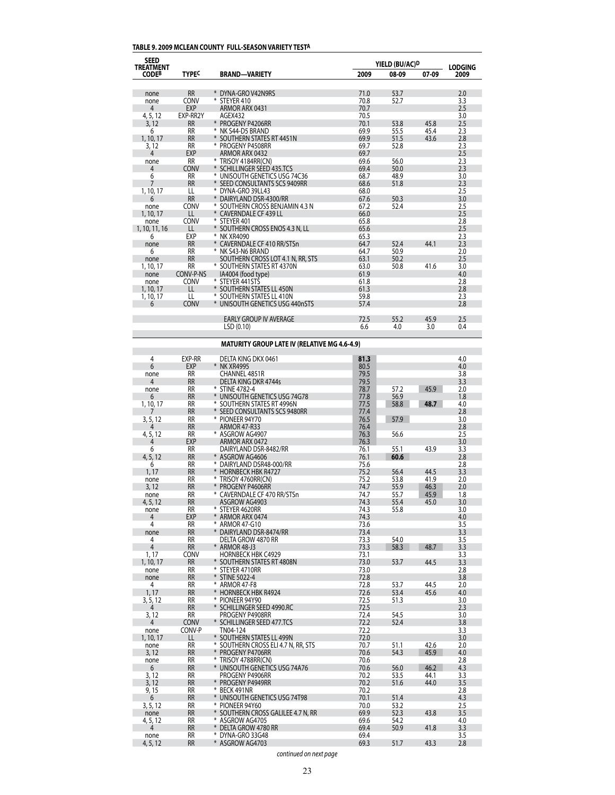## **TABLE 9. 2009 MCLEAN COUNTY FULL-SEASON VARIETY TESTA**

| <b>SEED</b>               |                        |                                                          |              | YIELD (BU/AC) <sup>D</sup> |              |                        |
|---------------------------|------------------------|----------------------------------------------------------|--------------|----------------------------|--------------|------------------------|
| TREATMENT<br><b>CODEB</b> | <b>TYPEC</b>           | <b>BRAND-VARIETY</b>                                     | 2009         | 08-09                      | 07-09        | <b>LODGING</b><br>2009 |
|                           |                        |                                                          |              |                            |              |                        |
| none                      | <b>RR</b>              | * DYNA-GRO V42N9RS<br>⋇                                  | 71.0         | 53.7                       |              | 2.0                    |
| none<br>4                 | CONV<br><b>EXP</b>     | STEYER 410<br>ARMOR ARX 0431                             | 70.8<br>70.7 | 52.7                       |              | 3.3<br>2.5             |
| 4, 5, 12                  | EXP-RR2Y               | AGEX432                                                  | 70.5         |                            |              | 3.0                    |
| 3, 12                     | <b>RR</b>              | * PROGENY P4206RR                                        | 70.1         | 53.8                       | 45.8         | 2.5                    |
| 6                         | RR                     | ¥<br>NK S44-D5 BRAND                                     | 69.9         | 55.5                       | 45.4         | 2.3                    |
| 1, 10, 17                 | <b>RR</b>              | * SOUTHERN STATES RT 4451N                               | 69.9         | 51.5                       | 43.6         | 2.8                    |
| 3, 12<br>4                | RR<br><b>EXP</b>       | PROGENY P4508RR<br>ARMOR ARX 0432                        | 69.7<br>69.7 | 52.8                       |              | 2.3<br>2.5             |
| none                      | <b>RR</b>              | ¥<br>TRISOY 4184RR(CN)                                   | 69.6         | 56.0                       |              | 2.3                    |
| 4                         | CONV                   | SCHILLINGER SEED 435.TCS                                 | 69.4         | 50.0                       |              | 2.3                    |
| 6                         | RR                     | * UNISOUTH GENETICS USG 74C36                            | 68.7         | 48.9                       |              | 3.0                    |
| 7<br>1, 10, 17            | <b>RR</b><br>LL        | SEED CONSULTANTS SCS 9409RR<br>₩<br>DYNA-GRO 39LL43      | 68.6<br>68.0 | 51.8                       |              | 2.3<br>2.5             |
| 6                         | <b>RR</b>              | DAIRYLAND DSR-4300/RR                                    | 67.6         | 50.3                       |              | 3.0                    |
| none                      | <b>CONV</b>            | SOUTHERN CROSS BENJAMIN 4.3 N                            | 67.2         | 52.4                       |              | 2.5                    |
| 1, 10, 17                 | LL                     | ¥<br><b>CAVERNDALE CF 439 LL</b>                         | 66.0         |                            |              | 2.5                    |
| none                      | CONV                   | * STEYER 401                                             | 65.8         |                            |              | 2.8                    |
| 1, 10, 11, 16<br>6        | LL<br>EXP              | * SOUTHERN CROSS ENOS 4.3 N, LL<br>¥<br>NK XR4090        | 65.6<br>65.3 |                            |              | 2.5<br>2.3             |
| none                      | <b>RR</b>              | ¥<br>CAVERNDALE CF 410 RR/STSn                           | 64.7         | 52.4                       | 44.1         | 2.3                    |
| 6                         | RR                     | ¥<br>NK S43-N6 BRAND                                     | 64.7         | 50.9                       |              | 2.0                    |
| none                      | <b>RR</b>              | SOUTHERN CROSS LOT 4.1 N, RR, STS                        | 63.1         | 50.2                       |              | 2.5                    |
| 1, 10, 17                 | <b>RR</b>              | * SOUTHERN STATES RT 4370N                               | 63.0         | 50.8                       | 41.6         | 3.0                    |
| none<br>none              | CONV-P-NS<br>CONV      | IA4004 (food type)<br>* STEYER 441STS                    | 61.9<br>61.8 |                            |              | 4.0<br>2.8             |
| 1, 10, 17                 | LL                     | * SOUTHERN STATES LL 450N                                | 61.3         |                            |              | 2.8                    |
| 1, 10, 17                 | LL                     | * SOUTHERN STATES LL 410N                                | 59.8         |                            |              | 2.3                    |
| 6                         | <b>CONV</b>            | * UNISOUTH GENETICS USG 440nSTS                          | 57.4         |                            |              | 2.8                    |
|                           |                        |                                                          |              |                            |              |                        |
|                           |                        | <b>EARLY GROUP IV AVERAGE</b><br>LSD(0.10)               | 72.5<br>6.6  | 55.2<br>4.0                | 45.9<br>3.0  | 2.5<br>0.4             |
|                           |                        |                                                          |              |                            |              |                        |
|                           |                        | <b>MATURITY GROUP LATE IV (RELATIVE MG 4.6-4.9)</b>      |              |                            |              |                        |
| 4                         | EXP-RR                 | DELTA KING DKX 0461                                      | 81.3         |                            |              | 4.0                    |
| 6                         | <b>EXP</b>             | * NK XR4995                                              | 80.5         |                            |              | 4.0                    |
| none<br>4                 | RR<br><b>RR</b>        | CHANNEL 4851R                                            | 79.5         |                            |              | 3.8<br>3.3             |
| none                      | RR                     | DELTA KING DKR 4744s<br>* STINE 4782-4                   | 79.5<br>78.7 | 57.2                       | 45.9         | 2.0                    |
| 6                         | <b>RR</b>              | ¥<br>UNISOUTH GENETICS USG 74G78                         | 77.8         | 56.9                       |              | 1.8                    |
| 1, 10, 17                 | RR                     | ⋇<br>SOUTHERN STATES RT 4996N                            | 77.5         | 58.8                       | 48.7         | 4.0                    |
|                           | <b>RR</b>              | ⋇<br>SEED CONSULTANTS SCS 9480RR                         | 77.4         |                            |              | 2.8                    |
| 3, 5, 12                  | RR<br><b>RR</b>        | ¥<br>PIONEER 94Y70<br>ARMOR 47-R33                       | 76.5<br>76.4 | 57.9                       |              | 3.0<br>2.8             |
| 4, 5, 12                  | RR                     | * ASGROW AG4907                                          | 76.3         | 56.6                       |              | 2.5                    |
| 4                         | <b>EXP</b>             | ARMOR ARX 0472                                           | 76.3         |                            |              | 3.0                    |
| 6                         | RR                     | DAIRYLAND DSR-8482/RR                                    | 76.1         | 55.1                       | 43.9         | 3.3                    |
| 4, 5, 12                  | <b>RR</b><br>RR        | * ASGROW AG4606<br>⋇<br>DAIRYLAND DSR48-000/RR           | 76.1<br>75.6 | 60.6                       |              | 2.8                    |
| 6<br>1, 17                | <b>RR</b>              | ¥<br><b>HORNBECK HBK R4727</b>                           | 75.2         | 56.4                       | 44.5         | 2.8<br>3.3             |
| none                      | RR                     | ¥<br>TRISOY 4760RR(CN)                                   | 75.2         | 53.8                       | 41.9         | 2.0                    |
| 3, 12                     | <b>RR</b>              | ¥<br>PROGENY P4606RR                                     | 74.7         | 55.9                       | 46.3         | 2.0                    |
| none                      | <b>RR</b>              | ⋇<br>CAVERNDALE CF 470 RR/STSn                           | 74.7         | 55.7                       | 45.9         | 1.8                    |
| 4, 5, 12<br>none          | <b>RR</b><br><b>RR</b> | ASGROW AG4903<br>₩<br>STEYER 4620RR                      | 74.3<br>74.3 | 55.4<br>55.8               | 45.0         | 3.0<br>3.0             |
| 4                         | EXP                    | ¥<br>ARMOR ARX 0474                                      | 74.3         |                            |              | 4.0                    |
| 4                         | RR                     | ¥<br>ARMOR 47-G10                                        | 73.6         |                            |              | 3.5                    |
| none                      | <b>RR</b>              | ¥<br>DAIRYLAND DSR-8474/RR                               | 73.4         |                            |              | 3.3                    |
| 4<br>$\overline{4}$       | RR<br><b>RR</b>        | DELTA GROW 4870 RR<br>* ARMOR 48-J3                      | 73.3<br>73.3 | 54.0                       | 48.7         | 3.5<br>3.3             |
| 1, 17                     | CONV                   | <b>HORNBECK HBK C4929</b>                                | 73.1         | 58.3                       |              | 3.3                    |
| 1, 10, 17                 | <b>RR</b>              | * SOUTHERN STATES RT 4808N                               | 73.0         | 53.7                       | 44.5         | 3.3                    |
| none                      | RR                     | ⋇<br>STEYER 4710RR                                       | 73.0         |                            |              | 2.8                    |
| none                      | <b>RR</b>              | * STINE 5022-4                                           | 72.8         |                            |              | 3.8                    |
| 4<br>1,17                 | RR<br><b>RR</b>        | * ARMOR 47-F8<br>* HORNBECK HBK R4924                    | 72.8<br>72.6 | 53.7<br>53.4               | 44.5<br>45.6 | 2.0<br>4.0             |
| 3, 5, 12                  | RR                     | * PIONEER 94Y90                                          | 72.5         | 51.3                       |              | 3.0                    |
| 4                         | <b>RR</b>              | * SCHILLINGER SEED 4990.RC                               | 72.5         |                            |              | 2.3                    |
| 3, 12                     | RR                     | PROGENY P4908RR                                          | 72.4         | 54.5                       |              | 3.0                    |
| 4                         | <b>CONV</b>            | * SCHILLINGER SEED 477.TCS                               | 72.2         | 52.4                       |              | 3.8                    |
| none<br>1, 10, 17         | CONV-P<br>LL           | TN04-124<br>* SOUTHERN STATES LL 499N                    | 72.2<br>72.0 |                            |              | 3.3<br>3.0             |
| none                      | RR                     | * SOUTHERN CROSS ELI 4.7 N, RR, STS                      | 70.7         | 51.1                       | 42.6         | 2.0                    |
| 3, 12                     | <b>RR</b>              | * PROGENY P4706RR                                        | 70.6         | 54.3                       | 45.9         | 4.0                    |
| none                      | RR                     | * TRISOY 4788RR(CN)                                      | 70.6         |                            |              | 2.8                    |
| 6<br>3, 12                | <b>RR</b><br>RR        | * UNISOUTH GENETICS USG 74A76<br>PROGENY P4906RR         | 70.6<br>70.2 | 56.0<br>53.5               | 46.2<br>44.1 | 4.3<br>3.3             |
| 3, 12                     | <b>RR</b>              | * PROGENY P4949RR                                        | 70.2         | 51.6                       | 44.0         | 3.5                    |
| 9, 15                     | RR                     | ₩<br>BECK 491NR                                          | 70.2         |                            |              | 2.8                    |
| 6                         | <b>RR</b>              | * UNISOUTH GENETICS USG 74T98                            | 70.1         | 51.4                       |              | 4.3                    |
| 3, 5, 12                  | RR                     | * PIONEER 94Y60                                          | 70.0         | 53.2                       |              | 2.5                    |
| none<br>4, 5, 12          | <b>RR</b><br>RR        | * SOUTHERN CROSS GALILEE 4.7 N, RR<br>₩<br>ASGROW AG4705 | 69.9<br>69.6 | 52.3<br>54.2               | 43.8         | 3.5<br>4.0             |
| 4                         | <b>RR</b>              | * DELTA GROW 4780 RR                                     | 69.4         | 50.9                       | 41.8         | 3.3                    |
| none                      | RR                     | * DYNA-GRO 33G48                                         | 69.4         |                            |              | 3.5                    |
| 4, 5, 12                  | <b>RR</b>              | * ASGROW AG4703                                          | 69.3         | 51.7                       | 43.3         | 2.8                    |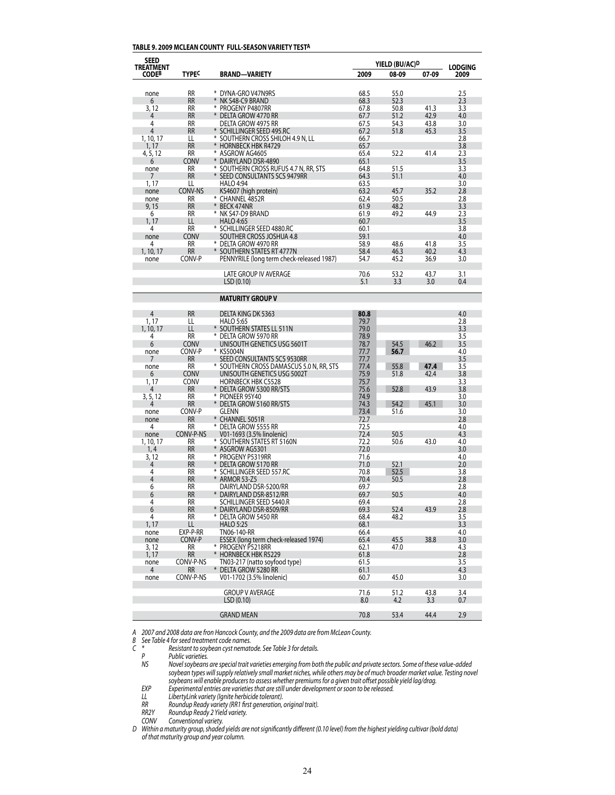#### **TABLE 9. 2009 MCLEAN COUNTY FULL-SEASON VARIETY TESTA**

| <b>SEED</b>        |                          |                                                                        |              | YIELD (BU/AC) <sup>D</sup> |       |                        |
|--------------------|--------------------------|------------------------------------------------------------------------|--------------|----------------------------|-------|------------------------|
| TREATMENT<br>CODEB | TYPE <sup>C</sup>        | <b>BRAND-VARIETY</b>                                                   | 2009         | 08-09                      | 07-09 | <b>LODGING</b><br>2009 |
|                    | RR                       | * DYNA-GRO V47N9RS                                                     | 68.5         |                            |       |                        |
| none<br>6          | <b>RR</b>                | ¥<br>NK S48-C9 BRAND                                                   | 68.3         | 55.0<br>52.3               |       | 2.5<br>2.3             |
| 3, 12              | RR                       | * PROGENY P4807RR                                                      | 67.8         | 50.8                       | 41.3  | 3.3                    |
| 4                  | <b>RR</b>                | * DELTA GROW 4770 RR                                                   | 67.7         | 51.2                       | 42.9  | 4.0                    |
| 4                  | RR                       | DELTA GROW 4975 RR                                                     | 67.5         | 54.3                       | 43.8  | 3.0                    |
| $\overline{4}$     | RR                       | * SCHILLINGER SEED 495.RC                                              | 67.2         | 51.8                       | 45.3  | 3.5                    |
| 1, 10, 17          | LL                       | * SOUTHERN CROSS SHILOH 4.9 N, LL                                      | 66.7         |                            |       | 2.8                    |
| 1, 17              | <b>RR</b>                | * HORNBECK HBK R4729                                                   | 65.7         |                            |       | 3.8                    |
| 4, 5, 12           | RR                       | * ASGROW AG4605                                                        | 65.4         | 52.2                       | 41.4  | 2.3                    |
| 6                  | <b>CONV</b><br>RR        | * DAIRYLAND DSR-4890                                                   | 65.1<br>64.8 |                            |       | 3.5<br>3.3             |
| none<br>7          | <b>RR</b>                | * SOUTHERN CROSS RUFUS 4.7 N, RR, STS<br>* SEED CONSULTANTS SCS 9479RR | 64.3         | 51.5<br>51.1               |       | 4.0                    |
| 1, 17              | LL                       | <b>HALO 4:94</b>                                                       | 63.5         |                            |       | 3.0                    |
| none               | CONV-NS                  | KS4607 (high protein)                                                  | 63.2         | 45.7                       | 35.2  | 2.8                    |
| none               | RR                       | * CHANNEL 4852R                                                        | 62.4         | 50.5                       |       | 2.8                    |
| 9, 15              | <b>RR</b>                | BECK 474NR<br>¥                                                        | 61.9         | 48.2                       |       | 3.3                    |
| 6                  | RR                       | * NK S47-D9 BRAND                                                      | 61.9         | 49.2                       | 44.9  | 2.3                    |
| 1, 17              | LL                       | <b>HALO 4:65</b>                                                       | 60.7         |                            |       | 3.5                    |
| 4                  | RR                       | * SCHILLINGER SEED 4880.RC                                             | 60.1         |                            |       | 3.8                    |
| none               | <b>CONV</b>              | SOUTHER CROSS JOSHUA 4.8                                               | 59.1         |                            |       | 4.0                    |
| 4                  | RR                       | * DELTA GROW 4970 RR                                                   | 58.9         | 48.6                       | 41.8  | 3.5                    |
| 1, 10, 17          | <b>RR</b>                | SOUTHERN STATES RT 4777N                                               | 58.4         | 46.3                       | 40.2  | 4.3                    |
| none               | CONV-P                   | PENNYRILE (long term check-released 1987)                              | 54.7         | 45.2                       | 36.9  | 3.0                    |
|                    |                          | <b>LATE GROUP IV AVERAGE</b>                                           | 70.6         | 53.2                       | 43.7  | 3.1                    |
|                    |                          | LSD (0.10)                                                             | 5.1          | 3.3                        | 3.0   | 0.4                    |
|                    |                          |                                                                        |              |                            |       |                        |
|                    |                          | <b>MATURITY GROUP V</b>                                                |              |                            |       |                        |
| $\overline{4}$     | <b>RR</b>                | DELTA KING DK 5363                                                     | 80.8         |                            |       | 4.0                    |
| 1, 17              | LL                       | <b>HALO 5:65</b>                                                       | 79.7         |                            |       | 2.8                    |
| 1, 10, 17          | LL                       | * SOUTHERN STATES LL 511N                                              | 79.0         |                            |       | 3.3                    |
| 4                  | RR                       | DELTA GROW 5970 RR                                                     | 78.9         |                            |       | 3.5                    |
| 6                  | <b>CONV</b>              | UNISOUTH GENETICS USG 5601T                                            | 78.7         | 54.5                       | 46.2  | 3.5                    |
| none               | CONV-P                   | * KS5004N                                                              | 77.7         | 56.7                       |       | 4.0                    |
| 7                  | <b>RR</b>                | SEED CONSULTANTS SCS 9530RR                                            | 77.7         |                            |       | 3.5                    |
| none               | <b>RR</b>                | * SOUTHERN CROSS DAMASCUS 5.0 N, RR, STS                               | 77.4         | 55.8                       | 47.4  | 3.5                    |
| 6                  | <b>CONV</b>              | UNISOUTH GENETICS USG 5002T                                            | 75.9         | 51.8                       | 42.4  | 3.8                    |
| 1, 17<br>4         | <b>CONV</b><br><b>RR</b> | <b>HORNBECK HBK C5528</b><br>* DELTA GROW 5300 RR/STS                  | 75.7<br>75.6 | 52.8                       | 43.9  | 3.3<br>3.8             |
| 3, 5, 12           | <b>RR</b>                | *<br>PIONEER 95Y40                                                     | 74.9         |                            |       | 3.0                    |
| 4                  | <b>RR</b>                | * DELTA GROW 5160 RR/STS                                               | 74.3         | 54.2                       | 45.1  | 3.0                    |
| none               | CONV-P                   | GLENN                                                                  | 73.4         | 51.6                       |       | 3.0                    |
| none               | <b>RR</b>                | * CHANNEL 5051R                                                        | 72.7         |                            |       | 2.8                    |
| 4                  | <b>RR</b>                | * Delta Grow 5555 RR                                                   | 72.5         |                            |       | 4.0                    |
| none               | CONV-P-NS                | V01-1693 (3.5% linolenic)                                              | 72.4         | 50.5                       |       | 4.3                    |
| 1, 10, 17          | RR                       | * SOUTHERN STATES RT 5160N                                             | 72.2         | 50.6                       | 43.0  | 4.0                    |
| 1,4                | <b>RR</b>                | * ASGROW AG5301                                                        | 72.0         |                            |       | 3.0                    |
| 3, 12              | RR                       | * PROGENY P5319RR                                                      | 71.6         |                            |       | 4.0                    |
| 4<br>4             | <b>RR</b><br>RR          | DELTA GROW 5170 RR<br>* SCHILLINGER SEED 557.RC                        | 71.0         | 52.1<br>52.5               |       | 2.0                    |
| $\overline{4}$     | RR                       | * ARMOR 53-Z5                                                          | 70.8<br>70.4 | 50.5                       |       | 3.8<br>2.8             |
| 6                  | RR                       | DAIRYLAND DSR-5200/RR                                                  | 69.7         |                            |       | 2.8                    |
| 6                  | <b>RR</b>                | DAIRYLAND DSR-8512/RR                                                  | 69.7         | 50.5                       |       | 4.0                    |
| 4                  | RR                       | SCHILLINGER SEED 5440.R                                                | 69.4         |                            |       | 2.8                    |
| 6                  | <b>RR</b>                | * DAIRYLAND DSR-8509/RR                                                | 69.3         | 52.4                       | 43.9  | 2.8                    |
| 4                  | RR                       | * DELTA GROW 5450 RR                                                   | 68.4         | 48.2                       |       | 3.5                    |
| 1, 17              | LL                       | <b>HALO 5:25</b>                                                       | 68.1         |                            |       | 3.3                    |
| none               | EXP-P-RR                 | TN06-140-RR                                                            | 66.4         |                            |       | 4.0                    |
| none               | CONV-P                   | ESSEX (long term check-released 1974)                                  | 65.4         | 45.5                       | 38.8  | 3.0                    |
| 3, 12              | RR.                      | * PROGENY P5218RR                                                      | 62.1         | 47.0                       |       | 4.3                    |
| 1, 17              | <b>RR</b>                | * HORNBECK HBK R5229                                                   | 61.8         |                            |       | 2.8                    |
| none               | CONV-P-NS                | TN03-217 (natto soyfood type)                                          | 61.5         |                            |       | 3.5<br>4.3             |
| 4<br>none          | <b>RR</b><br>CONV-P-NS   | * DELTA GROW 5280 RR<br>V01-1702 (3.5% linolenic)                      | 61.1<br>60.7 | 45.0                       |       | 3.0                    |
|                    |                          |                                                                        |              |                            |       |                        |
|                    |                          | <b>GROUP V AVERAGE</b>                                                 | 71.6         | 51.2                       | 43.8  | 3.4                    |
|                    |                          | LSD(0.10)                                                              | 8.0          | 4.2                        | 3.3   | 0.7                    |
|                    |                          | <b>GRAND MEAN</b>                                                      | 70.8         | 53.4                       | 44.4  | 2.9                    |

*A 2007 and 2008 data are fron Hancock County, and the 2009 data are from McLean County.*

*B* See Table 4 for seed treatment code names.<br>C \* Resistant to soybean cyst nemate *C \* Resistant to soybean cyst nematode. See Table 3 for details.* 

*P Public varieties.*<br>*NS Novel soybeans* Novel soybeans are special trait varieties emerging from both the public and private sectors. Some of these value-added soybean types will supply relatively small market niches, while others may be of much broader market value. Testing novel  *soybeans will enable producersto assess whether premiumsfor a given trait offset possible yield lag/drag.*

 *EXP Experimental entries are varietiesthat are still under development orsoon to be released.*

 *LL LibertyLink variety (Ignite herbicide tolerant).*

 *RR Roundup Ready variety (RR1 first generation, original trait).*

 *RR2Y Roundup Ready 2 Yield variety.*

 *CONV Conventional variety.* D Within a maturity group, shaded yields are not significantly different (0.10 level) from the highest yielding cultivar (bold data)  *of that maturity group and year column.*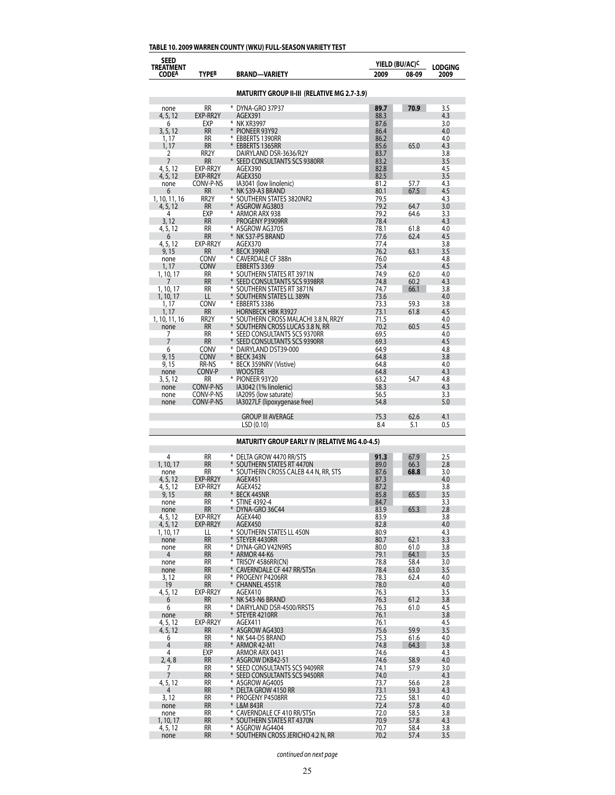# **TABLE 10. 2009 WARREN COUNTY (WKU) FULL-SEASON VARIETY TEST**

| <b>SEED</b><br>TREATMENT |                            |                                                      |              | YIELD (BU/AC) <sup>C</sup> | <b>LODGING</b> |
|--------------------------|----------------------------|------------------------------------------------------|--------------|----------------------------|----------------|
| <b>CODEA</b>             | <b>TYPEB</b>               | <b>BRAND-VARIETY</b>                                 | 2009         | 08-09                      | 2009           |
|                          |                            | <b>MATURITY GROUP II-III (RELATIVE MG 2.7-3.9)</b>   |              |                            |                |
| none                     | <b>RR</b>                  | * DYNA-GRO 37P37                                     | 89.7         | 70.9                       | 3.5            |
| 4, 5, 12                 | EXP-RR2Y                   | AGEX391                                              | 88.3         |                            | 4.3            |
| 6<br>3, 5, 12            | EXP<br><b>RR</b>           | * NK XR3997<br>* PIONEER 93Y92                       | 87.6<br>86.4 |                            | 3.0<br>4.0     |
| 1, 17                    | RR                         | * EBBERTS 1390RR                                     | 86.2         |                            | 4.0            |
| 1, 17                    | RR                         | * EBBERTS 1365RR                                     | 85.6         | 65.0                       | 4.3            |
| 2                        | RR <sub>2</sub> Y          | DAIRYLAND DSR-3636/R2Y                               | 83.7         |                            | 3.8            |
| 7                        | <b>RR</b>                  | * SEED CONSULTANTS SCS 9380RR                        | 83.2         |                            | 3.5            |
| 4, 5, 12                 | EXP-RR2Y                   | AGEX390                                              | 82.8         |                            | 4.5            |
| 4, 5, 12                 | EXP-RR2Y<br>CONV-P-NS      | AGEX350                                              | 82.5<br>81.2 | 57.7                       | 3.5            |
| none<br>6                | <b>RR</b>                  | IA3041 (low linolenic)<br>* NK S39-A3 BRAND          | 80.1         | 67.5                       | 4.3<br>4.5     |
| 1, 10, 11, 16            | RR <sub>2</sub> Y          | * SOUTHERN STATES 3820NR2                            | 79.5         |                            | 4.3            |
| 4, 5, 12                 | <b>RR</b>                  | * ASGROW AG3803                                      | 79.2         | 64.7                       | 3.0            |
| 4                        | EXP                        | ARMOR ARX 938                                        | 79.2         | 64.6                       | 3.3            |
| 3, 12                    | <b>RR</b>                  | PROGENY P3909RR                                      | 78.4         |                            | 4.3            |
| 4, 5, 12                 | <b>RR</b>                  | * ASGROW AG3705                                      | 78.1<br>77.6 | 61.8<br>62.4               | 4.0            |
| 6<br>4, 5, 12            | RR<br>EXP-RR2Y             | * NK S37-P5 BRAND<br>AGEX370                         | 77.4         |                            | 4.5<br>3.8     |
| 9, 15                    | <b>RR</b>                  | * BECK 399NR                                         | 76.2         | 63.1                       | 3.5            |
| none                     | <b>CONV</b>                | * CAVERDALE CF 388n                                  | 76.0         |                            | 4.8            |
| 1, 17                    | <b>CONV</b>                | EBBERTS 3369                                         | 75.4         |                            | 4.5            |
| 1, 10, 17                | RR                         | * SOUTHERN STATES RT 3971N                           | 74.9         | 62.0                       | 4.0            |
|                          | <b>RR</b>                  | SEED CONSULTANTS SCS 9398RR                          | 74.8         | 60.2                       | 4.3            |
| 1, 10, 17                | <b>RR</b><br>LL            | * SOUTHERN STATES RT 3871N                           | 74.7<br>73.6 | 66.1                       | 3.8<br>4.0     |
| 1, 10, 17<br>1, 17       | <b>CONV</b>                | SOUTHERN STATES LL 389N<br>EBBERTS 3386              | 73.3         | 59.3                       | 3.8            |
| 1, 17                    | <b>RR</b>                  | <b>HORNBECK HBK R3927</b>                            | 73.1         | 61.8                       | 4.5            |
| 1, 10, 11, 16            | RR <sub>2</sub> Y          | * SOUTHERN CROSS MALACHI 3.8 N, RR2Y                 | 71.5         |                            | 4.0            |
| none                     | RR                         | SOUTHERN CROSS LUCAS 3.8 N, RR                       | 70.2         | 60.5                       | 4.5            |
| 7                        | <b>RR</b>                  | SEED CONSULTANTS SCS 9370RR                          | 69.5         |                            | 4.0            |
| 7                        | <b>RR</b>                  | SEED CONSULTANTS SCS 9390RR                          | 69.3         |                            | 4.5            |
| 6<br>9, 15               | <b>CONV</b><br><b>CONV</b> | * DAIRYLAND DST39-000<br>BECK 343N                   | 64.9<br>64.8 |                            | 4.8<br>3.8     |
| 9, 15                    | RR-NS                      | BECK 359NRV (Vistive)<br>⋇                           | 64.8         |                            | 4.0            |
| none                     | CONV-P                     | Wooster                                              | 64.8         |                            | 4.3            |
| 3, 5, 12                 | <b>RR</b>                  | * PIONEER 93Y20                                      | 63.2         | 54.7                       | 4.8            |
| none                     | CONV-P-NS                  | IA3042 (1% linolenic)                                | 58.3         |                            | 4.3            |
| none                     | CONV-P-NS<br>CONV-P-NS     | IA2095 (low saturate)                                | 56.5<br>54.8 |                            | 3.3<br>5.0     |
| none                     |                            | IA3027LF (lipoxygenase free)                         |              |                            |                |
|                          |                            | <b>GROUP III AVERAGE</b><br>LSD(0.10)                | 75.3<br>8.4  | 62.6<br>5.1                | 4.1<br>0.5     |
|                          |                            | <b>MATURITY GROUP EARLY IV (RELATIVE MG 4.0-4.5)</b> |              |                            |                |
| 4                        | RR                         | * Delta Grow 4470 RR/STS                             | 91.3         | 67.9                       | 2.5            |
| 1, 10, 17                | <b>RR</b>                  | SOUTHERN STATES RT 4470N                             | 89.0         | 66.3                       | 2.8            |
| none                     | RR                         | SOUTHERN CROSS CALEB 4.4 N, RR, STS<br>⋇             | 87.6         | 68.8                       | 3.0            |
| 4, 5, 12                 | EXP-RR2Y                   | AGEX451                                              | 87.3         |                            | 4.0            |
| 4, 5, 12                 | EXP-RR2Y<br>RR             | AGEX452<br>¥<br><b>BECK 445NR</b>                    | 87.2<br>85.8 | 65.5                       | 3.8<br>3.5     |
| 9,15<br>none             | RR                         | ₩<br><b>STINE 4392-4</b>                             | 84.7         |                            | 3.3            |
| none                     | <b>RR</b>                  | DYNA-GRO 36C44                                       | 83.9         | 65.3                       | 2.8            |
| 4, 5, 12                 | EXP-RR2Y                   | AGEX440                                              | 83.9         |                            | 3.8            |
| 4, 5, 12                 | EXP-RR2Y                   | AGEX450                                              | 82.8         |                            | 4.0            |
| 1, 10, 17                | LL                         | * SOUTHERN STATES LL 450N                            | 80.9         |                            | 4.3            |
| none                     | <b>RR</b><br>RR            | * STEYER 4430RR<br>DYNA-GRO V42N9RS<br>⋇             | 80.7<br>80.0 | 62.1<br>61.0               | 3.3            |
| none<br>4                | <b>RR</b>                  | ARMOR 44-K6                                          | 79.1         | 64.1                       | 3.8<br>3.5     |
| none                     | RR                         | ₩<br>TRISOY 4586RR(CN)                               | 78.8         | 58.4                       | 3.0            |
| none                     | <b>RR</b>                  | ¥<br>CAVERNDALE CF 447 RR/STSn                       | 78.4         | 63.0                       | 3.5            |
| 3, 12                    | RR                         | * PROGENY P4206RR                                    | 78.3         | 62.4                       | 4.0            |
| 19                       | <b>RR</b>                  | * CHANNEL 4551R                                      | 78.0         |                            | 4.0            |
| 4, 5, 12                 | EXP-RR2Y                   | AGEX410                                              | 76.3         |                            | 3.5            |
| 6<br>6                   | <b>RR</b><br>RR            | * NK S43-N6 BRAND<br>* DAIRYLAND DSR-4500/RRSTS      | 76.3<br>76.3 | 61.2<br>61.0               | 3.8<br>4.5     |
| none                     | RR                         | * STEYER 4210RR                                      | 76.1         |                            | 3.8            |
| 4, 5, 12                 | EXP-RR2Y                   | AGEX411                                              | 76.1         |                            | 4.5            |
| 4, 5, 12                 | <b>RR</b>                  | * ASGROW AG4303                                      | 75.6         | 59.9                       | 3.5            |
| 6                        | RR                         | * NK S44-D5 BRAND                                    | 75.3         | 61.6                       | 4.0            |
| 4                        | <b>RR</b>                  | * ARMOR 42-M1                                        | 74.8         | 64.3                       | 3.8            |
| 4<br>2, 4, 8             | EXP<br><b>RR</b>           | ARMOR ARX 0431<br>* Asgrow DKB42-51                  | 74.6<br>74.6 | 58.9                       | 4.3<br>4.0     |
| 7                        | RR                         | * SEED CONSULTANTS SCS 9409RR                        | 74.1         | 57.9                       | 3.0            |
| 7                        | <b>RR</b>                  | * SEED CONSULTANTS SCS 9450RR                        | 74.0         |                            | 4.3            |
| 4, 5, 12                 | RR                         | * ASGROW AG4005                                      | 73.7         | 56.6                       | 2.8            |
| 4                        | <b>RR</b>                  | * DELTA GROW 4150 RR                                 | 73.1         | 59.3                       | 4.3            |
| 3, 12                    | RR                         | * PROGENY P4508RR                                    | 72.5         | 58.1                       | 4.0            |
| none                     | <b>RR</b><br>RR            | * L&M 843R<br>* CAVERNDALE CF 410 RR/STSn            | 72.4<br>72.0 | 57.8<br>58.5               | 4.0            |
| none<br>1, 10, 17        | <b>RR</b>                  | * SOUTHERN STATES RT 4370N                           | 70.9         | 57.8                       | 3.8<br>4.3     |
| 4, 5, 12                 | RR                         | * ASGROW AG4404                                      | 70.7         | 58.4                       | 3.8            |
| none                     | <b>RR</b>                  | * SOUTHERN CROSS JERICHO 4.2 N, RR                   | 70.2         | 57.4                       | 3.5            |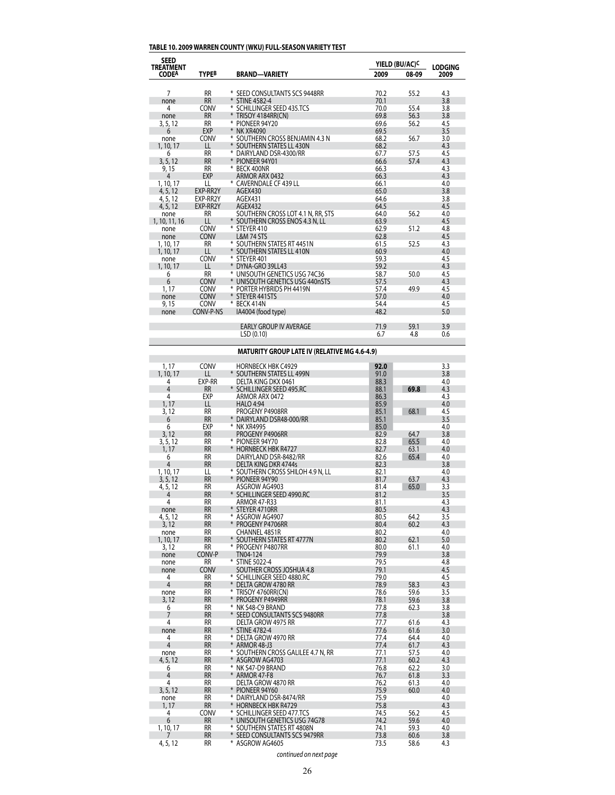# **TABLE 10. 2009 WARREN COUNTY (WKU) FULL-SEASON VARIETY TEST**

| <b>LODGING</b><br><b>TREATMENT</b><br><b>TYPEB</b><br><b>CODEA</b><br><b>BRAND-VARIETY</b><br>2009<br>08-09<br>2009<br><b>RR</b><br>$\overline{7}$<br>* SEED CONSULTANTS SCS 9448RR<br>70.2<br>55.2<br>4.3<br><b>RR</b><br>3.8<br>* STINE 4582-4<br>70.1<br>none<br>* SCHILLINGER SEED 435.TCS<br>4<br>CONV<br>70.0<br>55.4<br>3.8<br><b>RR</b><br>* TRISOY 4184RR(CN)<br>56.3<br>69.8<br>3.8<br>none |  |
|-------------------------------------------------------------------------------------------------------------------------------------------------------------------------------------------------------------------------------------------------------------------------------------------------------------------------------------------------------------------------------------------------------|--|
|                                                                                                                                                                                                                                                                                                                                                                                                       |  |
|                                                                                                                                                                                                                                                                                                                                                                                                       |  |
|                                                                                                                                                                                                                                                                                                                                                                                                       |  |
|                                                                                                                                                                                                                                                                                                                                                                                                       |  |
|                                                                                                                                                                                                                                                                                                                                                                                                       |  |
|                                                                                                                                                                                                                                                                                                                                                                                                       |  |
| <b>RR</b><br>* PIONEER 94Y20<br>69.6<br>56.2<br>4.5<br>3, 5, 12                                                                                                                                                                                                                                                                                                                                       |  |
| <b>EXP</b><br>69.5<br>3.5<br>6<br>* NK XR4090                                                                                                                                                                                                                                                                                                                                                         |  |
| * SOUTHERN CROSS BENJAMIN 4.3 N<br>68.2<br><b>CONV</b><br>56.7<br>3.0<br>none                                                                                                                                                                                                                                                                                                                         |  |
| LL<br>* SOUTHERN STATES LL 430N<br>68.2<br>4.3<br>1, 10, 17                                                                                                                                                                                                                                                                                                                                           |  |
| <b>RR</b><br>* DAIRYLAND DSR-4300/RR<br>6<br>67.7<br>57.5<br>4.5                                                                                                                                                                                                                                                                                                                                      |  |
| <b>RR</b><br>* PIONEER 94Y01<br>66.6<br>3, 5, 12<br>57.4<br>4.3                                                                                                                                                                                                                                                                                                                                       |  |
| <b>RR</b><br>* BECK 400NR<br>66.3<br>4.3<br>9,15                                                                                                                                                                                                                                                                                                                                                      |  |
| <b>EXP</b><br>ARMOR ARX 0432<br>66.3<br>4.3<br>4                                                                                                                                                                                                                                                                                                                                                      |  |
| LL<br>* CAVERNDALE CF 439 LL<br>1, 10, 17<br>66.1<br>4.0                                                                                                                                                                                                                                                                                                                                              |  |
| EXP-RR2Y<br>65.0<br>3.8<br>4, 5, 12<br>AGEX430                                                                                                                                                                                                                                                                                                                                                        |  |
| EXP-RR2Y<br>AGEX431<br>3.8<br>4, 5, 12<br>64.6                                                                                                                                                                                                                                                                                                                                                        |  |
| EXP-RR2Y<br>AGEX432<br>4.5<br>4, 5, 12<br>64.5                                                                                                                                                                                                                                                                                                                                                        |  |
| <b>RR</b><br>SOUTHERN CROSS LOT 4.1 N, RR, STS<br>64.0<br>56.2<br>4.0<br>none                                                                                                                                                                                                                                                                                                                         |  |
| * SOUTHERN CROSS ENOS 4.3 N, LL<br>LL<br>63.9<br>4.5<br>1, 10, 11, 16                                                                                                                                                                                                                                                                                                                                 |  |
| CONV<br>* STEYER 410<br>62.9<br>51.2<br>4.8<br>none                                                                                                                                                                                                                                                                                                                                                   |  |
| CONV<br><b>L&amp;M 74 STS</b><br>62.8<br>4.5<br>none                                                                                                                                                                                                                                                                                                                                                  |  |
| <b>RR</b><br>* SOUTHERN STATES RT 4451N<br>61.5<br>52.5<br>4.3<br>1, 10, 17                                                                                                                                                                                                                                                                                                                           |  |
| * SOUTHERN STATES LL 410N<br>LL<br>60.9<br>4.0<br>1, 10, 17                                                                                                                                                                                                                                                                                                                                           |  |
| CONV<br>* STEYER 401<br>59.3<br>4.5<br>none                                                                                                                                                                                                                                                                                                                                                           |  |
| LL<br>* DYNA-GRO 39LL43<br>59.2<br>4.3<br>1, 10, 17                                                                                                                                                                                                                                                                                                                                                   |  |
| <b>RR</b><br>* UNISOUTH GENETICS USG 74C36<br>58.7<br>50.0<br>4.5<br>6                                                                                                                                                                                                                                                                                                                                |  |
| 6<br>CONV<br>* UNISOUTH GENETICS USG 440nSTS<br>57.5<br>4.3                                                                                                                                                                                                                                                                                                                                           |  |
| CONV<br>1,17<br>* PORTER HYBRIDS PH 4419N<br>57.4<br>49.9<br>4.5                                                                                                                                                                                                                                                                                                                                      |  |
| CONV<br>* STEYER 441 STS<br>57.0<br>4.0<br>none                                                                                                                                                                                                                                                                                                                                                       |  |
| CONV<br>9, 15<br>* BECK 414N<br>54.4<br>4.5                                                                                                                                                                                                                                                                                                                                                           |  |
| CONV-P-NS<br>IA4004 (food type)<br>48.2<br>5.0<br>none                                                                                                                                                                                                                                                                                                                                                |  |
| <b>EARLY GROUP IV AVERAGE</b><br>71.9<br>59.1<br>3.9                                                                                                                                                                                                                                                                                                                                                  |  |
| 4.8<br>LSD(0.10)<br>6.7<br>0.6                                                                                                                                                                                                                                                                                                                                                                        |  |

# **MATURITY GROUP LATE IV (RELATIVE MG 4.6-4.9)**

| 1, 17                    | CONV      | <b>HORNBECK HBK C4929</b>          | 92.0         |              | 3.3        |
|--------------------------|-----------|------------------------------------|--------------|--------------|------------|
| 1, 10, 17                | П         | * SOUTHERN STATES LL 499N          | 91.0         |              | 3.8        |
| 4                        | EXP-RR    | DELTA KING DKX 0461                | 88.3         |              | 4.0        |
| $\overline{4}$           | <b>RR</b> | * SCHILLINGER SEED 495.RC          | 88.1         | 69.8         | 4.3        |
| 4                        | EXP       | ARMOR ARX 0472                     | 86.3         |              | 4.3        |
| 1, 17                    | LL        | <b>HALO 4:94</b>                   | 85.9         |              | 4.0        |
| 3, 12                    | <b>RR</b> | PROGENY P4908RR                    | 85.1         | 68.1         | 4.5        |
| 6                        | <b>RR</b> | * DAIRYLAND DSR48-000/RR           | 85.1         |              | 3.5        |
| 6                        | EXP       | * NK XR4995                        | 85.0         |              | 4.0        |
| 3, 12                    | <b>RR</b> | PROGENY P4906RR                    | 82.9         | 64.7         | 3.8        |
| 3, 5, 12                 | <b>RR</b> | * PIONEER 94Y70                    | 82.8         | 65.5         | 4.0        |
| 1,17                     | <b>RR</b> | <b>HORNBECK HBK R4727</b>          | 82.7         | 63.1         | 4.0        |
| 6                        | <b>RR</b> | DAIRYLAND DSR-8482/RR              | 82.6         | 65.4         | 4.0        |
| 4                        | <b>RR</b> | <b>DELTA KING DKR 4744s</b>        | 82.3         |              | 3.8        |
| 1, 10, 17                | LL        | * SOUTHERN CROSS SHILOH 4.9 N, LL  | 82.1         |              | 4.0        |
| 3, 5, 12                 | <b>RR</b> | * PIONEER 94Y90                    | 81.7         | 63.7         | 4.3        |
| 4, 5, 12                 | <b>RR</b> | ASGROW AG4903                      | 81.4         | 65.0         | 3.3        |
| 4                        | <b>RR</b> | * SCHILLINGER SEED 4990.RC         | 81.2         |              | 3.5        |
| 4                        | <b>RR</b> | <b>ARMOR 47-R33</b>                | 81.1         |              | 4.3        |
| none                     | <b>RR</b> | * STEYER 4710RR                    | 80.5         |              | 4.3        |
| 4, 5, 12                 | <b>RR</b> | * ASGROW AG4907                    | 80.5         | 64.2         | 3.5        |
| 3, 12                    | <b>RR</b> | * PROGENY P4706RR                  | 80.4         | 60.2         | 4.3        |
| none                     | <b>RR</b> | CHANNEL 4851R                      | 80.2         |              | 4.0        |
| 1, 10, 17                | <b>RR</b> | * SOUTHERN STATES RT 4777N         | 80.2         | 62.1         | 5.0        |
| 3,12                     | <b>RR</b> | * PROGENY P4807RR                  | 80.0         | 61.1         | 4.0        |
|                          | CONV-P    | TN04-124                           | 79.9         |              | 3.8        |
| none<br>none             | <b>RR</b> | * STINE 5022-4                     | 79.5         |              | 4.8        |
| none                     | CONV      | SOUTHER CROSS JOSHUA 4.8           | 79.1         |              | 4.5        |
| $\overline{\mathcal{A}}$ | <b>RR</b> | * SCHILLINGER SEED 4880.RC         | 79.0         |              | 4.5        |
| $\overline{4}$           | <b>RR</b> | * DELTA GROW 4780 RR               | 78.9         | 58.3         | 4.3        |
|                          | <b>RR</b> | * TRISOY 4760RR(CN)                | 78.6         | 59.6         | 3.5        |
| none<br>3, 12            | <b>RR</b> | * PROGENY P4949RR                  | 78.1         | 59.6         | 3.8        |
|                          | <b>RR</b> | * NK S48-C9 BRAND                  | 77.8         | 62.3         | 3.8        |
| 6<br>$\overline{7}$      | <b>RR</b> | * SEED CONSULTANTS SCS 9480RR      | 77.8         |              | 3.8        |
|                          | <b>RR</b> | DELTA GROW 4975 RR                 | 77.7         |              |            |
| 4                        | <b>RR</b> | * STINE 4782-4                     | 77.6         | 61.6         | 4.3<br>3.0 |
| none                     | <b>RR</b> | * DELTA GROW 4970 RR               |              | 61.6         | 4.0        |
| 4<br>4                   | <b>RR</b> | * ARMOR 48-J3                      | 77.4<br>77.4 | 64.4<br>61.7 |            |
|                          |           |                                    |              |              | 4.3        |
| none                     | <b>RR</b> | * SOUTHERN CROSS GALILEE 4.7 N, RR | 77.1         | 57.5         | 4.0        |
| 4, 5, 12                 | <b>RR</b> | * ASGROW AG4703                    | 77.1         | 60.2         | 4.3        |
| 6                        | <b>RR</b> | * NK S47-D9 BRAND                  | 76.8<br>76.7 | 62.2         | 3.0        |
| 4                        | <b>RR</b> | * ARMOR 47-F8                      |              | 61.8         | 3.3        |
| $\overline{4}$           | <b>RR</b> | DELTA GROW 4870 RR                 | 76.2         | 61.3         | 4.0        |
| 3, 5, 12                 | <b>RR</b> | * PIONEER 94Y60                    | 75.9         | 60.0         | 4.0        |
| none                     | <b>RR</b> | * DAIRYLAND DSR-8474/RR            | 75.9         |              | 4.0        |
| 1,17                     | <b>RR</b> | * HORNBECK HBK R4729               | 75.8         |              | 4.3        |
| 4                        | CONV      | * SCHILLINGER SEED 477.TCS         | 74.5         | 56.2         | 4.5        |
| 6                        | <b>RR</b> | * UNISOUTH GENETICS USG 74G78      | 74.2         | 59.6         | 4.0        |
| 1, 10, 17                | <b>RR</b> | * SOUTHERN STATES RT 4808N         | 74.1         | 59.3         | 4.0        |
| 7                        | <b>RR</b> | * SEED CONSULTANTS SCS 9479RR      | 73.8         | 60.6         | 3.8        |
| 4, 5, 12                 | <b>RR</b> | * ASGROW AG4605                    | 73.5         | 58.6         | 4.3        |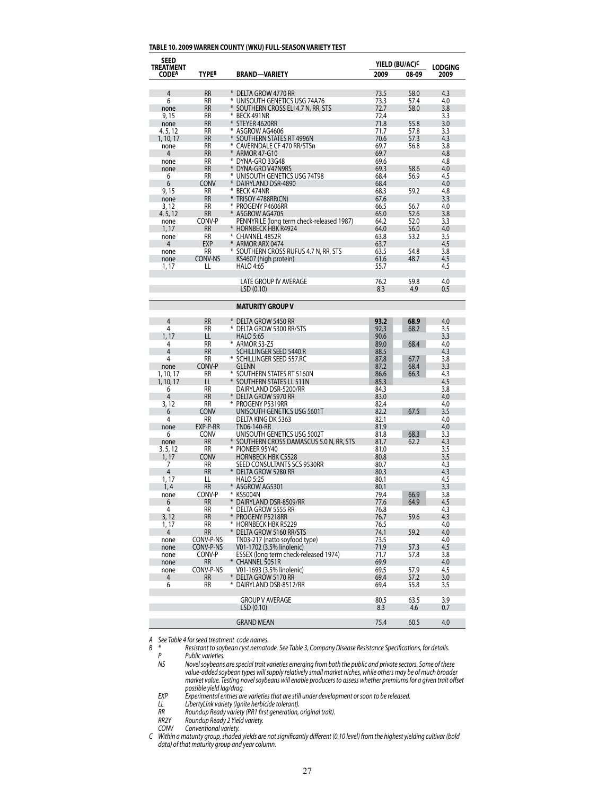#### **TABLE 10. 2009 WARREN COUNTY (WKU) FULL-SEASON VARIETY TEST**

| SEED                             |                        |                                                  |              | YIELD (BU/AC) <sup>C</sup> |                        |
|----------------------------------|------------------------|--------------------------------------------------|--------------|----------------------------|------------------------|
| <b>TREATMENT</b><br><b>CODEA</b> | <b>TYPEB</b>           | <b>BRAND-VARIETY</b>                             | 2009         | 08-09                      | <b>LODGING</b><br>2009 |
|                                  |                        |                                                  |              |                            |                        |
| 4                                | <b>RR</b>              | ¥<br>DELTA GROW 4770 RR                          | 73.5         | 58.0                       | 4.3                    |
| 6                                | <b>RR</b>              | ⋇<br>UNISOUTH GENETICS USG 74A76                 | 73.3         | 57.4                       | 4.0                    |
| none                             | <b>RR</b>              | SOUTHERN CROSS ELI 4.7 N, RR, STS                | 72.7         | 58.0                       | 3.8                    |
| 9, 15                            | RR                     | ₩<br>BECK 491NR                                  | 72.4         |                            | 3.3                    |
| none                             | <b>RR</b>              | ¥<br>STEYER 4620RR                               | 71.8         | 55.8                       | 3.0                    |
| 4, 5, 12                         | RR                     | ⋇<br>ASGROW AG4606                               | 71.7         | 57.8                       | 3.3                    |
| 1, 10, 17                        | <b>RR</b>              | ¥<br>SOUTHERN STATES RT 4996N<br>₩               | 70.6         | 57.3                       | 4.3                    |
| none<br>4                        | RR<br><b>RR</b>        | CAVERNDALE CF 470 RR/STSn<br><b>ARMOR 47-G10</b> | 69.7<br>69.7 | 56.8                       | 3.8<br>4.8             |
| none                             | RR                     | ⋇<br>DYNA-GRO 33G48                              | 69.6         |                            | 4.8                    |
| none                             | <b>RR</b>              | DYNA-GRO V47N9RS                                 | 69.3         | 58.6                       | 4.0                    |
| 6                                | RR.                    | ⋇<br>UNISOUTH GENETICS USG 74T98                 | 68.4         | 56.9                       | 4.5                    |
| 6                                | <b>CONV</b>            | DAIRYLAND DSR-4890                               | 68.4         |                            | 4.0                    |
| 9, 15                            | RR                     | ⋇<br>BECK 474NR                                  | 68.3         | 59.2                       | 4.8                    |
| none                             | RR                     | TRISOY 4788RR(CN)                                | 67.6         |                            | 3.3                    |
| 3, 12                            | RR                     | ⋇<br>PROGENY P4606RR                             | 66.5         | 56.7                       | 4.0                    |
| 4, 5, 12                         | RR                     | ASGROW AG4705                                    | 65.0         | 52.6                       | 3.8                    |
| none                             | CONV-P                 | PENNYRILE (long term check-released 1987)        | 64.2         | 52.0                       | 3.3                    |
| 1, 17                            | RR                     | * HORNBECK HBK R4924<br>⋇                        | 64.0         | 56.0                       | 4.0                    |
| none<br>4                        | RR<br>EXP              | CHANNEL 4852R<br>ARMOR ARX 0474                  | 63.8<br>63.7 | 53.2                       | 3.5<br>4.5             |
| none                             | <b>RR</b>              | * SOUTHERN CROSS RUFUS 4.7 N, RR, STS            | 63.5         | 54.8                       | 3.8                    |
| none                             | CONV-NS                | KS4607 (high protein)                            | 61.6         | 48.7                       | 4.5                    |
| 1, 17                            | LL                     | <b>HALO 4:65</b>                                 | 55.7         |                            | 4.5                    |
|                                  |                        |                                                  |              |                            |                        |
|                                  |                        | <b>LATE GROUP IV AVERAGE</b>                     | 76.2         | 59.8                       | 4.0                    |
|                                  |                        | LSD(0.10)                                        | 8.3          | 4.9                        | 0.5                    |
|                                  |                        |                                                  |              |                            |                        |
|                                  |                        | <b>MATURITY GROUP V</b>                          |              |                            |                        |
| $\overline{4}$                   | <b>RR</b>              | *<br><b>DELTA GROW 5450 RR</b>                   | 93.2         | 68.9                       | 4.0                    |
| 4                                | RR                     | DELTA GROW 5300 RR/STS                           | 92.3         | 68.2                       | 3.5                    |
| 1, 17                            | LL                     | <b>HALO 5:65</b>                                 | 90.6         |                            | 3.3                    |
| 4                                | <b>RR</b>              | * ARMOR 53-Z5                                    | 89.0         | 68.4                       | 4.0                    |
| 4                                | <b>RR</b>              | SCHILLINGER SEED 5440.R                          | 88.5         |                            | 4.3                    |
| 4                                | <b>RR</b>              | * SCHILLINGER SEED 557.RC                        | 87.8         | 67.7                       | 3.8                    |
| none                             | CONV-P                 | <b>GLENN</b>                                     | 87.2         | 68.4                       | 3.3                    |
| 1, 10, 17                        | <b>RR</b>              | * SOUTHERN STATES RT 5160N                       | 86.6         | 66.3                       | 4.3                    |
| 1, 10, 17                        | LL                     | * SOUTHERN STATES LL 511N                        | 85.3         |                            | 4.5                    |
| 6                                | <b>RR</b>              | DAIRYLAND DSR-5200/RR                            | 84.3         |                            | 3.8                    |
| 4                                | <b>RR</b><br><b>RR</b> | * DELTA GROW 5970 RR<br>PROGENY P5319RR          | 83.0<br>82.4 |                            | 4.0<br>4.0             |
| 3, 12<br>6                       | <b>CONV</b>            | UNISOUTH GENETICS USG 5601T                      | 82.2         | 67.5                       | 3.5                    |
| 4                                | RR.                    | DELTA KING DK 5363                               | 82.1         |                            | 4.0                    |
| none                             | EXP-P-RR               | <b>TN06-140-RR</b>                               | 81.9         |                            | 4.0                    |
| 6                                | <b>CONV</b>            | UNISOUTH GENETICS USG 5002T                      | 81.8         | 68.3                       | 3.3                    |
| none                             | <b>RR</b>              | SOUTHERN CROSS DAMASCUS 5.0 N, RR, STS           | 81.7         | 62.2                       | 4.3                    |
| 3, 5, 12                         | <b>RR</b>              | * PIONEER 95Y40                                  | 81.0         |                            | 3.5                    |
| 1, 17                            | <b>CONV</b>            | <b>HORNBECK HBK C5528</b>                        | 80.8         |                            | 3.5                    |
| 7                                | RR                     | SEED CONSULTANTS SCS 9530RR                      | 80.7         |                            | 4.3                    |
| 4                                | <b>RR</b>              | DELTA GROW 5280 RR                               | 80.3         |                            | 4.3                    |
| 1, 17<br>1, 4                    | LL<br><b>RR</b>        | <b>HALO 5:25</b><br>* ASGROW AG5301              | 80.1<br>80.1 |                            | 4.5<br>3.3             |
| none                             | CONV-P                 | KS5004N                                          | 79.4         | 66.9                       | 3.8                    |
| 6                                | <b>RR</b>              | DAIRYLAND DSR-8509/RR                            | 77.6         | 64.9                       | 4.5                    |
| 4                                | КK                     | * Delta Grow 5555 RR                             | /6.8         |                            | 4.3                    |
| 3, 12                            | RR                     | * PROGENY P5218RR                                | 76.7         | 59.6                       | 4.3                    |
| 1, 17                            | RR                     | * HORNBECK HBK R5229                             | 76.5         |                            | 4.0                    |
| 4                                | RR                     | * DELTA GROW 5160 RR/STS                         | 74.1         | 59.2                       | 4.0                    |
| none                             | CONV-P-NS              | TN03-217 (natto soyfood type)                    | 73.5         |                            | 4.0                    |
| none                             | CONV-P-NS              | V01-1702 (3.5% linolenic)                        | 71.9         | 57.3                       | 4.5                    |
| none                             | CONV-P                 | ESSEX (long term check-released 1974)            | 71.7         | 57.8                       | 3.8                    |
| none<br>none                     | RR<br>CONV-P-NS        | * CHANNEL 5051R<br>V01-1693 (3.5% linolenic)     | 69.9<br>69.5 | 57.9                       | 4.0<br>4.5             |
| 4                                | <b>RR</b>              | * DELTA GROW 5170 RR                             | 69.4         | 57.2                       | 3.0                    |
| 6                                | RR                     | * DAIRYLAND DSR-8512/RR                          | 69.4         | 55.8                       | 3.5                    |
|                                  |                        |                                                  |              |                            |                        |
|                                  |                        | <b>GROUP V AVERAGE</b>                           | 80.5         | 63.5                       | 3.9                    |
|                                  |                        | LSD(0.10)                                        | 8.3          | 4.6                        | 0.7                    |
|                                  |                        | <b>GRAND MEAN</b>                                | 75.4         | 60.5                       | 4.0                    |
|                                  |                        |                                                  |              |                            |                        |

*A See Table 4 forseed treatment code names.*

*B \* Resistant to soybean cyst nematode. See Table 3, Company Disease Resistance Specifications, for details.*

*P Public varieties.*<br>*NS Novel soybeans NS Novelsoybeans are special trait varieties emerging from both the public and private sectors. Some of these value-added soybean types willsupply relatively small market niches, while others may be of much broader market value. Testing novelsoybeans will enable producersto assess whether premiumsfor a given trait offset possible yield lag/drag.*

 *EXP Experimental entries are varietiesthat are still under development orsoon to be released.*

 *LL LibertyLink variety (Ignite herbicide tolerant). RR Roundup Ready variety (RR1 first generation, original trait).*

 *RR2Y Roundup Ready 2 Yield variety.*

 *CONV Conventional variety.*

C Within a maturity group, shaded yields are not significantly different (0.10 level) from the highest yielding cultivar (bold *data) of that maturity group and year column.*